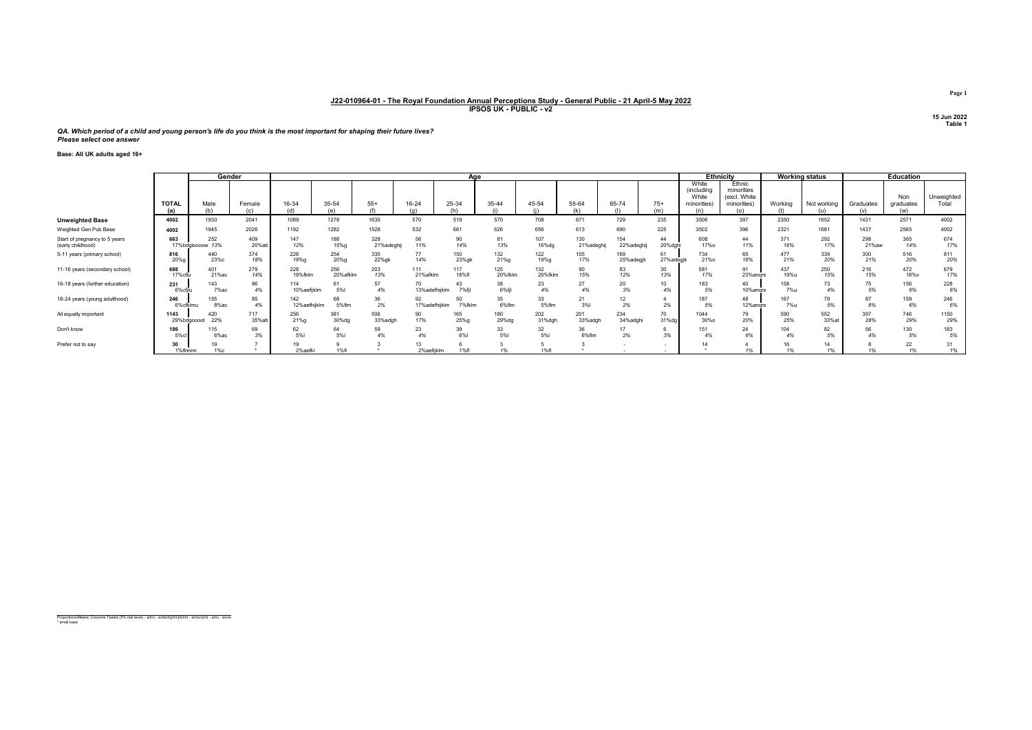QA. Which period of a child and young person's life do you think is the most important for shaping their future lives? Please select one answer

Base: All UK adults aged 16+

|                                                    | Gender              |                            |                    |                     |                  |                  |                     | Age          |                  |                  |                   |                   |                 |                                             | <b>Ethnicity</b>                                           |             | <b>Working status</b> |                  | <b>Education</b>        |                     |
|----------------------------------------------------|---------------------|----------------------------|--------------------|---------------------|------------------|------------------|---------------------|--------------|------------------|------------------|-------------------|-------------------|-----------------|---------------------------------------------|------------------------------------------------------------|-------------|-----------------------|------------------|-------------------------|---------------------|
|                                                    | <b>TOTAL</b><br>(a) | Male                       | Female<br>$(\sim)$ | 16-34<br>(d)        | 35-54<br>(e)     | $55+$            | 16-24               | 25-34        | 35-44            | 45-54            | 55-64             | 65-74             | $75+$<br>(m)    | White<br>(including<br>White<br>minorities) | Ethnic<br>minorities<br>(excl. White<br>minorities)<br>(o) | Working     | Not working           | Graduates<br>(v) | Non<br>graduates<br>(w) | Unweighted<br>Total |
| <b>Unweighted Base</b>                             | 4002                | 1930                       | 2041               | 1089                | 1278             | 1635             | 570                 | 519          | 570              | 708              | 671               | 729               | 235             | 3506                                        | 397                                                        | 2350        | 1652                  | 1431             | 2571                    | 4002                |
| Weighted Gen Pub Base                              | 4002                | 1945                       | 2026               | 1192                | 1282             | 1528             | 532                 | 661          | 626              | 656              | 613               | 690               | 225             | 3502                                        | 396                                                        | 2321        | 1681                  | 1437             | 2565                    | 4002                |
| Start of pregnancy to 5 years<br>(early childhood) | 663                 | 252<br>13%<br>17%bdgioooow | 409<br>20%ab       | 147<br>12%          | 188<br>15%g      | 328<br>21%adeghi | 56<br>11%           | 90<br>14%    | 81<br>13%        | 107<br>16%dg     | 130<br>21%adeghij | 154<br>22%adeghij | 44<br>20%dghi   | 608<br><b>17%o</b>                          | 44<br>11%                                                  | 371<br>16%  | 292<br>17%            | 298<br>21%aw     | 365<br>14%              | 674<br>17%          |
| 5-11 years (primary school)                        | 816<br>20%g         | 440<br>23%c                | 374<br>18%         | 226<br>19%g         | 254<br>20%g      | 335<br>22%gk     | 77<br>14%           | 150<br>23%gk | 132<br>21%g      | 122<br>19%g      | 105<br>17%        | 169<br>25%adegjk  | 61<br>27%adegik | 734<br>21%                                  | 65<br>16%                                                  | 477<br>21%  | 339<br>20%            | 300<br>21%       | 516<br>20%              | 811<br>20%          |
| 11-16 years (secondary school)                     | 688<br>17%cflu      | 401<br>21%ac               | 279<br>14%         | 228<br>19%fklm      | 256<br>20%afklm  | 203<br>13%       | 111<br>21%afklm     | 117<br>18%f  | 125<br>20%fklm   | 132<br>20%fklm   | 90<br>15%         | 83<br>12%         | 30<br>13%       | 581<br>17%                                  | Q <sub>1</sub><br>23%angrs                                 | 437<br>19%u | 250<br>15%            | 216<br>15%       | 472<br>18%v             | 679<br>17%          |
| 16-18 years (further education)                    | 231<br>6%cfilu      | 143<br>7%ac                | 86<br>4%           | 10%aefijklm         | 5%I              | 57<br>4%         | 70<br>13%adefhijklm | 43<br>7% fil | 38<br>6%fi       | 23<br>4%         | 27<br>4%          | 20<br>3%          | 10<br>4%        | 183<br>5%                                   | 40<br>10%angrs                                             | 158<br>7%u  | 73<br>4%              | 75<br>5%         | 156<br>6%               | 228<br>6%           |
| 18-24 years (young adulthood)                      | 246<br>6%cfklmu     | 155<br>8%ac                | 85<br>4%           | 142<br>12%aefhijklm | 68<br>5%flm      | 36<br>2%         | 92<br>17%adefhijklm | 50<br>7%fklm | 35<br>6%flm      | 33<br>5%flm      | 21<br>3%          | 12<br>2%          | 2%              | 187<br>5%                                   | 48<br>12%angrs                                             | 167<br>7%u  | 79<br>5%              | 87<br>6%         | 159<br>6%               | 246<br>6%           |
| All equally important                              | 1143<br>29%bdgoooot | 420<br>22%                 | 717<br>35%ab       | 256<br>21%g         | 381<br>30%dg     | 506<br>33%adgh   | 90<br>17%           | 165<br>25%g  | 180<br>29%dg     | 202<br>31%dgh    | 201<br>33%adgh    | 234<br>34%adghi   | 70<br>31%dg     | 1044<br>30%o                                | 79<br>20%                                                  | 590<br>25%  | 552<br>33%at          | 397<br>28%       | 746<br>29%              | 1150<br>29%         |
| Don't know                                         | 186<br>5%cl         | 115<br>6%ac                | 69<br>3%           | 62<br><b>5%I</b>    | 64<br><b>5%I</b> | 59<br>4%         | 23<br>4%            | 39<br>6%     | 33<br><b>5%I</b> | 32<br><b>5%I</b> | 36<br>6%flm       | 17<br>2%          | $\circ$<br>3%   | 151<br>4%                                   | 24                                                         | 104<br>4%   | 82<br>5%              | 56               | 130<br>5%               | 183<br>5%           |
| Prefer not to say                                  | 1%flnnnn            | 19<br>$1\%c$               |                    | 19<br>2%aefkl       | 1%f1             |                  | 13<br>2%aefijklm    | 1%fl         |                  | 1%f1             |                   |                   |                 |                                             |                                                            | 1%          | 14<br>1%              |                  | 22<br>1%                | 1%                  |

Proportions/Means: Columns Tested (5% risk level) - a/b/c - a/d/e/f/g/h/i/j/k/l/m - a/n/o/q/r/s - a/t/u - a/v/w \* small base

Page 1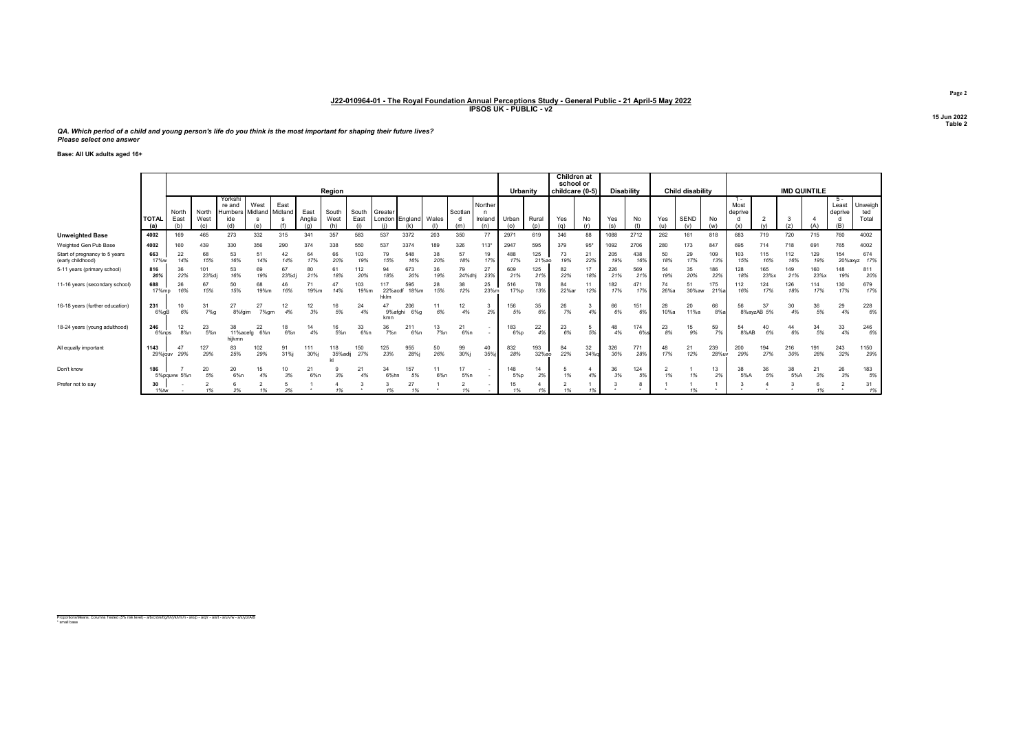QA. Which period of a child and young person's life do you think is the most important for shaping their future lives? Please select one answer

Base: All UK adults aged 16+

|                                                    |                     |               |                      |                                           |                         |             |                |                |                   |                   |                |           |                |                    |               |              | Children at<br>school or |           |                   |            |            |                    |              |                          |                  |                     |             |                         |                         |
|----------------------------------------------------|---------------------|---------------|----------------------|-------------------------------------------|-------------------------|-------------|----------------|----------------|-------------------|-------------------|----------------|-----------|----------------|--------------------|---------------|--------------|--------------------------|-----------|-------------------|------------|------------|--------------------|--------------|--------------------------|------------------|---------------------|-------------|-------------------------|-------------------------|
|                                                    |                     |               |                      |                                           |                         |             |                | Region         |                   |                   |                |           |                |                    | Urbanity      |              | childcare (0-5)          |           | <b>Disability</b> |            |            | Child disability   |              |                          |                  | <b>IMD QUINTILE</b> |             |                         |                         |
|                                                    | <b>TOTAL</b><br>(a) | North<br>East | North<br>West<br>(c) | Yorksh<br>re and<br><b>Humbers</b><br>ide | West<br>Midland Midland | East        | East<br>Anglia | South<br>West  | South<br>East     | Greater<br>London | England        | Wales     | Scotlan<br>(m) | Norther<br>Ireland | Urban<br>(0)  | Rural<br>(n) | Yes<br>(a)               | No        | Yes               | No         | Yes<br>(u) | <b>SEND</b><br>(v) | No<br>(w)    | $1 -$<br>Most<br>deprive |                  |                     |             | 5 -<br>Least<br>deprive | Unweigh<br>ted<br>Total |
| <b>Unweighted Base</b>                             | 4002                | 169           | 465                  | 273                                       | 332                     | 315         | 341            | 357            | 583               | 537               | 3372           | 203       | 350            | 77                 | 2971          | 619          | 346                      | 88        | 1088              | 2712       | 262        | 161                | 818          | 683                      | 719              | 720                 | 715         | 760                     | 4002                    |
| Weighted Gen Pub Base                              | 4002                | 160           | 439                  | 330                                       | 356                     | 290         | 374            | 338            | 550               | 537               | 3374           | 189       | 326            | 113*               | 2947          | 595          | 379                      | $95*$     | 1092              | 2706       | 280        | 173                | 847          | 695                      |                  | 718                 | 69          | 765                     | 4002                    |
| Start of pregnancy to 5 years<br>(early childhood) | 663<br>17%w         | 22<br>14%     | 68<br>15%            | 53<br>16%                                 | 14%                     | 42<br>14%   | 64<br>17%      | 66<br>20%      | 103<br>19%        | 79<br>15%         | 548<br>16%     | 38<br>20% | 57<br>18%      | 19<br>17%          | 488<br>17%    | 125<br>21%ao | 73<br>19%                | 21<br>22% | 205<br>19%        | 438<br>16% | 50<br>18%  | 29<br>17%          | 109<br>13%   | 103<br>15%               | 115<br>16%       | 112<br>16%          | 129<br>19%  | 154<br>20%axyz          | 674<br>17%              |
| 5-11 years (primary school)                        | 816<br>20%          | 36<br>22%     | 101<br>23%dj         | 53<br>16%                                 | 69<br>19%               | 67<br>23%dj | 80<br>21%      | 61<br>18%      | 112<br>20%        | 94<br>18%         | 673<br>20%     | 36<br>19% | 79<br>24%dh    | 27<br>23%          | 609<br>21%    | 125<br>21%   | 82<br>22%                | 17<br>18% | 226<br>21%        | 569<br>21% | 54<br>19%  | 35<br>20%          | 186<br>22%   | 128<br>18%               | 165<br>23%x      | 149<br>21%          | 160<br>23%x | 148<br>19%              | 811<br>20%              |
| 11-16 years (secondary school)                     | 688<br>17%mp        | 26<br>16%     | 67<br>15%            | 50<br>15%                                 | 68<br>19%m              | 16%         | 19%m           | 47<br>14%      | 103<br>19%m       | 22%acdt<br>hklm   | 595<br>18%m    | 28<br>15% | 38<br>12%      | 25<br>23%m         | 516<br>17%p   | 78<br>13%    | 84<br>22%ar              | 11<br>12% | 182<br>17%        | 471<br>17% | 74<br>26%a | 51<br>30%aw        | 175<br>21%   | 112<br>16%               | 124<br>17%       | 126<br>18%          | 114<br>17%  | 130<br>17%              | 679<br>17%              |
| 16-18 years (further education)                    | 231<br>6%aB         | 6%            | 31<br>$7%$ a         | 27<br>8%faim                              | 27<br>7% am             | 4%          | 12             | 16<br>5%       | 24<br>4%          | 9%afghi<br>kmn    | 206<br>$6\%$ g | 6%        | 12<br>4%       | 2%                 | 156<br>5%     | 35<br>6%     | 26<br>7%                 | 4%        | 66<br>6%          | 151<br>6%  | 28<br>10%a | 20<br>11%a         | 66<br>8%     | 56                       | 37<br>8%avzAB 5% | 30<br>4%            | 36<br>5%    | 29<br>4%                | 228<br>6%               |
| 18-24 years (young adulthood)                      | 246<br>6%nps        | 12<br>8%n     | 23<br>5%n            | 38<br>11%acefg<br>hiikmn                  | 22<br>6%n               | 6%n         | 14<br>4%       | 16<br>5%n      | 33<br>6%n         | 36<br>7%n         | 211<br>$6\%n$  | 13<br>7%n | 21<br>6%n      |                    | 183<br>$6\%p$ | 22<br>4%     | 23<br>6%                 | 5%        | 48<br>4%          | 174<br>6%  | 23<br>8%   | 15<br>9%           | 59<br>7%     | 8%AB                     | 40<br>6%         | 44<br>6%            | 34<br>5%    | 33<br>4%                | 246<br>6%               |
| All equally important                              | 1143<br>29%jauv     | 47<br>29%     | 127<br>29%           | 83<br>25%                                 | 102<br>29%              | 91<br>31%j  | 111<br>30%j    | 118<br>35%adij | 150<br>27%        | 125<br>23%        | 955<br>28%     | 50<br>26% | 99<br>30%j     | 40<br>35%i         | 832<br>28%    | 193<br>32%ao | 84<br>22%                | 32<br>34% | 326<br>30%        | 771<br>28% | 48<br>17%  | 21<br>12%          | 239<br>28%uv | 200<br>29%               | 194<br>27%       | 216<br>30%          | 191<br>28%  | 243<br>32%              | 1150<br>29%             |
| Don't know                                         | 186                 | 5%pauww 5%n   | 20<br>5%             | 20<br>6%n                                 | 15<br>4%                | 3%          | 21<br>6%n      | 3%             | $2^{\circ}$<br>4% | 34<br>6%hn        | 157<br>5%      | 6%n       | 5%n            |                    | 148<br>5%p    | 14<br>2%     | 1%                       | 4%        | 36<br>3%          | 124<br>5%  | 1%         | 1%                 | 13<br>2%     | 38<br>5%A                | 36<br>5%         | 38<br>5%A           | 21<br>3%    | 26<br>3%                | 183<br>5%               |
| Prefer not to say                                  | 30<br>1%tw          |               | $\frac{9}{6}$        | 2%                                        | 1%                      | 2%          |                |                |                   | 1%                | 27<br>1%       |           |                |                    | 15            | 1%           |                          |           |                   |            |            |                    |              |                          |                  |                     | 1%          |                         | 31<br>1%                |

Proportions/Means: Columns Tested (5% risk level) - a/b/c/d/e/f/g/h/i/j/k/l/m/n - a/o/p - a/q/r - a/s/t - a/u/v/w - a/x/y/z/A/B \* small base

Page 2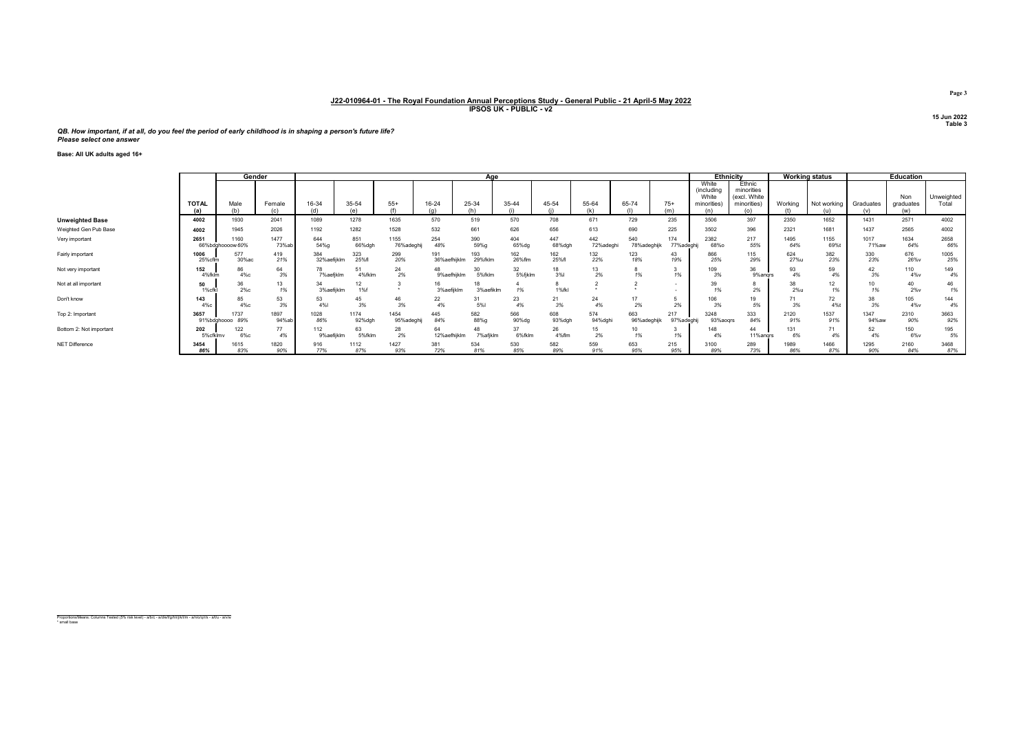QB. How important, if at all, do you feel the period of early childhood is in shaping a person's future life? Please select one answer

Base: All UK adults aged 16+

|                         |                     | Gender                   |               |                    |                |                    |                     | Age             |               |               |                 |                    |                   | <b>Ethnicity</b>                            |                                                     |             | <b>Working status</b> |                  | <b>Education</b>        |                     |
|-------------------------|---------------------|--------------------------|---------------|--------------------|----------------|--------------------|---------------------|-----------------|---------------|---------------|-----------------|--------------------|-------------------|---------------------------------------------|-----------------------------------------------------|-------------|-----------------------|------------------|-------------------------|---------------------|
|                         | <b>TOTAL</b><br>(a) | Male                     | Female<br>(c) | 16-34<br>(d)       | 35-54<br>(e)   | $55+$              | 16-24               | 25-34<br>(h)    | 35-44         | 45-54         | 55-64           | 65-74              | $75+$<br>(m)      | White<br>(including<br>White<br>minorities) | Ethnic<br>minorities<br>(excl. White<br>minorities) | Working     | Not working<br>(u)    | Graduates<br>(v) | Non<br>graduates<br>(w) | Unweighted<br>Total |
| <b>Unweighted Base</b>  | 4002                | 1930                     | 2041          | 1089               | 1278           | 1635               | 570                 | 519             | 570           | 708           | 671             | 729                | 235               | 3506                                        | 397                                                 | 2350        | 1652                  | 1431             | 2571                    | 4002                |
| Weighted Gen Pub Base   | 4002                | 1945                     | 2026          | 1192               | 1282           | 1528               | 532                 | 661             | 626           | 656           | 613             | 690                | 225               | 3502                                        | 396                                                 | 2321        | 1681                  | 1437             | 2565                    | 4002                |
| Very important          | 2651                | 1160<br>66%bdghoooow 60% | 1477<br>73%ab | 644<br>54%g        | 851<br>66%dgh  | 1155<br>76%adeghij | 254<br>48%          | 390<br>59%g     | 404<br>65%dg  | 447<br>68%dgh | 442<br>72%adegh | 540<br>78%adeghijk | 174<br>77%adeghij | 2382<br>68%o                                | 217<br>55%                                          | 1495<br>64% | 1155<br>69%           | 1017<br>71%aw    | 1634<br>64%             | 2658<br>66%         |
| Fairly important        | 1006<br>25% cflr    | 577<br>30%ac             | 419<br>21%    | 384<br>32%aefijklm | 323<br>25%f    | 299<br>20%         | 191<br>36%aefhijklm | 193<br>29%fklm  | 162<br>26%flm | 162<br>25%fl  | 132<br>22%      | 123<br>18%         | 43<br>19%         | 866<br>25%                                  | 115<br>29%                                          | 624<br>27%u | 382<br>23%            | 330<br>23%       | 676<br>26%v             | 1005<br>25%         |
| Not very important      | 152<br>4%fklr       | 86<br>4%с                | 64<br>3%      | 78<br>7%aefjklm    | 51<br>4%fklm   | 24<br>2%           | 9%aefhijklm         | 30<br>5%fklm    | 32<br>5%fjklm | 18<br>3%      | 13<br>2%        | 1%                 |                   | 109<br>3%                                   | 36<br>9%andrs                                       | 93<br>4%    | 59<br>4%              | 42<br>3%         | 110<br>4%v              | 149<br>4%           |
| Not at all important    | 50<br>1%cfk         | 36<br>$2\%c$             | 13<br>1%      | 34<br>3%aefijklm   | 12<br>1%f      |                    | 3%aefijklm          | 3%aefiklm       | 1%            | 1%fkl         |                 |                    |                   | 39<br>1%                                    | 2%                                                  | 38<br>2%u   | 12<br>1%              | 10               | 40<br>$2\%v$            | 46<br>1%            |
| Don't know              | 143<br>4%с          | 85<br>4%с                | 53<br>3%      | 53<br>4%           | 45<br>3%       | 46<br>3%           | 22<br>4%            | 31<br>5%        | 23<br>4%      | 21<br>3%      | 24<br>4%        | 2%                 | 2%                | 106<br>3%                                   | 19<br>5%                                            | 3%          | 72<br>4%t             | 38<br>3%         | 105<br>4%v              | 144<br>4%           |
| Top 2: Important        | 3657<br>91%bdghoooo | 737<br>89%               | 1897<br>94%ab | 1028<br>86%        | 1174<br>92%dgh | 1454<br>95%adeghi  | 445<br>84%          | 582<br>88%g     | 566<br>90%dg  | 608<br>93%dgh | 574<br>94%dghi  | 663<br>96%adeghijk | 217<br>97%adeghii | 3248<br>93%aoqrs                            | 333<br>84%                                          | 2120<br>91% | 1537<br>91%           | 1347<br>94%aw    | 2310<br>90%             | 3663<br>92%         |
| Bottom 2: Not important | 202<br>5%cfklmv     | 122<br>6%с               | 77<br>4%      | 112<br>9%aefijklm  | 63<br>5%fklm   | 28<br>2%           | 64<br>12%aefhiiklm  | 48<br>7% afiklm | 37<br>6%fklm  | 26<br>4%flm   | 15<br>2%        | 1%                 |                   | 148<br>4%                                   | 44<br>11%andrs                                      | 131<br>6%   | 71<br>4%              | 52               | 150<br>6%v              | 195<br>5%           |
| NET Difference          | 3454<br>86%         | 1615<br>83%              | 1820<br>90%   | 916<br>77%         | 1112<br>87%    | 1427<br>93%        | 381<br>72%          | 534<br>81%      | 530<br>85%    | 582<br>89%    | 559<br>91%      | 653<br>95%         | 215<br>95%        | 3100<br>89%                                 | 289<br>73%                                          | 1989<br>86% | 1466<br>87%           | 1295<br>90%      | 2160<br>84%             | 3468<br>87%         |

Proportions/Means: Columns Tested (5% risk level) - a/b/c - a/d/e/f/g/h/i/j/k/l/m - a/n/o/q/r/s - a/t/u - a/v/w \* small base

Page 3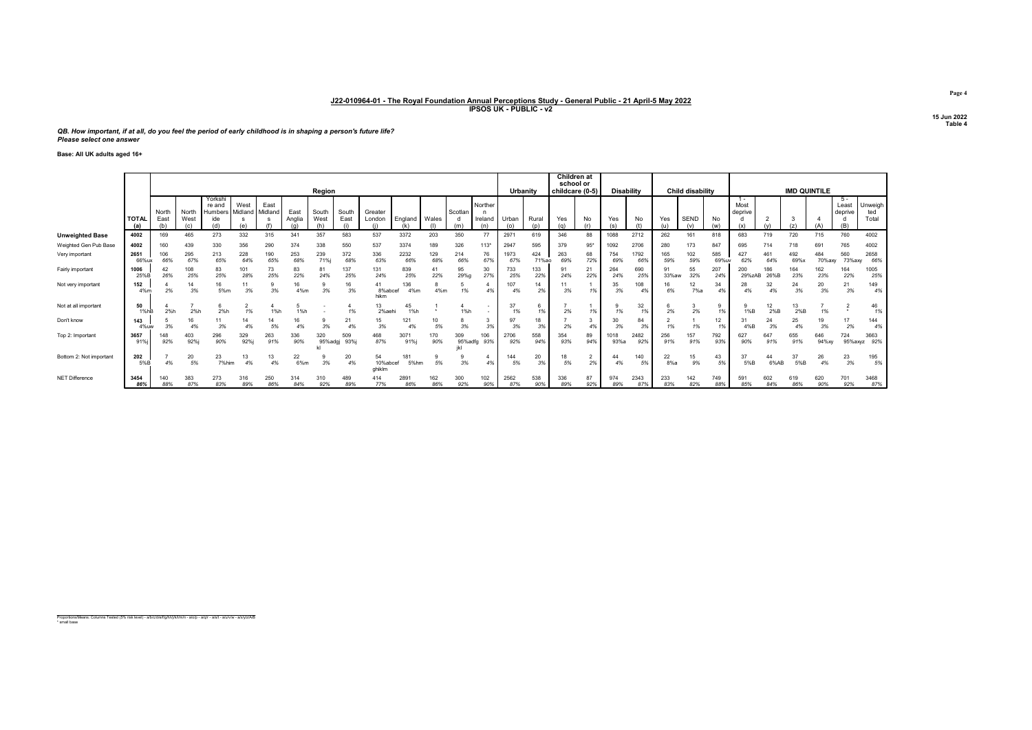QB. How important, if at all, do you feel the period of early childhood is in shaping a person's future life? Please select one answer

Base: All UK adults aged 16+

|                         |                     |               |               |                                            |                 |                 |                |                |               |                          |             |            |                |                           |             |              | <b>Children</b> at<br>school or |           |                   |             |             |                         |             |                 |             |                     |               |                         |                         |
|-------------------------|---------------------|---------------|---------------|--------------------------------------------|-----------------|-----------------|----------------|----------------|---------------|--------------------------|-------------|------------|----------------|---------------------------|-------------|--------------|---------------------------------|-----------|-------------------|-------------|-------------|-------------------------|-------------|-----------------|-------------|---------------------|---------------|-------------------------|-------------------------|
|                         |                     |               |               |                                            |                 |                 |                | Region         |               |                          |             |            |                |                           | Urbanity    |              | childcare (0-5)                 |           | <b>Disability</b> |             |             | <b>Child disability</b> |             |                 |             | <b>IMD QUINTILE</b> |               |                         |                         |
|                         | <b>TOTAL</b><br>(a) | North<br>East | North<br>West | Yorkshi<br>re and<br><b>Humbers</b><br>ide | West<br>Midland | East<br>Midland | East<br>Anglia | South<br>West  | South<br>East | Greater<br>London        | England     | Wales      | Scotlan<br>(m) | Norther<br>Ireland<br>(n) | Urban       | Rural<br>(p) | Yes<br>(n)                      | No<br>(r) | Yes<br>(s)        | No          | Yes         | <b>SEND</b>             | No<br>(w)   | Most<br>deprive |             | 3                   |               | Least<br>deprive<br>(B) | Unweigh<br>ted<br>Total |
| <b>Unweighted Base</b>  | 4002                | 169           | 465           | 273                                        | 332             | 315             | 341            | 357            | 583           | 537                      | 3372        | 203        | 350            | 77                        | 2971        | 619          | 346                             | 88        | 1088              | 2712        | 262         | 161                     | 818         | 683             | 719         | 720                 | 715           | 760                     | 4002                    |
| Weighted Gen Pub Base   | 4002                | 160           | 439           | 330                                        | 356             | 290             | 374            | 338            | 550           | 537                      | 3374        | 189        | 326            | $113*$                    | 2947        | 595          | 379                             | $95*$     | 1092              | 2706        | 280         | 173                     | 847         | 695             |             | 718                 | 691           | 765                     | 4002                    |
| Very important          | 2651<br>66%ux       | 106<br>66%    | 295<br>67%    | 213<br>65%                                 | 228<br>64%      | 190<br>65%      | 253<br>68%     | 239<br>71%i    | 372<br>68%    | 336<br>63%               | 2232<br>66% | 129<br>68% | 214<br>66%     | 76<br>67%                 | 1973<br>67% | 424<br>71%ao | 263<br>69%                      | 68<br>72% | 754<br>69%        | 1792<br>66% | 165<br>59%  | 102<br>59%              | 585<br>69%u | 427<br>62%      | 461<br>64%  | 492<br>69%>         | 484<br>70%axv | 560<br>73%axv           | 2658<br>66%             |
| Fairly important        | 1006<br>25%E        | 26%           | 108<br>25%    | 83<br>25%                                  | 101<br>28%      | 73<br>25%       | 83<br>22%      | 24%            | 137<br>25%    | 131<br>24%               | 839<br>25%  | 41<br>22%  | 95<br>29%g     | 30<br>27%                 | 733<br>25%  | 133<br>22%   | g.<br>24%                       | 21<br>22% | 264<br>24%        | 690<br>25%  | 91<br>33%aw | 55<br>32%               | 207<br>24%  | 200<br>29%zAB   | 186<br>26%B | 164<br>23%          | 162<br>23%    | 164<br>22%              | 1005<br>25%             |
| Not very important      | 152<br>4%m          | 2%            | 14<br>3%      | 16<br>5%m                                  | 11<br>3%        | 3%              | 16<br>4%m      | 3%             | 16<br>3%      | 8%abcef<br>hikm          | 36<br>4%m   | 8<br>4%m   | 1%             | 4%                        | 107<br>4%   | 14<br>2%     | 3%                              |           | 35<br>3%          | 108<br>4%   | 16<br>6%    | 12<br>7%a               | 34<br>4%    | 28<br>4%        | 32<br>4%    | 24<br>3%            | 20<br>3%      | 21<br>3%                | 149<br>4%               |
| Not at all important    | 50<br>1%hB          | 2%h           | 2%h           | 2%h                                        | 1%              | 1%h             |                |                | 1%            | 13<br>2%aeh              | 45<br>1%h   |            | 1%h            |                           | 37<br>1%    | 1%           | 2%                              | 1%        | 1%                | 32<br>1%    | 2%          | 2%                      | 9<br>1%     | 1%B             | 12<br>2%B   | 13<br>2%B           | 1%            |                         | 46<br>1%                |
| Don't know              | 143<br>4%uw         | 3%            |               | 3%                                         | 14<br>4%        | 5%              |                | 3%             | 21<br>4%      | 15<br>3%                 | 121         | 10<br>5%   | 3%             | 3<br>3%                   | 97<br>3%    | 18<br>3%     | 2%                              |           | 30<br>3%          | 84<br>3%    | 1%          | 1%                      | 12<br>1%    | 4%B             | 24<br>3%    | 25<br>4%            | 19<br>3%      | 17<br>2%                | 144<br>4%               |
| Top 2: Important        | 3657<br>91%         | 148<br>92%    | 403<br>92%    | 296<br>90%                                 | 329<br>92%i     | 263<br>91%      | 336<br>90%     | 320<br>95%adgj | 509<br>93%j   | 468<br>87%               | 3071<br>91% | 170<br>90% | 309<br>95%adfg | 106<br>93%                | 2706<br>92% | 558<br>94%   | 354<br>93%                      | 89<br>94% | 1018<br>93%a      | 2482<br>92% | 256<br>91%  | 157<br>91%              | 792<br>93%  | 627<br>90%      | 647<br>91%  | 655<br>91%          | 646<br>94%xy  | 724<br>95%axyz          | 3663<br>92%             |
| Bottom 2: Not important | 202<br>5%B          | 4%            | 20<br>5%      | 23<br>7%him                                | 13<br>4%        | 13<br>4%        | 22<br>6%m      | 3%             | 20<br>4%      | 54<br>10%abcef<br>ahikim | 181<br>5%hm | 5%         | 3%             | 4%                        | 144<br>5%   | 20<br>3%     | 18<br>5%                        | ∠<br>2%   | 4%                | 140<br>5%   | 22<br>8%a   | 15<br>9%                | 43<br>5%    | 37<br>5%B       | 44<br>6%AB  | 37<br>5%B           | 26<br>4%      | 23<br>3%                | 195<br>5%               |
| NET Difference          | 3454<br>86%         | 140<br>88%    | 383<br>87%    | 273<br>83%                                 | 316<br>89%      | 250<br>86%      | 314<br>84%     | 310<br>92%     | 489<br>89%    | 414<br>77%               | 2891<br>86% | 162<br>86% | 300<br>92%     | 102<br>90%                | 2562<br>87% | 538<br>90%   | 336<br>89%                      | 87<br>92% | 974<br>89%        | 2343<br>87% | 233<br>83%  | 142<br>82%              | 749<br>88%  | 591<br>85%      | 602<br>84%  | 619<br>86%          | 620<br>90%    | 701<br>92%              | 3468<br>87%             |

Proportions/Means: Columns Tested (5% risk level) - a/b/c/d/e/f/g/h/i/j/k/l/m/n - a/o/p - a/q/r - a/s/t - a/u/v/w - a/x/y/z/A/B \* small base

Page 4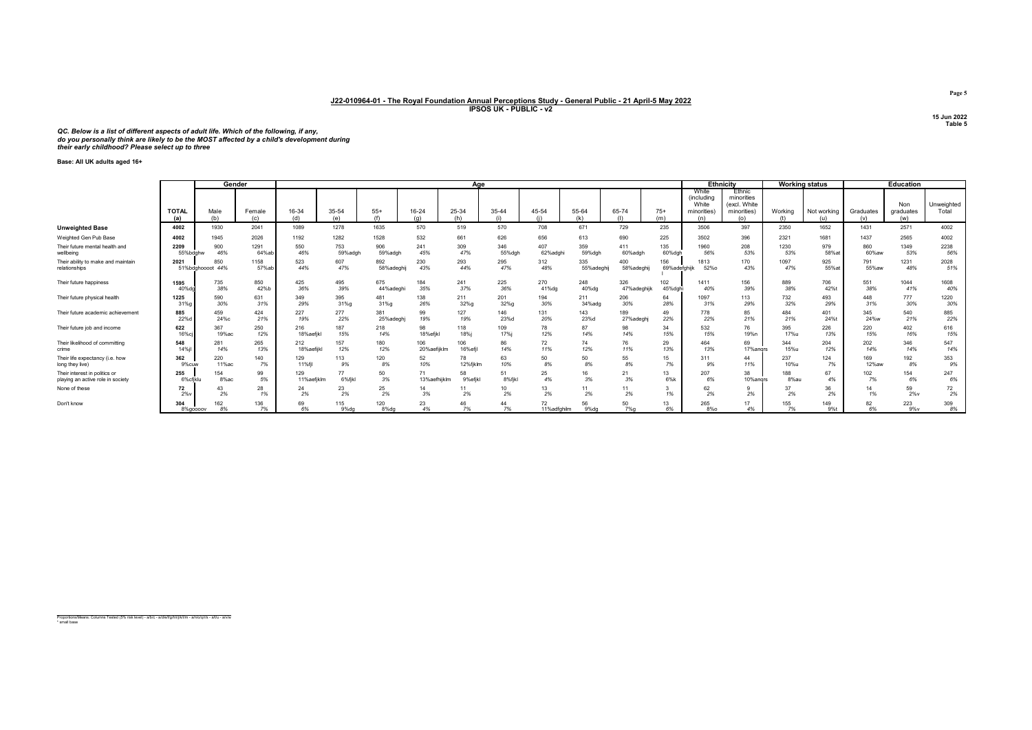QC. Below is a list of different aspects of adult life. Which of the following, if any,<br>do you personally think are likely to be the MOST affected by a child's development during<br>their early childhood? Please select up to

Base: All UK adults aged 16+

|                                    |                     | Gender           |               |              |                                |                       |              | Aae          |              |                   |            |              |              |                                                           | <b>Ethnicity</b>                                           |           | <b>Working status</b> |                  | <b>Education</b>        |                     |
|------------------------------------|---------------------|------------------|---------------|--------------|--------------------------------|-----------------------|--------------|--------------|--------------|-------------------|------------|--------------|--------------|-----------------------------------------------------------|------------------------------------------------------------|-----------|-----------------------|------------------|-------------------------|---------------------|
|                                    | <b>TOTAL</b><br>(a) | Male<br>(b)      | Female<br>(c) | 16-34<br>(d) | 35-54<br>$\left( \rho \right)$ | $55+$<br>(f)          | 16-24<br>(a) | 25-34<br>(h) | 35-44<br>(i) | 45-54             | 55-64      | 65-74<br>(1) | $75+$<br>(m) | White<br><i>(including</i><br>White<br>minorities)<br>(n) | Ethnic<br>minorities<br>(excl. White<br>minorities)<br>(o) | Working   | Not working<br>(u)    | Graduates<br>(v) | Non<br>graduates<br>(w) | Unweighted<br>Total |
| <b>Unweighted Base</b>             | 4002                | 1930             | 2041          | 1089         | 1278                           | 1635                  | 570          | 519          | 570          | 708               | 671        | 729          | 235          | 3506                                                      | 397                                                        | 2350      | 1652                  | 1431             | 2571                    | 4002                |
| Weighted Gen Pub Base              | 4002                | 1945             | 2026          | 1192         | 1282                           | 1528                  | 532          | 661          | 626          | 656               | 613        | 690          | 225          | 3502                                                      | 396                                                        | 2321      | 1681                  | 1437             | 2565                    | 4002                |
| Their future mental health and     | 2209                | 900              | 1291          | 550          | 753                            | 906                   | 241          | 309          | 346          | 407               | 359        | 411          | 135          | 1960                                                      | 208                                                        | 1230      | 979                   | 860              | 1349                    | 2238                |
| wellbeing                          | 55%bdghw            | 46%              | 64%ab         | 46%          | 59%adgh                        | 59%adgh               | 45%          | 47%          | 55%dgh       | 62%adghi          | 59%dgh     | 60%adgh      | 60%dgh       | 56%                                                       | 53%                                                        | 53%       | 58%at                 | 60%aw            | 53%                     | 56%                 |
| Their ability to make and maintain | 2021                | 850              | 1158          | 523          | 607                            | 892                   | 230          | 293          | 295          | 312               | 335        | 400          | 156          | 1813                                                      | 170                                                        | 1097      | 925                   | 791              | 1231                    | 2028                |
| relationships                      |                     | 51%bdghoooot 44% | 57%ab         | 44%          | 47%                            | 58%adeghij            | 43%          | 44%          | 47%          | 48%               | 55%adeghij | 58%adeghij   | 69%adefghijk | 52%o                                                      | 43%                                                        | 47%       | 55%at                 | 55%aw            | 48%                     | 51%                 |
| Their future happiness             | 1595                | 735              | 850           | 425          | 495                            | 675                   | 184          | 241          | 225          | 270               | 248        | 326          | 102          | 1411                                                      | 156                                                        | 889       | 706                   | 551              | 1044                    | 1608                |
|                                    | 40%do               | 38%              | 42%b          | 36%          | 39%                            | 44%adegh <sup>®</sup> | 35%          | 37%          | 36%          | 41%dg             | 40%dg      | 47%adeghijk  | 45%dahi      | 40%                                                       | 39%                                                        | 38%       | 42%t                  | 38%              | 41%                     | 40%                 |
| Their future physical health       | 1225                | 590              | 631           | 349          | 395                            | 481                   | 138          | 211          | 201          | 194               | 211        | 206          | 64           | 1097                                                      | 113                                                        | 732       | 493                   | 448              | 777                     | 1220                |
|                                    | 31%                 | 30%              | 31%           | 29%          | 31%g                           | 31%g                  | 26%          | 32%g         | 32%g         | 30%               | 34%adg     | 30%          | 28%          | 31%                                                       | 29%                                                        | 32%       | 29%                   | 31%              | 30%                     | 30%                 |
| Their future academic achievement  | 885                 | 459              | 424           | 227          | 277                            | 381                   | 99           | 127          | 146          | 131               | 143        | 189          | 49           | 778                                                       | 85                                                         | 484       | 401                   | 345              | 540                     | 885                 |
|                                    | 22%                 | 24%с             | 21%           | 19%          | 22%                            | 25%adegh              | 19%          | 19%          | 23%c         | 20%               | 23%d       | 27%adegh     | 22%          | 22%                                                       | 21%                                                        | 21%       | 24%t                  | 24%w             | 21%                     | 22%                 |
| Their future job and income        | 622                 | 367              | 250           | 216          | 187                            | 218                   | 98           | 118          | 109          | 78                | 87         | 98           | 34           | 532                                                       | 76                                                         | 395       | 226                   | 220              | 402                     | 616                 |
|                                    | 16%с                | 19%ac            | 12%           | 18%aefikl    | 15%                            | 14%                   | 18%efikl     | 18%i         | 17%j         | 12%               | 14%        | 14%          | 15%          | 15%                                                       | 19%n                                                       | 17%u      | 13%                   | 15%              | 16%                     | 15%                 |
| Their likelihood of committing     | 548                 | 281              | 265           | 212          | 157                            | 180                   | 106          | 106          | 86           | 72                | 74         | 76           | 29           | 464                                                       | 69                                                         | 344       | 204                   | 202              | 346                     | 547                 |
| crime                              | 14%                 | 14%              | 13%           | 18%aefijkl   | 12%                            | 12%                   | 20%aefijklm  | 16%efil      | 14%          | 11%               | 12%        | 11%          | 13%          | 13%                                                       | 17% angrs                                                  | 15%u      | 12%                   | 14%              | 14%                     | 14%                 |
| Their life expectancy (i.e. how    | 362                 | 220              | 140           | 129          | 113                            | 120                   | 52           | 78           | 63           | 50                | 50         | 55           | 15           | 311                                                       | 44                                                         | 237       | 124                   | 169              | 192                     | 353                 |
| long they live)                    | 9%cuw               | 11%ac            | 7%            | 11%fil       | 9%                             | 8%                    | 10%          | 12%fiklm     | 10%          | 8%                | 8%         | 8%           | 7%           | 9%                                                        | 11%                                                        | 10%u      | 7%                    | 12%aw            | 8%                      | 9%                  |
| Their interest in politics or      | 255                 | 154              | 99            | 129          | 77                             | 50                    | 71           | 58           | 51           | 25                | 3%         | 21           | 13           | 207                                                       | 38                                                         | 188       | 67                    | 102              | 154                     | 247                 |
| playing an active role in society  | 6%cfiklu            | 8%ac             | 5%            | 11%aefiklm   | 6%fikl                         | 3%                    | 13%aefhijklm | 9%efjk       | 8%fikl       | 4%                |            | 3%           | 6%k          | 6%                                                        | 10%angrs                                                   | 8%au      | 4%                    | 7%               | 6%                      | 6%                  |
| None of these                      | 72<br>2%            | 2%               | 28<br>1%      | 24<br>2%     | 23<br>2%                       | 25<br>2%              | 14<br>3%     | 2%           | 10<br>2%     | 13<br>2%          | 2%         | 2%           | 3<br>1%      | 62<br>2%                                                  | 2%                                                         | 37<br>2%  | 36<br>2%              | 14<br>1%         | 59<br>$2\%$ v           | 72<br>2%            |
| Don't know                         | 304<br>8%goooov     | 162<br>8%        | 136<br>7%     | 69<br>6%     | 115<br>9%dg                    | 120<br>8%dg           | 23<br>4%     | 7%           | 44<br>7%     | 72<br>11%adfghilm | 56<br>9%dg | 50<br>7%g    | 13<br>6%     | 265<br>8%o                                                | 17<br>4%                                                   | 155<br>7% | 149<br>9%t            | 82<br>6%         | 223<br>$9\%v$           | 309<br>8%           |

Proportions/Means: Columns Tested (5% risk level) - a/b/c - a/d/e/f/g/h/i/j/k/l/m - a/n/o/q/r/s - a/t/u - a/v/w \* small base

Page 5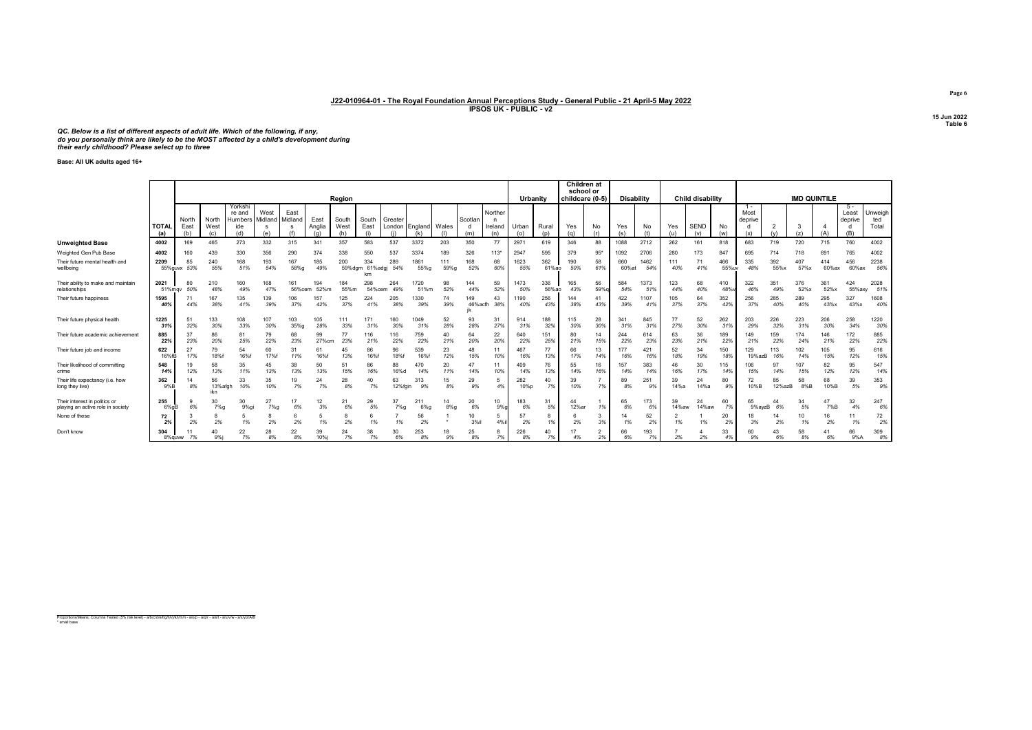QC. Below is a list of different aspects of adult life. Which of the following, if any,<br>do you personally think are likely to be the MOST affected by a child's development during<br>their early childhood? Please select up to

Base: All UK adults aged 16+

|                                                                    |                     |                      |                      |                                            |                 |                 |                       | Region        |                      |               |                            |             |                |                                | Urbanity     |              | Children at<br>school or<br>childcare (0-5) |                      | <b>Disability</b> |             |             | <b>Child disability</b> |              |                          |              | <b>IMD QUINTILE</b> |              |                                |                         |
|--------------------------------------------------------------------|---------------------|----------------------|----------------------|--------------------------------------------|-----------------|-----------------|-----------------------|---------------|----------------------|---------------|----------------------------|-------------|----------------|--------------------------------|--------------|--------------|---------------------------------------------|----------------------|-------------------|-------------|-------------|-------------------------|--------------|--------------------------|--------------|---------------------|--------------|--------------------------------|-------------------------|
|                                                                    | <b>TOTAL</b><br>(a) | North<br>East<br>(b) | North<br>West        | Yorkshi<br>re and<br><b>Humbers</b><br>ide | West<br>Midland | East<br>Midland | East<br>Anglia<br>(n) | South<br>West | South<br>East        | Greater       | London England Wales<br>(k |             | Scotlan<br>(m) | Norther<br>n<br>Ireland<br>(n) | Urban<br>(o) | Rural<br>(p) | Yes<br>(a)                                  | No<br>(r)            | Yes<br>(s)        | No          | Yes         | <b>SEND</b><br>(v)      | No           | $1 -$<br>Most<br>deprive |              | 3<br>(z)            |              | 5 -<br>Least<br>deprive<br>(B) | Unweigh<br>ted<br>Total |
| <b>Unweighted Base</b>                                             | 4002                | 169                  | 465                  | 273                                        | 332             | 315             | 341                   | 357           | 583                  | 537           | 3372                       | 203         | 350            | 77                             | 2971         | 619          | 346                                         | 88                   | 1088              | 2712        | 262         | 161                     | 818          | 683                      | 719          | 720                 | 715          | 760                            | 4002                    |
| Weighted Gen Pub Base                                              | 4002                | 160                  | 439                  | 330                                        | 356             | 290             | 374                   | 338           | 550                  | 537           | 3374                       | 189         | 326            | 113"                           | 2947         | 595          | 379                                         | $95*$                | 1092              | 2706        | 280         | 173                     | 847          | 695                      | 714          | 718                 | 691          | 765                            | 4002                    |
| Their future mental health and<br>wellbeing                        | 2209<br>55%guyx     | 85<br>53%            | 240<br>55%           | 168<br>51%                                 | 193<br>54%      | 167<br>58%a     | 185<br>49%            | 200<br>59%dam | 334<br>61%adgj<br>km | 289<br>54%    | 1861<br>55%g               | 111<br>59%g | 168<br>52%     | 68<br>60%                      | 1623<br>55%  | 362<br>61%ao | 190<br>50%                                  | 58<br>61%            | 660<br>60%at      | 1462<br>549 | 111<br>40%  | 71<br>41%               | 466<br>55%uv | 335<br>48%               | 392<br>55%x  | 407<br>57%x         | 414<br>60%ax | 456<br>60%ax                   | 2238<br>56%             |
| Their ability to make and maintain<br>relationships                | 2021<br>51%mgy      | 80<br>50%            | 210<br>48%           | 160<br>49%                                 | 168<br>47%      | 161<br>56%cem   | 194<br>52%m           | 184<br>55%m   | 298<br>54%cen        | 264<br>49%    | 1720<br>51%m               | 98<br>52%   | 144<br>44%     | 59<br>52%                      | 1473<br>50%  | 336<br>56%ao | 165<br>43%                                  | 56<br>59%a           | 584<br>54%        | 1373<br>519 | 123<br>44%  | 68<br>40%               | 410<br>48%   | 322<br>46%               | 351<br>49%   | 376<br>52%x         | 361<br>52%x  | 424<br>55%axy                  | 2028<br>51%             |
| Their future happiness                                             | 1595<br>40%         | 44%                  | 167<br>38%           | 135<br>41%                                 | 139<br>39%      | 106<br>37%      | 157<br>42%            | 125<br>37%    | 224<br>41%           | 205<br>38%    | 1330<br>39%                | 74<br>39%   | 149<br>46%acfh | 43<br>38%                      | 1190<br>40%  | 256<br>43%   | 144<br>38%                                  | 41<br>43%            | 422<br>39%        | 107<br>419  | 105<br>37%  | 64<br>37%               | 352<br>42%   | 256<br>37%               | 285<br>40%   | 289<br>40%          | 295<br>43%x  | 327<br>43%x                    | 1608<br>40%             |
| Their future physical health                                       | 1225<br>31%         | 51<br>32%            | 133<br>30%           | 108<br>33%                                 | 107<br>30%      | 103<br>35%g     | 105<br>28%            | 111<br>33%    | 171<br>31%           | 160<br>30%    | 1049<br>31%                | 52<br>28%   | 93<br>28%      | 31<br>27%                      | 914<br>31%   | 188<br>32%   | 115<br>30%                                  | 28<br>30%            | 341<br>31%        | 845<br>319  | 77<br>27%   | 52<br>30%               | 262<br>31%   | 203<br>29%               | 226<br>32%   | 223<br>31%          | 206<br>30%   | 258<br>34%                     | 1220<br>30%             |
| Their future academic achievemen                                   | 885<br>22%          | 37<br>23%            | 86<br>20%            | 81<br>25%                                  | 79<br>22%       | 68<br>23%       | 99<br>27%cm           | 77<br>23%     | 116<br>21%           | 116<br>22%    | 759<br>22%                 | 40<br>21%   | 64<br>20%      | 22<br>20%                      | 640<br>22%   | 151<br>25%   | 80<br>21%                                   | 14<br>15%            | 244<br>22%        | 614<br>239  | 63<br>23%   | 36<br>21%               | 189<br>22%   | 149<br>21%               | 159<br>22%   | 174<br>24%          | 146<br>21%   | 172<br>22%                     | 885<br>22%              |
| Their future job and income                                        | 622<br>16%fB        | 27<br>17%            | 79<br>18%f           | 54<br>16%f                                 | 60<br>17%       | 31<br>11%       | 61<br>16%f            | 45<br>13%     | 86<br>16%f           | 96<br>18%f    | 539<br>16%f                | 23<br>12%   | 48<br>15%      | 11<br>10%                      | 467<br>16%   | 77<br>13%    | 66<br>17%                                   | 13<br>14%            | 177<br>16%        | 421<br>16%  | 52<br>18%   | 34<br>19%               | 150<br>18%   | 129<br>19%azB            | 113<br>16%   | 102<br>14%          | 105<br>15%   | 95<br>12%                      | 616<br>15%              |
| Their likelihood of committing<br>crime                            | 548<br>14%          | 12%                  | 58<br>13%            | 35<br>11%                                  | 45<br>13%       | 38<br>13%       | 50<br>13%             | 51<br>15%     | 86<br>16%            | 88<br>16%d    | 470<br>14%                 | 20<br>11%   | 47<br>14%      | 11<br>10%                      | 409<br>14%   | 76<br>13%    | 55<br>14%                                   | 16<br>16%            | 157<br>14%        | 383<br>14%  | 46<br>16%   | 30<br>17%               | 115<br>14%   | 106<br>15%               | 97<br>14%    | 107<br>15%          | 82<br>12%    | 95<br>12%                      | 547<br>14%              |
| Their life expectancy (i.e. how<br>long they live)                 | 362<br>9%B          | 8%                   | 56<br>13%afah<br>ikn | 33<br>10%                                  | 35<br>10%       | 19<br>7%        | 24<br>7%              | 28<br>8%      | 40<br>7%             | 63<br>12%fain | 9%                         | 15<br>8%    | 29<br>9%       | 5<br>4%                        | 282<br>10%p  | 40<br>7%     | 39<br>10%                                   | 7%                   | 89<br>8%          | 251<br>.99  | 39<br>14%a  | 24<br>14%a              | 80<br>9%     | 72<br>10%B               | 85<br>12%azB | 58<br>8%B           | 68<br>10%B   | 39<br>5%                       | 353<br>9%               |
| Their interest in politics or<br>playing an active role in society | 255<br>6%aB         | 6%                   | 30<br>7%             | 30<br>9%gi                                 | 27<br>7%g       | 17<br>6%        | 12<br>3%              | 21<br>6%      | 29<br>5%             | 37<br>7%g     | 21'<br>6%q                 | $8\%q$      | 20<br>6%       | 10<br>9%                       | 183<br>6%    | 31<br>5%     | 44<br>12%ar                                 | 1%                   | 65<br>6%          | 173<br>69   | 39<br>14%aw | 24<br>14%aw             | 60<br>7%     | 65<br>9%avzB             | 44<br>6%     | 34<br>5%            | 47<br>7%B    | 32<br>4%                       | 247<br>6%               |
| None of these                                                      | 72<br>2%            | 2%                   | 8<br>2%              | 1%                                         | 2%              | 2%              | 5<br>1%               | 2%            | 1%                   | 1%            | 56<br>2%                   |             | 10<br>3%il     | 5<br>4%                        | 57<br>2%     | 8<br>1%      | 2%                                          | 3<br>3%              | 14<br>1%          | 52<br>2%    | 1%          | 1%                      | 20<br>2%     | 3%                       | 14<br>2%     | 10<br>1%            | 16<br>2%     | 11<br>1%                       | 72<br>2%                |
| Don't know                                                         | 304<br>8%guww       | 7%                   | 40<br>9%i            | 22<br>7%                                   | 28<br>8%        | 22<br>8%        | 39<br>10%i            | 24<br>7%      | 38<br>7%             | 30<br>6%      | 253<br>8%                  | 9%          | 25<br>8%       | х<br>7%                        | 226<br>8%    | 40<br>7%     | 17<br>4%                                    | $\overline{2}$<br>2% | 66<br>6%          | 193<br>7%   | 2%          | 2%                      | 33<br>4%     | 60<br>9%                 | 43<br>6%     | 58<br>8%            | 41<br>6%     | 66<br>9%A                      | 309<br>8%               |

Page 6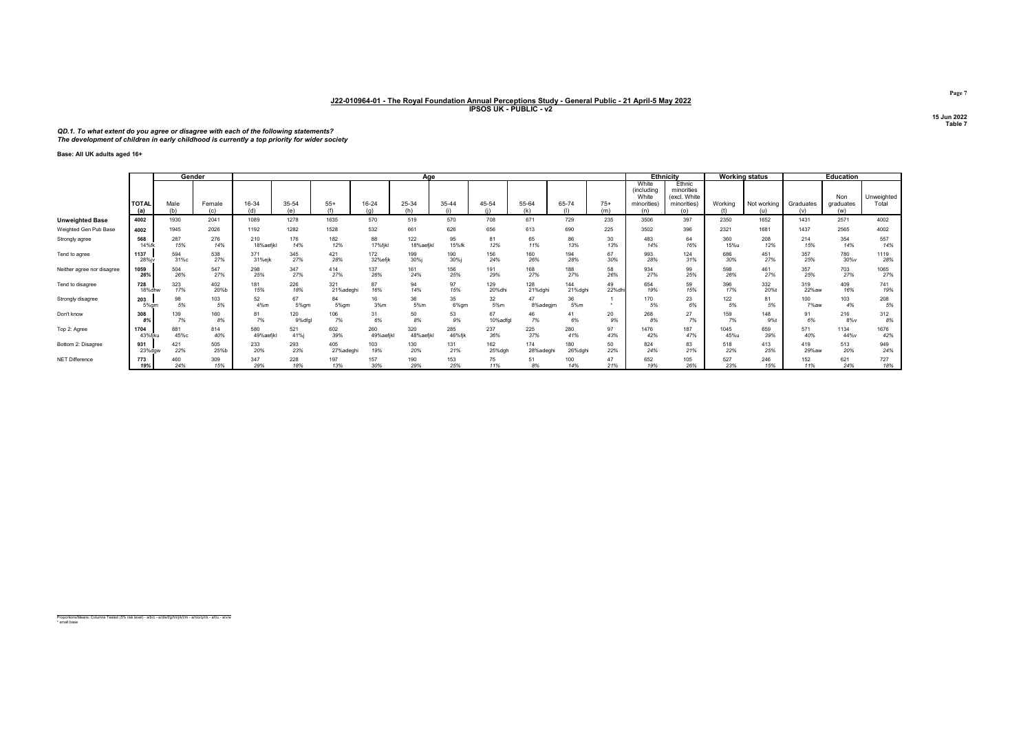# QD.1. To what extent do you agree or disagree with each of the following statements? The development of children in early childhood is currently a top priority for wider society

Base: All UK adults aged 16+

|                            |                     |             | Gender        |               |              |                         |                | Aae          |            |             |                |              |              |                                                    | <b>Ethnicity</b>                                           |                | <b>Working status</b> |                  | <b>Education</b>        |                     |
|----------------------------|---------------------|-------------|---------------|---------------|--------------|-------------------------|----------------|--------------|------------|-------------|----------------|--------------|--------------|----------------------------------------------------|------------------------------------------------------------|----------------|-----------------------|------------------|-------------------------|---------------------|
|                            | <b>TOTAI</b><br>(a) | Male<br>(h) | Female<br>(c) | 16-34<br>(d)  | 35-54<br>(۵۱ | $55+$<br>$/f \setminus$ | 16-24          | 25-34<br>(h) | 35-44      | 45-54<br>f: | 55-64<br>(k)   | 65-74<br>(1) | $75+$<br>(m) | White<br>(including<br>White<br>minorities)<br>(n) | Ethnic<br>minorities<br>(excl. White<br>minorities)<br>(0) | Working<br>(t) | Not working<br>(u)    | Graduates<br>(v) | Non<br>graduates<br>(w) | Unweighted<br>Total |
| <b>Unweighted Base</b>     | 4002                | 1930        | 2041          | 1089          | 1278         | 1635                    | 570            | 519          | 570        | 708         | 671            | 729          | 235          | 3506                                               | 397                                                        | 2350           | 1652                  | 1431             | 2571                    | 4002                |
| Weighted Gen Pub Base      | 4002                | 1945        | 2026          | 1192          | 1282         | 1528                    | 532            | 661          | 626        | 656         | 613            | 690          | 225          | 3502                                               | 396                                                        | 2321           | 1681                  | 1437             | 2565                    | 4002                |
| Strongly agree             | 568                 | 287         | 276           | 210           | 176          | 182                     | 88             | 122          | 95         | 81          | 65             | 86           | 30           | 483                                                | 64                                                         | 360            | 208                   | 214              | 354                     | 557                 |
|                            | 14%fk               | 15%         | 14%           | 18%aefikl     | 14%          | 12%                     | 17%fjkl        | 18%aefjkl    | 15%fk      | 12%         | 11%            | 13%          | 13%          | 14%                                                | 16%                                                        | 15%u           | 12%                   | 15%              | 14%                     | 14%                 |
| Tend to agree              | 1137<br>28%i        | 594<br>31%c | 538<br>27%    | 371<br>31%ejk | 345<br>27%   | 421<br>28%              | 172<br>32%efik | 199<br>30%j  | 190<br>30% | 156<br>24%  | 160<br>26%     | 194<br>28%   | 67<br>30%    | 993<br>28%                                         | 124<br>31%                                                 | 686<br>30%     | 451<br>27%            | 357<br>25%       | 780<br>30%v             | 1119<br>28%         |
| Neither agree nor disagree | 1059                | 504         | 547           | 298           | 347          | 414                     | 137            | 161          | 156        | 191         | 168            | 188          | 58           | 934                                                | 99                                                         | 598            | 461                   | 357              | 703                     | 1065                |
|                            | 26%                 | 26%         | 27%           | 25%           | 27%          | 27%                     | 26%            | 24%          | 25%        | 29%         | 27%            | 27%          | 26%          | 27%                                                | 25%                                                        | 26%            | 27%                   | 25%              | 27%                     | 27%                 |
| Tend to disagree           | 728                 | 323         | 402           | 181           | 226          | 321                     | 87             | 94           | 97         | 129         | 128            | 144          | 49           | 654                                                | 59                                                         | 396            | 332                   | 319              | 409                     | 741                 |
|                            | 18%dhw              | 17%         | 20%b          | 15%           | 18%          | 21%adeghi               | 16%            | 14%          | 15%        | 20%dhi      | 21%dghi        | 21%dghi      | 22%dl        | 19%                                                | 15%                                                        | 17%            | 20%t                  | 22%aw            | 16%                     | 19%                 |
| Strongly disagree          | 203<br>5% am        | 98<br>5%    | 103<br>5%     | 52<br>4%m     | 67<br>5%am   | 84<br>5% am             | 16<br>3%m      | 36<br>5%m    | 35<br>6%gm | 32<br>5%m   | 47<br>8%adegim | 36<br>5%m    |              | 170<br>5%                                          | 23<br>6%                                                   | 122<br>5%      | 81<br>5%              | 100<br>7%aw      | 103<br>4%               | 208<br>5%           |
| Don't know                 | 308                 | 139         | 160           | 81            | 120          | 106                     | 31             | 50           | 53         | 67          | 46             | 41           | 20           | 268                                                | 27                                                         | 159            | 148                   | 91               | 216                     | 312                 |
|                            | 8%                  | 7%          | 8%            | 7%            | 9%dfgl       | 7%                      | 6%             | 8%           | 9%         | 10%adfgl    | 7%             | 6%           | 9%           | 8%                                                 | 7%                                                         | 7%             | 9%t                   | 6%               | 8%v                     | 8%                  |
| Top 2: Agree               | 1704                | 881         | 814           | 580           | 521          | 602                     | 260            | 320          | 285        | 237         | 225            | 280          | 97           | 1476                                               | 187                                                        | 1045           | 659                   | 571              | 1134                    | 1676                |
|                            | 43%fiku             | 45%c        | 40%           | 49%aefikl     | 41%i         | 39%                     | 49%aefikl      | 48%aefjkl    | 46%fik     | 36%         | 37%            | 41%          | 43%          | 42%                                                | 47%                                                        | 45%u           | 39%                   | 40%              | 44%v                    | 42%                 |
| Bottom 2: Disagree         | 931                 | 421         | 505           | 233           | 293          | 405                     | 103            | 130          | 131        | 162         | 174            | 180          | 50           | 824                                                | 83                                                         | 518            | 413                   | 419              | 513                     | 949                 |
|                            | 23%dgw              | 22%         | 25%b          | 20%           | 23%          | 27%adegh                | 19%            | 20%          | 21%        | 25%dgh      | 28%adeghi      | 26%dghi      | 22%          | 24%                                                | 21%                                                        | 22%            | 25%                   | 29%aw            | 20%                     | 24%                 |
| NET Difference             | 773                 | 460         | 309           | 347           | 228          | 197                     | 157            | 190          | 153        | 75          | 51             | 100          | 47           | 652                                                | 105                                                        | 527            | 246                   | 152              | 621                     | 727                 |
|                            | 19%                 | 24%         | 15%           | 29%           | 18%          | 13%                     | 30%            | 29%          | 25%        | 11%         | 8%             | 14%          | 21%          | 19%                                                | 26%                                                        | 23%            | 15%                   | 11%              | 24%                     | 18%                 |

Proportions/Means: Columns Tested (5% risk level) - a/b/c - a/d/e/f/g/h/i/j/k/l/m - a/n/o/q/r/s - a/t/u - a/v/w \* small base

Page 7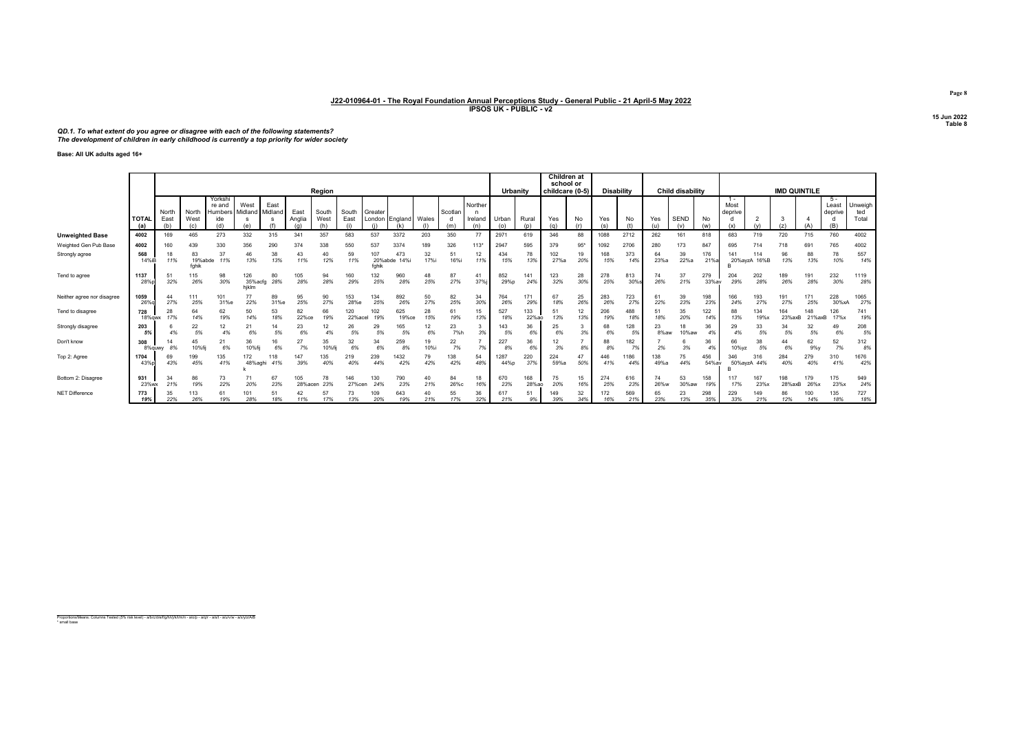# QD.1. To what extent do you agree or disagree with each of the following statements? The development of children in early childhood is currently a top priority for wider society

Base: All UK adults aged 16+

|                            |                     |           |                        |                             |                         |                 |                | Region       |                |                       |                |            |            |                | Urbanity     |              | Children at<br>school or | childcare (0-5) | Disability |            |             | Child disability |              |                 |             | <b>IMD QUINTILE</b> |               |                        |                |
|----------------------------|---------------------|-----------|------------------------|-----------------------------|-------------------------|-----------------|----------------|--------------|----------------|-----------------------|----------------|------------|------------|----------------|--------------|--------------|--------------------------|-----------------|------------|------------|-------------|------------------|--------------|-----------------|-------------|---------------------|---------------|------------------------|----------------|
|                            |                     | North     | North                  | Yorksh<br>re and<br>Humber: | West<br>Midland I       | East<br>Midland | East           | South        | South          | Greater               |                |            | Scotlan    | Norther        |              |              |                          |                 |            |            |             |                  |              | Most<br>deprive |             |                     |               | 5 -<br>Leas<br>deprive | Unweigh<br>ted |
|                            | <b>TOTAL</b><br>(a) | East      | West<br>(c)            | ide                         |                         |                 | Anglia         | West         | East           |                       | London England | Wales      | (m)        | Ireland<br>(n) | Urban        | Rural        | Yes<br>(q)               | No<br>(r)       | Yes        | No         | Yes         | <b>SEND</b>      | No           |                 |             | (z)                 |               |                        | Total          |
| <b>Unweighted Base</b>     | 4002                | 169       | 465                    | 273                         | 332                     | 315             | 341            | 357          | 583            | 537                   | 3372           | 203        | 350        | 77             | 297          | 619          | 346                      | 88              | 1088       | 2712       | 262         | 161              | 818          | 683             | 719         | 720                 | 715           | 760                    | 4002           |
| Weighted Gen Pub Base      | 4002                | 160       | 439                    | 330                         | 356                     | 290             |                | 338          | 550            | 537                   | 3374           | 189        | 326        | $113*$         | 2947         | 595          | 379                      | 95"             | 1092       | 2706       | 280         | 173              | 847          | 695             |             | 718                 | 691           | 765                    | 4002           |
| Strongly agree             | 568<br>14%iB        | 18<br>11% | 83<br>19%abde<br>fahik | 37<br>11%                   | 46<br>13%               | 38<br>13%       | 43<br>11%      | 40<br>12%    | 59<br>11%      | 107<br>20%ab<br>fahil | 473<br>de      | 32<br>17%i | 51<br>16%i | 12<br>11%      | 434<br>15%   | 78<br>13%    | 102<br>27%a              | 19<br>20%       | 168<br>15% | 373<br>14% | 64<br>23%a  | 39<br>22%a       | 176<br>21%a  | 20%avzA         | 114<br>16%B | 96<br>13%           | 88<br>13%     | 78<br>10%              | 557<br>14%     |
| Tend to agree              | 1137<br>28%         | 51<br>32% | 15<br>26%              | 98<br>30%                   | 126<br>35%acfg<br>hiklm | 80<br>28%       | 105<br>28%     | 94<br>28%    | 160<br>29%     | 132<br>25%            | 960<br>28%     | 48<br>25%  | 87<br>27%  | 41<br>37%      | 852<br>29%p  | 141<br>24%   | 123<br>32%               | 28<br>30%       | 278<br>25% | 813<br>30% | 26%         | 37<br>21%        | 279<br>33%av | 204<br>29%      | 202<br>28%  | 189<br>26%          | 191<br>28%    | 232<br>30%             | 1119<br>28%    |
| Neither agree nor disagree | 1059<br>26%c        | 27%       | 111<br>25%             | 101<br>31%e                 | 77<br>22%               | 89<br>31%e      | 95<br>25%      | 90<br>27%    | 153<br>28%e    | 134<br>25%            | 892<br>26%     | 50<br>27%  | 82<br>25%  | 34<br>30%      | 764<br>26%   | 171<br>29%   | 67<br>18%                | 25<br>26%       | 283<br>26% | 723<br>27% | 61<br>22%   | 39<br>23%        | 198<br>23%   | 166<br>24%      | 193<br>27%  | 191<br>27%          | 171<br>25%    | 228<br>30%xA           | 1065<br>27%    |
| Tend to disagree           | 728<br>18% aw       | 28<br>17% | 64<br>14%              | 62<br>19%                   | 50<br>14%               | 53<br>18%       | 82<br>22%ce    | 66<br>19%    | 120<br>22%acel | 102<br>19%            | 625<br>19%се   | 28<br>15%  | 61<br>19%  | 15<br>13%      | 527<br>18%   | 133<br>22%ao | 51<br>13%                | 12<br>13%       | 206<br>19% | 488<br>18% | 51<br>18%   | 35<br>20%        | 122<br>14%   | 88<br>13%       | 134<br>19%» | 164<br>23%axB       | 148<br>21%axB | 126<br>17%x            | 741<br>19%     |
| Strongly disagree          | 203                 | 4%        | 22<br>5%               | 12<br>4%                    | 21<br>6%                | 14<br>5%        | 23<br>6%       | 12<br>4%     | 26<br>5%       | 29<br>5%              | 165<br>5%      | 6%         | 23<br>7%h  | 3<br>3%        | 143<br>5%    | 36<br>6%     | 25<br>6%                 | 3%              | 68<br>6%   | 128<br>5%  | 23<br>8%aw  | 18<br>10%aw      | 36<br>4%     | 29<br>4%        | 33<br>5%    | 5%                  | 32<br>5%      | 49<br>6%               | 208<br>5%      |
| Don't know                 | 308<br>8%guw        | 8%        | 45<br>10%fi            | 21<br>6%                    | 36<br>10%fij            | 16<br>6%        | 27<br>7%       | 35<br>10%fij | 32<br>6%       | 34<br>6%              | 259<br>8%      | 19<br>10%  | 22<br>7%   | 7%             | 227<br>8%    | 36<br>6%     | 12<br>3%                 | 8%              | 88<br>8%   | 182<br>7%  | 2%          | 3%               | 36<br>4%     | 66<br>10%vz     | 38<br>5%    | 6%                  | 62<br>$9\%$ y | 52<br>7%               | 312<br>8%      |
| Top 2: Agree               | 1704<br>43%         | 69<br>43% | 199<br>45%             | 135<br>41%                  | 172<br>48%aghi          | 118<br>41%      | 147<br>39%     | 135<br>40%   | 219<br>40%     | 239<br>44%            | 1432<br>42%    | 79<br>42%  | 138<br>42% | 54<br>48%      | 1287<br>44%p | 220<br>37%   | 224<br>59%a              | 47<br>50%       | 446<br>41% | 186<br>44% | 138<br>49%a | 75<br>44%        | 456<br>54%av | 50%avzA 44%     | 316         | 284<br>40%          | 279<br>40%    | 310<br>41%             | 1676<br>42%    |
| Bottom 2: Disagree         | 931<br>23%w         | 34<br>21% | 86<br>19%              | 73<br>22%                   | 71<br>20%               | 67<br>23%       | 105<br>28%acen | 78<br>23%    | 146<br>27%cen  | 130<br>24%            | 790<br>23%     | 40<br>21%  | 84<br>26%с | 18<br>16%      | 670<br>23%   | 168<br>28%ao | 75<br>20%                | 15<br>16%       | 274<br>25% | 616<br>23% | 26%w        | 53<br>30%aw      | 158<br>19%   | 17%             | 167<br>23%> | 198<br>28%axB       | 179<br>26%x   | 175<br>23%             | 949<br>24%     |
| <b>NET Difference</b>      | 773<br>19%          | 35<br>22% | 113<br>26%             | 61<br>19%                   | 101<br>28%              | 51<br>18%       | 11%            | 17%          | 73<br>13%      | 109<br>20%            | 643<br>19%     | 21%        | 55<br>17%  | 36<br>32%      | 617<br>21%   | 51<br>9%     | 149<br>39%               | 32<br>34%       | 172<br>16% | 569<br>21% | 65<br>23%   | 23<br>13%        | 298<br>35%   | 229<br>33%      | 149<br>21%  | 86<br>12%           | 100<br>14%    | 135<br>18%             | 727<br>18%     |

Proportions/Means: Columns Tested (5% risk level) - a/b/c/d/e/f/g/h/i/j/k/l/m/n - a/o/p - a/q/r - a/s/t - a/u/v/w - a/x/y/z/A/B \* small base

Page 8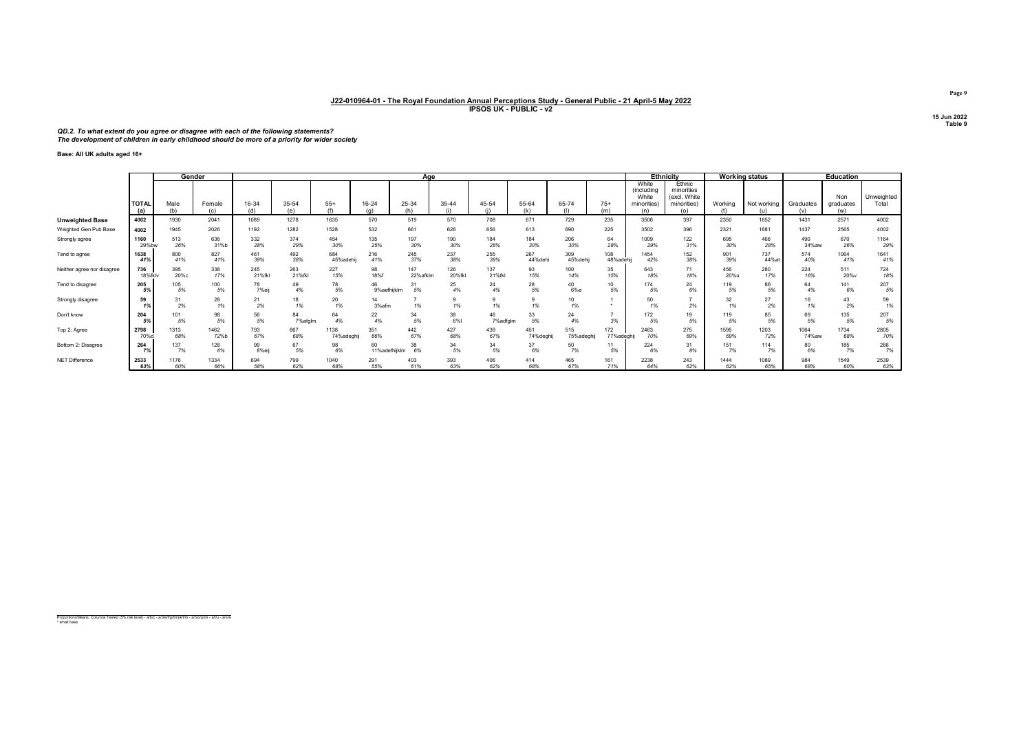# QD.2. To what extent do you agree or disagree with each of the following statements? The development of children in early childhood should be more of a priority for wider society

Base: All UK adults aged 16+

|                            |                     |             | Gender        |              |               |                         |               | Aae          |          |                 |              |            |              |                                                    | <b>Ethnicity</b>                                           |           | Working status     |                  | <b>Education</b>        |                     |
|----------------------------|---------------------|-------------|---------------|--------------|---------------|-------------------------|---------------|--------------|----------|-----------------|--------------|------------|--------------|----------------------------------------------------|------------------------------------------------------------|-----------|--------------------|------------------|-------------------------|---------------------|
|                            | <b>TOTAL</b><br>(a) | Male<br>(h) | Female<br>(c) | 16-34<br>(d) | 35-54<br>(۵   | $55+$<br>$/f \setminus$ | 16-24<br>(n)  | 25-34<br>(h) | 35-44    | 45-54<br>(i)    | 55-64<br>(k) | 65-74      | $75+$<br>(m) | White<br>(including<br>White<br>minorities)<br>(n) | Ethnic<br>minorities<br>(excl. White<br>minorities)<br>(0) | Working   | Not working<br>(u) | Graduates<br>(v) | Non<br>graduates<br>(w) | Unweighted<br>Total |
| <b>Unweighted Base</b>     | 4002                | 1930        | 2041          | 1089         | 1278          | 1635                    | 570           | 519          | 570      | 708             | 671          | 729        | 235          | 3506                                               | 397                                                        | 2350      | 1652               | 1431             | 2571                    | 4002                |
| Weighted Gen Pub Base      | 4002                | 1945        | 2026          | 1192         | 1282          | 1528                    | 532           | 661          | 626      | 656             | 613          | 690        | 225          | 3502                                               | 396                                                        | 2321      | 1681               | 1437             | 2565                    | 4002                |
| Strongly agree             | 1160                | 513         | 636           | 332          | 374           | 454                     | 135           | 197          | 190      | 184             | 184          | 206        | 64           | 1009                                               | 122                                                        | 695       | 466                | 490              | 670                     | 1164                |
|                            | 29%bw               | 26%         | 31%b          | 28%          | 29%           | 30%                     | 25%           | 30%          | 30%      | 28%             | 30%          | 30%        | 28%          | 29%                                                | 31%                                                        | 30%       | 28%                | 34%aw            | 26%                     | 29%                 |
| Tend to agree              | 1638                | 800         | 827           | 461          | 492           | 684                     | 216           | 245          | 237      | 255             | 267          | 309        | 108          | 1454                                               | 152                                                        | 901       | 737                | 574              | 1064                    | 1641                |
|                            | 41%                 | 41%         | 41%           | 39%          | 38%           | 45%adehij               | 41%           | 37%          | 38%      | 39%             | 44%dehi      | 45%dehij   | 48%adehij    | 42%                                                | 38%                                                        | 39%       | 44% at             | 40%              | 41%                     | 41%                 |
| Neither agree nor disagree | 736                 | 395         | 338           | 245          | 263           | 227                     | 98            | 147          | 126      | 137             | 93           | 100        | 35           | 643                                                | 71                                                         | 456       | 280                | 224              | 511                     | 724                 |
|                            | 18%fklv             | 20%с        | 17%           | 21%fkl       | 21%fkl        | 15%                     | 18%f          | 22%afklm     | 20%fkl   | 21%fkl          | 15%          | 14%        | 15%          | 18%                                                | 18%                                                        | 20%u      | 17%                | 16%              | 20%v                    | 18%                 |
| Tend to disagree           | 205                 | 105         | 100           | 78           | 49            | 78                      | 46            | 31           | 25       | 24              | 28           | 40         | 10           | 174                                                | 24                                                         | 119       | 86                 | 64               | 141                     | 207                 |
|                            | 5%                  | 5%          | 5%            | 7%eij        | 4%            | 5%                      | 9%aefhijklm   | 5%           | 4%       | 4%              | 5%           | 6%e        | 5%           | 5%                                                 | 6%                                                         | 5%        | 5%                 | 4%               | 6%                      | 5%                  |
| Strongly disagree          | 59<br>1%            | 31<br>2%    | 28<br>1%      | 21<br>2%     | 18<br>1%      | 20<br>1%                | 14<br>3%afm   | 1%           | 1%       | $\circ$<br>1%   | 9<br>1%      | 10<br>1%   |              | 50<br>1%                                           | $\rightarrow$<br>2%                                        | 32<br>1%  | 27<br>2%           | 16<br>1%         | 43<br>2%                | 59<br>1%            |
| Don't know                 | 204<br>5%           | 101<br>5%   | 98<br>5%      | 56<br>5%     | 84<br>7%afalm | 64<br>4%                | 22<br>4%      | 34<br>5%     | 38<br>6% | 46<br>7% adfalm | 33<br>5%     | 24<br>4%   | 3%           | 172<br>5%                                          | 19<br>5%                                                   | 119<br>5% | 85<br>5%           | 69<br>5%         | 135<br>5%               | 207<br>5%           |
| Top 2: Agree               | 2798                | 1313        | 1462          | 793          | 867           | 1138                    | 351           | 442          | 427      | 439             | 451          | 515        | 172          | 2463                                               | 275                                                        | 1595      | 1203               | 1064             | 1734                    | 2805                |
|                            | 70%c                | 68%         | 72%b          | 67%          | 68%           | 74%adeghij              | 66%           | 67%          | 68%      | 67%             | 74%deghij    | 75%adeghij | 77%adeghi    | 70%                                                | 69%                                                        | 69%       | 72%                | 74%aw            | 68%                     | 70%                 |
| Bottom 2: Disagree         | 264                 | 137         | 128           | 99           | 67            | 98                      | 60            | 38           | 34       | 34              | 37           | 50         | 11           | 224                                                | 31                                                         | 151       | 114                | 80               | 185                     | 266                 |
|                            | 7%                  | 7%          | 6%            | 8%eii        | 5%            | 6%                      | 11%adefhiiklm | 6%           | 5%       | 5%              | 6%           | 7%         | 5%           | 6%                                                 | 8%                                                         | 7%        | 7%                 | 6%               | 7%                      | 7%                  |
| <b>NET Difference</b>      | 2533                | 1176        | 1334          | 694          | 799           | 1040                    | 291           | 403          | 393      | 406             | 414          | 465        | 161          | 2238                                               | 243                                                        | 1444      | 1089               | 984              | 1549                    | 2539                |
|                            | 63%                 | 60%         | 66%           | 58%          | 62%           | 68%                     | 55%           | 61%          | 63%      | 62%             | 68%          | 67%        | 71%          | 64%                                                | 62%                                                        | 62%       | 65%                | 68%              | 60%                     | 63%                 |

Proportions/Means: Columns Tested (5% risk level) - a/b/c - a/d/e/f/g/h/i/j/k/l/m - a/n/o/q/r/s - a/t/u - a/v/w \* small base

Page 9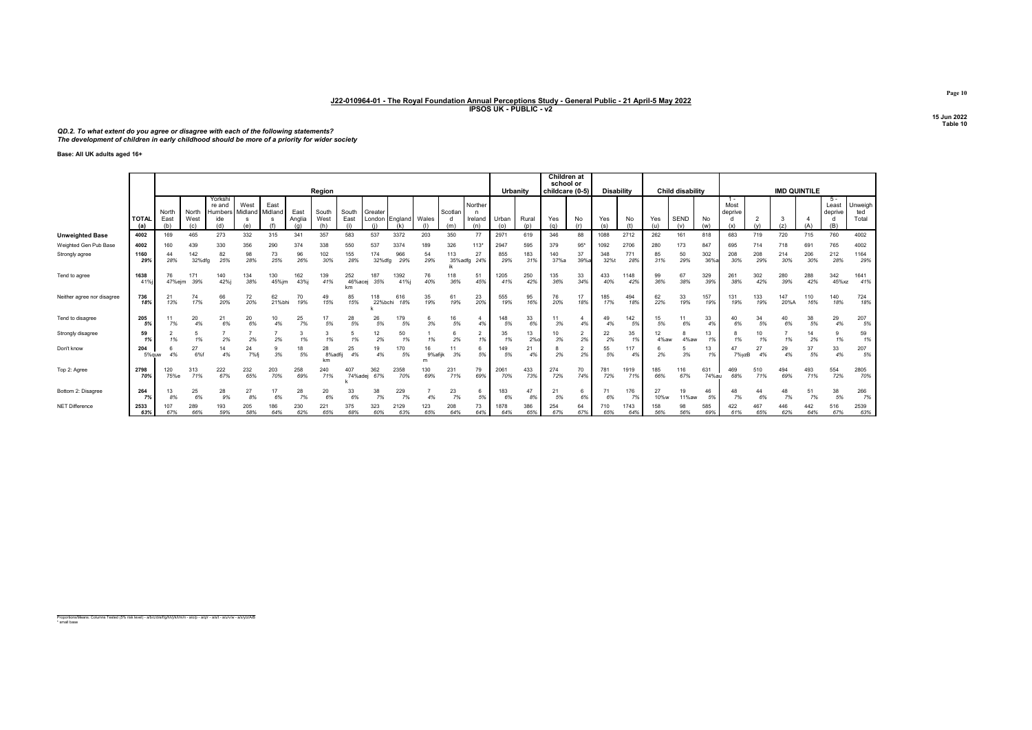# QD.2. To what extent do you agree or disagree with each of the following statements? The development of children in early childhood should be more of a priority for wider society

Base: All UK adults aged 16+

|                            |                         |                      |                      |                                           |                        |                 |                | Region               |                      |                   |                |            |                |                                | Urbanity     |              | Children at<br>school or<br>childcare (0-5) |           | <b>Disability</b> |             |            | Child disability |              |                        |            | <b>IMD QUINTILE</b> |            |                                  |                         |
|----------------------------|-------------------------|----------------------|----------------------|-------------------------------------------|------------------------|-----------------|----------------|----------------------|----------------------|-------------------|----------------|------------|----------------|--------------------------------|--------------|--------------|---------------------------------------------|-----------|-------------------|-------------|------------|------------------|--------------|------------------------|------------|---------------------|------------|----------------------------------|-------------------------|
|                            | <b>TOTA</b><br>(a)      | North<br>East<br>(b) | North<br>West<br>(c) | Yorksh<br>re and<br>Humbers<br>ide<br>(d) | West<br>Midland<br>(e) | East<br>Midland | East<br>Analia | South<br>West<br>(h) | South<br>East        | Greater<br>London | England<br>(k) | Wales      | Scotlan<br>(m) | Norther<br>n<br>Ireland<br>(n) | Urban<br>(0) | Rural<br>(n) | Yes<br>(q)                                  | No        | Yes<br>(s)        | No<br>(t)   | Yes<br>(u) | <b>SEND</b>      | No<br>(w)    | Most<br>deprive<br>(x) |            | 3<br>(z)            | (A)        | $5 -$<br>Least<br>deprive<br>(B) | Unweigh<br>ted<br>Total |
| <b>Unweighted Base</b>     | 4002                    | 169                  | 465                  | 273                                       | 332                    | 315             | 341            | 357                  | 583                  | 537               | 3372           | 203        | 350            | 77                             | 297          | 619          | 346                                         | 88        | 1088              | 2712        | 262        | 161              | 818          | 683                    | 719        | 720                 | 715        | 760                              | 4002                    |
| Weighted Gen Pub Base      | 4002                    | 160                  | 439                  | 330                                       | 356                    | 290             | 374            | 338                  | 550                  | 537               | 3374           | 189        | 326            | $113*$                         | 2947         | 595          | 379                                         | 95"       | 1092              | 2706        | 280        | 173              | 847          | 695                    | 714        | 718                 | 691        | 765                              | 4002                    |
| Strongly agree             | 1160<br>29%             | 44<br>28%            | 142<br>32%dfg        | 82<br>25%                                 | 98<br>28%              | 73<br>25%       | 96<br>26%      | 102<br>30%           | 155<br>28%           | 174<br>32%df      | 966<br>29%     | 54<br>29%  | 113<br>35%adfg | 27<br>24%                      | 855<br>29%   | 183<br>31%   | 140<br>37%a                                 | 37<br>39% | 348<br>32%        | 771<br>28%  | 85<br>31%  | 50<br>29%        | 302<br>36%   | 208<br>30%             | 208<br>29% | 214<br>30%          | 206<br>30% | 212<br>28%                       | 1164<br>29%             |
| Tend to agree              | 1638<br>41 <sup>6</sup> | 76<br>47%ejm         | 171<br>39%           | 140<br>42%j                               | 134<br>38%             | 130<br>45%jm    | 162<br>43%     | 139<br>41%           | 252<br>46%acej<br>km | 187<br>35%        | 1392<br>41%j   | 76<br>40%  | 118<br>36%     | 51<br>45%                      | 1205<br>41%  | 250<br>42%   | 135<br>36%                                  | 33<br>34% | 433<br>40%        | 1148<br>42% | 99<br>36%  | 67<br>38%        | 329<br>39%   | 261<br>38%             | 302<br>42% | 280<br>39%          | 288<br>42% | 342<br>45%xz                     | 1641<br>41%             |
| Neither agree nor disagree | 736<br>18%              | 21<br>13%            | 74<br>17%            | 66<br>20%                                 | 72<br>20%              | 62<br>21%bhi    | 70<br>19%      | 49<br>15%            | 85<br>15%            | 118<br>22%bchi    | 616<br>18%     | 35<br>19%  | 61<br>19%      | 23<br>20%                      | 555<br>19%   | 95<br>16%    | 76<br>20%                                   | 17<br>18% | 185<br>17%        | 494<br>18%  | 62<br>22%  | 33<br>19%        | 157<br>19%   | 131<br>19%             | 133<br>19% | 147<br>20%A         | 110<br>16% | 140<br>18%                       | 724<br>18%              |
| Tend to disagree           | 205<br>5%               | 7%                   | 20<br>4%             | 21<br>6%                                  | 20<br>6%               | 4%              | 25<br>7%       | 5%                   | 28<br>5%             | 26<br>5%          | 179<br>5%      | 3%         | 16<br>5%       | 4%                             | 148<br>5%    | 33<br>6%     | 11<br>3%                                    | 4%        | 49<br>4%          | 142<br>5%   | 15<br>5%   | 11<br>6%         | 33<br>4%     | 6%                     | 34<br>5%   | 40<br>6%            | 38<br>5%   | 29<br>4%                         | 207<br>5%               |
| Strongly disagree          | 59<br>1 <sup>°</sup>    |                      | 5<br>1%              | 2%                                        | 2%                     | 2%              | 1%             | 1%                   | 1%                   | 12<br>2%          | 50<br>1%       | 1%         | 2%             | 1%                             | 35<br>1%     | 13<br>$2%$ o | 10<br>3%                                    | 2<br>2%   | 22<br>2%          | 35<br>1%    | 4%aw       | 4%aw             | 13           |                        | 10<br>1%   | 1%                  | 14<br>2%   | 9<br>1%                          | 59<br>1%                |
| Don't know                 | 204<br>5% au            | 4%                   | 27<br>6%f            | 14<br>4%                                  | 24<br>7%fi             | 3%              | 18<br>5%       | 28<br>8%adfi<br>km   | 25<br>4%             | 19<br>4%          | 170<br>5%      | 9%afiik    | 11<br>3%       | -6<br>5%                       | 149<br>5%    | 21<br>4%     | 2%                                          | 2%        | 55<br>5%          | 117<br>4%   | 2%         | 5<br>3%          | 13<br>19     | 7%vzB                  | 27<br>4%   | 29<br>4%            | 37<br>5%   | 33<br>4%                         | 207<br>5%               |
| Top 2: Agree               | 2798<br>70%             | 120<br>75%e          | 313<br>71%           | 222<br>67%                                | 232<br>65%             | 203<br>70%      | 258<br>69%     | 240<br>71%           | 407<br>74%adej       | 362<br>67%        | 2358<br>70%    | 130<br>69% | 231<br>71%     | 79<br>69%                      | 2061<br>70%  | 433<br>73%   | 274<br>72%                                  | 70<br>74% | 781<br>72%        | 1919<br>71% | 185<br>66% | 116<br>67%       | 631<br>74%au | 469<br>68%             | 510<br>71% | 494<br>69%          | 493<br>71% | 554<br>72%                       | 2805<br>70%             |
| Bottom 2: Disagree         | 264<br>7%               | 13<br>8%             | 25<br>6%             | 28<br>9%                                  | 27<br>8%               | 17<br>6%        | 28<br>7%       | 20<br>6%             | 33<br>6%             | 38<br>7%          | 229<br>7%      | 4%         | 23<br>7%       | 5%                             | 183<br>6%    | 47<br>8%     | 21<br>5%                                    | 6<br>6%   | 71<br>6%          | 176<br>7%   | 27<br>10%w | 19<br>11%aw      | 46<br>5%     | 7%                     | 44<br>6%   | 48<br>7%            | 51<br>7%   | 38<br>5%                         | 266<br>7%               |
| <b>NET Difference</b>      | 2533<br>63%             | 107<br>67%           | 289<br>66%           | 193<br>59%                                | 205<br>58%             | 86<br>64%       | 230<br>62%     | 221<br>65%           | 375<br>68%           | 323<br>60%        | 2129<br>63%    | 123<br>65% | 208<br>64%     | 73<br>64%                      | 878<br>64%   | 386<br>65%   | 254<br>67%                                  | 64<br>67% | 710<br>65%        | 743<br>64%  | 158<br>56% | 98<br>56%        | 585<br>69%   | 422<br>61%             | 467<br>65% | 446<br>62%          | 442<br>64% | 516<br>67%                       | 2539<br>63%             |

Proportions/Means: Columns Tested (5% risk level) - a/b/c/d/e/f/g/h/i/j/k/l/m/n - a/o/p - a/q/r - a/s/t - a/u/v/w - a/x/y/z/A/B \* small base

Page 10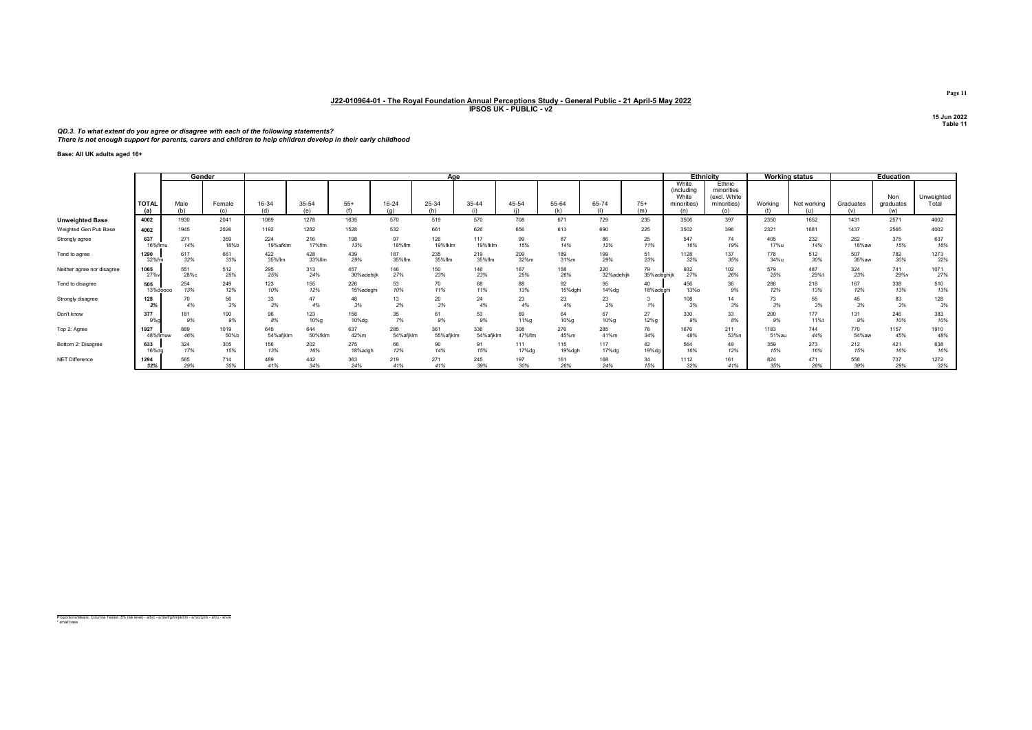QD.3. To what extent do you agree or disagree with each of the following statements? There is not enough support for parents, carers and children to help children develop in their early childhood

Base: All UK adults aged 16+

|                            |                     |             | Gender        |              |              |            |              | Aae          |           |              |              |            |              |                              | <b>Ethnicity</b>                     |          | <b>Working status</b> |                  | Education        |            |
|----------------------------|---------------------|-------------|---------------|--------------|--------------|------------|--------------|--------------|-----------|--------------|--------------|------------|--------------|------------------------------|--------------------------------------|----------|-----------------------|------------------|------------------|------------|
|                            |                     |             |               |              |              |            |              |              |           |              |              |            |              | White<br>(including<br>White | Ethnic<br>minorities<br>(excl. White |          |                       |                  | Non              | Unweighted |
|                            | <b>TOTAL</b><br>(a) | Male<br>(b) | Female<br>(c) | 16-34<br>(d) | 35-54<br>(a) | $55+$      | 16-24<br>(n) | 25-34<br>(h) | 35-44     | 45-54<br>(i) | 55-64<br>(k) | 65-74      | $75+$<br>(m) | minorities)<br>(n)           | minorities)<br>(0)                   | Working  | Not working<br>(u)    | Graduates<br>(v) | graduates<br>(w) | Total      |
| <b>Unweighted Base</b>     | 4002                | 1930        | 2041          | 1089         | 1278         | 1635       | 570          | 519          | 570       | 708          | 671          | 729        | 235          | 3506                         | 397                                  | 2350     | 1652                  | 1431             | 2571             | 4002       |
| Weighted Gen Pub Base      | 4002                | 1945        | 2026          | 1192         | 1282         | 1528       | 532          | 661          | 626       | 656          | 613          | 690        | 225          | 3502                         | 396                                  | 2321     | 1681                  | 1437             | 2565             | 4002       |
| Strongly agree             | 637                 | 271         | 359           | 224          | 216          | 198        | 97           | 126          | 117       | 99           | 87           | 86         | 25           | 547                          | 74                                   | 405      | 232                   | 262              | 375              | 637        |
|                            | 16%flmu             | 14%         | 18%b          | 19%afklm     | 17%flm       | 13%        | 18%flm       | 19%fklm      | 19%fklm   | 15%          | 14%          | 12%        | 11%          | 16%                          | 19%                                  | 17%u     | 14%                   | 18%aw            | 15%              | 16%        |
| Tend to agree              | 1290                | 617         | 661           | 422          | 428          | 439        | 187          | 235          | 219       | 209          | 189          | 199        | 51           | 1128                         | 137                                  | 778      | 512                   | 507              | 782              | 1273       |
|                            | 32%fm               | 32%         | 33%           | 35%flm       | 33%flm       | 29%        | 35%flm       | 35%flm       | 35%flm    | 32%m         | 31%m         | 29%        | 23%          | 32%                          | 35%                                  | 34%u     | 30%                   | 35%aw            | 30%              | 32%        |
| Neither agree nor disagree | 1065                | 551         | 512           | 295          | 313          | 457        | 146          | 150          | 146       | 167          | 158          | 220        | 79           | 932                          | 102                                  | 579      | 487                   | 324              | 741              | 1071       |
|                            | 27%                 | 28%с        | 25%           | 25%          | 24%          | 30%adehijk | 27%          | 23%          | 23%       | 25%          | 26%          | 32%adehijk | 35%adeghijk  | 27%                          | 26%                                  | 25%      | 29%t                  | 23%              | 29%v             | 27%        |
| Tend to disagree           | 505                 | 254         | 249           | 123          | 155          | 226        | 53           | 70           | 68        | 88           | 92           | 95         | 40           | 456                          | 36                                   | 286      | 218                   | 167              | 338              | 510        |
|                            | 13%doooo            | 13%         | 12%           | 10%          | 12%          | 15%adeghi  | 10%          | 11%          | 11%       | 13%          | 15%dghi      | 14%da      | 18%adegh     | <b>13%o</b>                  | 9%                                   | 12%      | 13%                   | 12%              | 13%              | 13%        |
| Strongly disagree          | 128<br>3%           | 70          | 56<br>3%      | 33<br>3%     | 47<br>4%     | 48<br>3%   | 13<br>2%     | 20<br>3%     | 24<br>4%  | 23<br>4%     | 23<br>4%     | 23<br>3%   | 1%           | 108<br>3%                    | 14<br>3%                             | 73<br>3% | 3%                    | 45<br>3%         | 83<br>3%         | 128<br>3%  |
| Don't know                 | 377                 | 181         | 190           | 96           | 123          | 158        | 35           | 61           | 53        | 69           | 64           | 67         | 27           | 330                          | 33                                   | 200      | 177                   | 131              | 246              | 383        |
|                            | 9%                  | 9%          | 9%            | 8%           | 10%g         | 10%dg      | 7%           | 9%           | 9%        | 11%g         | 10%g         | 10%g       | 12%g         | 9%                           | 8%                                   | 9%       | 11%t                  | 9%               | 10%              | 10%        |
| Top 2: Agree               | 1927                | 889         | 1019          | 645          | 644          | 637        | 285          | 361          | 336       | 308          | 276          | 285        | 76           | 1676                         | 211                                  | 1183     | 744                   | 770              | 1157             | 1910       |
|                            | 48%flmuw            | 46%         | 50%b          | 54%afiklm    | 50%fklm      | 42%m       | 54%afjklm    | 55%afjklm    | 54%afjklm | 47%flm       | 45%m         | 41%m       | 34%          | 48%                          | 53%n                                 | 51%au    | 44%                   | 54%aw            | 45%              | 48%        |
| Bottom 2: Disagree         | 633                 | 324         | 305           | 156          | 202          | 275        | 66           | 90           | 91        | 111          | 115          | 117        | 42           | 564                          | 49                                   | 359      | 273                   | 212              | 421              | 638        |
|                            | 16%da               | 17%         | 15%           | 13%          | 16%          | 18%adgh    | 12%          | 14%          | 15%       | 17%da        | 19%dgh       | 17%dg      | 19%da        | 16%                          | 12%                                  | 15%      | 16%                   | 15%              | 16%              | 16%        |
| NET Difference             | 1294                | 565         | 714           | 489          | 442          | 363        | 219          | 271          | 245       | 197          | 161          | 168        | 34           | 1112                         | 161                                  | 824      | 471                   | 558              | 737              | 1272       |
|                            | 32%                 | 29%         | 35%           | 41%          | 34%          | 24%        | 41%          | 41%          | 39%       | 30%          | 26%          | 24%        | 15%          | 32%                          | 41%                                  | 35%      | 28%                   | 39%              | 29%              | 32%        |

Proportions/Means: Columns Tested (5% risk level) - a/b/c - a/d/e/f/g/h/i/j/k/l/m - a/n/o/q/r/s - a/t/u - a/v/w \* small base

Page 11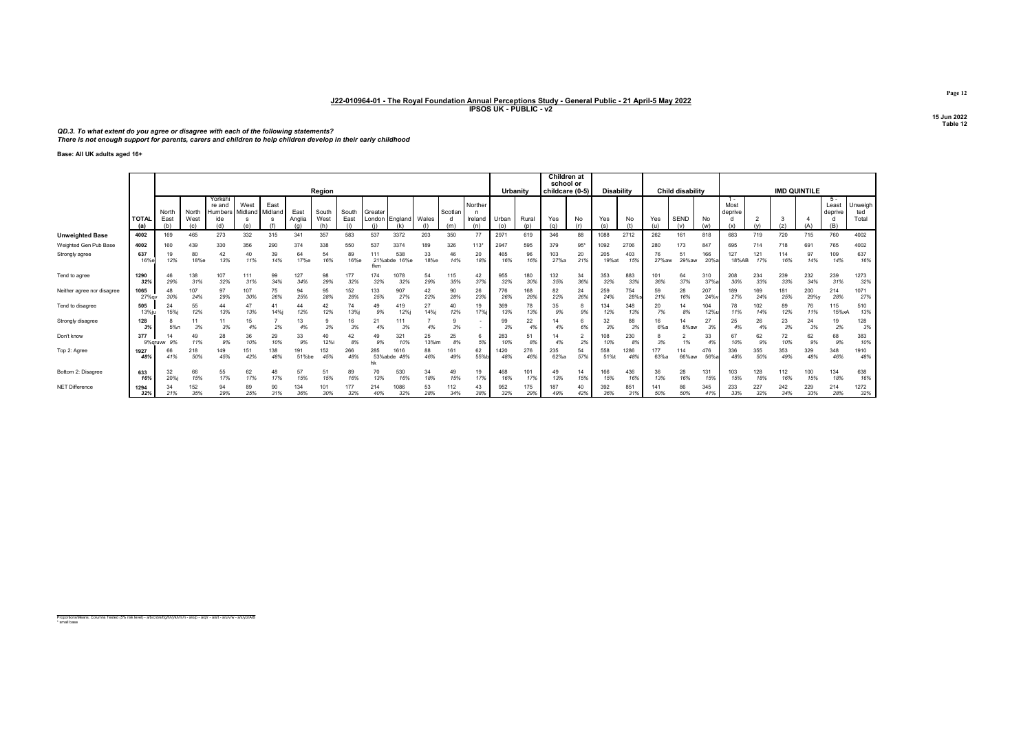QD.3. To what extent do you agree or disagree with each of the following statements? There is not enough support for parents, carers and children to help children develop in their early childhood

Base: All UK adults aged 16+

|                            |                     |                      |                      |                                    |                 |                 |                |               |               |                       |                     |             |            |                           |            |              | Children at<br>school or |                 |                   |             |             |                    |                   |                 |            |            |                     |                  |                         |
|----------------------------|---------------------|----------------------|----------------------|------------------------------------|-----------------|-----------------|----------------|---------------|---------------|-----------------------|---------------------|-------------|------------|---------------------------|------------|--------------|--------------------------|-----------------|-------------------|-------------|-------------|--------------------|-------------------|-----------------|------------|------------|---------------------|------------------|-------------------------|
|                            |                     |                      |                      |                                    |                 |                 |                | Region        |               |                       |                     |             |            |                           | Urbanity   |              |                          | childcare (0-5) | <b>Disability</b> |             |             | Child disability   |                   |                 |            |            | <b>IMD QUINTILE</b> |                  |                         |
|                            | <b>TOTAL</b><br>(a) | North<br>East<br>(b) | North<br>West<br>(c) | Yorksh<br>re and<br>Humbers<br>ide | West<br>Midland | East<br>Midland | East<br>Anglia | South<br>West | South<br>East | Greater               | London England      | Wales       | Scotlan    | Norther<br>Ireland<br>(n) | Urban      | Rural<br>(n) | Yes<br>(a)               | No              | Yes               | No          | Yes         | <b>SEND</b><br>(y) | No<br>(w)         | Most<br>deprive |            | 3<br>(z)   |                     | Least<br>deprive | Unweigh<br>ted<br>Total |
| <b>Unweighted Base</b>     | 4002                | 169                  | 465                  | 273                                | 332             | 315             | 341            | 357           | 583           | 537                   | 3372                | 203         | 350        | 77                        | 2971       | 619          | 346                      | 88              | 1088              | 2712        | 262         | 161                | 818               | 683             | 719        | 720        | 715                 | 760              | 4002                    |
| Weighted Gen Pub Base      | 4002                | 160                  | 439                  | 330                                | 356             | 290             | 374            | 338           | 550           | 537                   | 3374                | 189         | 326        | 113"                      | 2947       | 595          | 379                      | $95*$           | 1092              | 2706        | 280         | 173                | 847               | 695             | 714        | 718        | 691                 | 765              | 4002                    |
| Strongly agree             | 637<br>16%          | 19<br>12%            | 80<br>18%e           | 42<br>13%                          | 40<br>11%       | 39<br>14%       | 64<br>17%e     | 54<br>16%     | 89<br>16%e    | 111<br>21%abde<br>fkm | 538<br>16%e         | 33<br>18%e  | 46<br>14%  | 20<br>18%                 | 465<br>16% | 96<br>16%    | 103<br>27%a              | 20<br>21%       | 205<br>19%at      | 403<br>15%  | 76<br>27%aw | 51<br>29%aw        | 166<br>20%        | 127<br>18%AB    | 121<br>17% | 114<br>16% | 97<br>14%           | 109<br>14%       | 637<br>16%              |
| Tend to agree              | 1290<br>32%         | 46<br>29%            | 138<br>31%           | 107<br>32%                         | 111<br>31%      | 99<br>34%       | 127<br>34%     | 98<br>29%     | 177<br>32%    | 174<br>32%            | 1078<br>32%         | 29%         | 115<br>35% | 42<br>37%                 | 955<br>32% | 180<br>30%   | 132<br>35%               | 34<br>36%       | 353<br>32%        | 883<br>33%  | 101<br>36%  | 64<br>37%          | 310<br>37%        | 208<br>30%      | 234<br>33% | 239<br>33% | 232<br>34%          | 239<br>31%       | 1273<br>32%             |
| Neither agree nor disagree | 1065<br>27%g        | 48<br>30%            | 107<br>24%           | 97<br>29%                          | 107<br>30%      | 75<br>26%       | 94<br>25%      | 95<br>28%     | 152<br>28%    | 133<br>25%            | 907<br>27%          | 42<br>22%   | 90<br>28%  | 26<br>23%                 | 776<br>26% | 168<br>28%   | 82<br>22%                | 24<br>26%       | 259<br>24%        | 754<br>28%  | 59<br>21%   | 28<br>16%          | 207<br>24%        | 189<br>27%      | 169<br>24% | 181<br>25% | 200<br>29%y         | 214<br>28%       | 1071<br>27%             |
| Tend to disagree           | 505<br>13%iu        | 24<br>15%            | 55<br>12%            | 44<br>13%                          | 47<br>13%       | 14%i            | 44<br>12%      | 42<br>12%     | 74<br>13%     | 49<br>9%              | 419<br>12%j         | 27<br>14%   | 40<br>12%  | 19<br>17%i                | 369<br>13% | 78<br>13%    | 35<br>9%                 | 9%              | 134<br>12%        | 348<br>13%  | 20<br>7%    | 14<br>8%           | 104<br><b>12%</b> |                 | 102<br>14% | 89<br>12%  | 76<br>11%           | 115<br>15%xA     | 510<br>13%              |
| Strongly disagree          | 128<br>3%           | 5%n                  | 3%                   | 11<br>3%                           | 15              | 2%              | 13<br>4%       | 3%            | 16<br>3%      | 21<br>4%              | 3%                  | 4%          | 3%         |                           | 99<br>3%   | 22<br>4%     | 4%                       | 69              | 32<br>3%          | 88<br>3%    | 6%a         | 14<br>8%aw         | 27<br>3%          |                 | 26         | 23<br>3%   | 24<br>3%            | 19<br>2%         | 128<br>3%               |
| Don't know                 | 377<br>9%gruw       |                      | 49<br>11%            | 28<br>9%                           | 36<br>10%       | 29<br>10%       | 33<br>9%       | 40<br>12%i    | 42<br>8%      | 49<br>9%              | 321<br>10%          | 25<br>13%im | 25<br>8%   | 6<br>5%                   | 283<br>10% | 51<br>8%     |                          | ∠<br>2%         | 108<br>10%        | 230<br>8%   | 3%          | 1%                 | 33<br>4%          | 10%             | 62<br>9%   | 72<br>10%  | 62<br>9%            | 68<br>9%         | 383<br>10%              |
| Top 2: Agree               | 1927<br>48%         | 66<br>41%            | 218<br>50%           | 149<br>45%                         | 151<br>42%      | 138<br>48%      | 191<br>51%be   | 152<br>45%    | 266<br>48%    | 285                   | 1616<br>53%abde 48% | 88<br>46%   | 161<br>49% | 62<br>55%                 | 420<br>48% | 276<br>46%   | 235<br>62%a              | 54<br>57%       | 558<br>51%t       | 1286<br>48% | 177<br>63%a | 114<br>66%aw       | 476<br>56%        | 336<br>48%      | 355<br>50% | 353<br>49% | 329<br>48%          | 348<br>46%       | 1910<br>48%             |
| Bottom 2: Disagree         | 633<br>16%          | 32<br>20%            | 66<br>15%            | 55<br>17%                          | 62<br>17%       | 48<br>17%       | 57<br>15%      | 51<br>15%     | 89<br>16%     | 70<br>13%             | 530<br>16%          | 34<br>18%   | 49<br>15%  | 19<br>17%                 | 468<br>16% | 101<br>17%   | 49<br>13%                | 14<br>15%       | 166<br>15%        | 436<br>16%  | 36<br>13%   | 28<br>16%          | 131<br>15%        | 103<br>15%      | 128<br>18% | 112<br>16% | 100<br>15%          | 134<br>18%       | 638<br>16%              |
| <b>NET Difference</b>      | 1294<br>32%         | 34<br>21%            | 152<br>35%           | 94<br>29%                          | 89<br>25%       | 90<br>31%       | 134<br>36%     | 30%           | 177<br>32%    | 214<br>40%            | 1086<br>32%         | 53<br>28%   | 112<br>34% | 43<br>38%                 | 952<br>32% | 175<br>29%   | 187<br>49%               | 42%             | 392<br>36%        | 851<br>31%  | 50%         | 86<br>50%          | 345<br>41%        | 233<br>33%      | 227<br>32% | 242<br>34% | 229<br>33%          | 214<br>28%       | 1272<br>32%             |

Proportions/Means: Columns Tested (5% risk level) - a/b/c/d/e/f/g/h/i/j/k/l/m/n - a/o/p - a/q/r - a/s/t - a/u/v/w - a/x/y/z/A/B \* small base

Page 12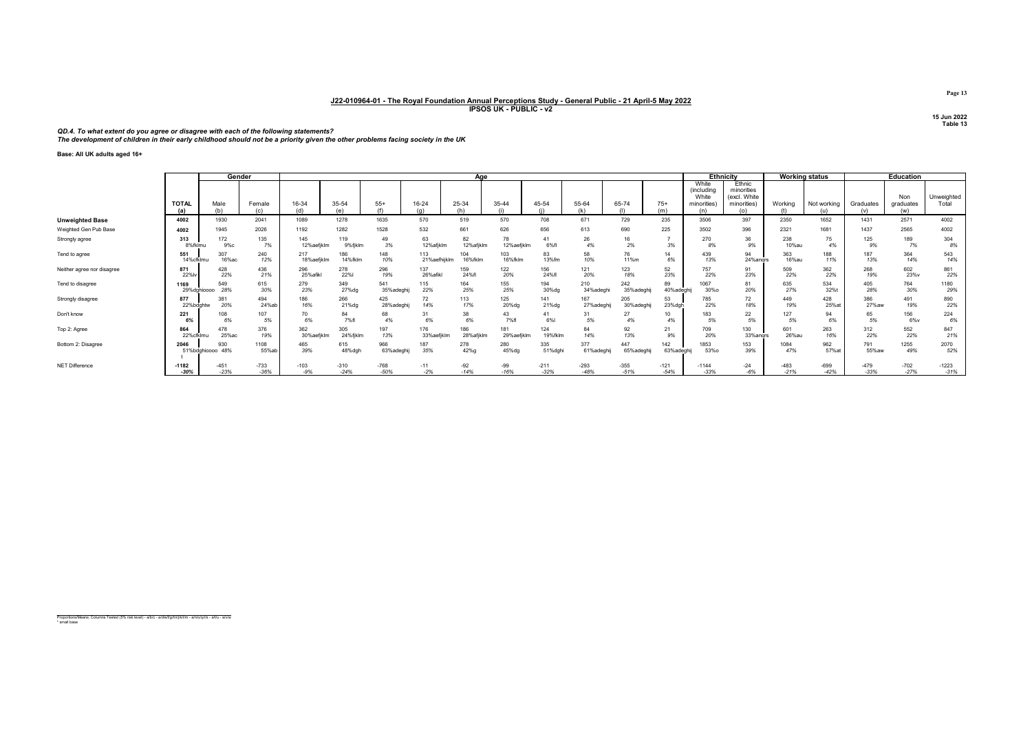QD.4. To what extent do you agree or disagree with each of the following statements?<br>The development of children in their early childhood should not be a priority given the other problems facing society in the UK

Base: All UK adults aged 16+

|                            |                     |                         | Gender           |                   |                   |                   |                     | Aae              |                   |                  |                   |                  |                  |                                                    | <b>Ethnicity</b>                                           |                  | <b>Working status</b> |                  | <b>Education</b>        |                     |
|----------------------------|---------------------|-------------------------|------------------|-------------------|-------------------|-------------------|---------------------|------------------|-------------------|------------------|-------------------|------------------|------------------|----------------------------------------------------|------------------------------------------------------------|------------------|-----------------------|------------------|-------------------------|---------------------|
|                            | <b>TOTAL</b><br>(a) | Male<br>(h)             | Female<br>(c)    | 16-34<br>(d)      | 35-54<br>(n)      | $55+$             | 16-24<br>(n)        | 25-34<br>(h)     | 35-44             | 45-54            | 55-64<br>(k)      | 65-74<br>(1)     | $75+$<br>(m)     | White<br>(including<br>White<br>minorities)<br>(n) | Ethnic<br>minorities<br>(excl. White<br>minorities)<br>(0) | Working          | Not working<br>(u)    | Graduates<br>(v) | Non<br>graduates<br>(w) | Unweighted<br>Total |
| <b>Unweighted Base</b>     | 4002                | 1930                    | 2041             | 1089              | 1278              | 1635              | 570                 | 519              | 570               | 708              | 671               | 729              | 235              | 3506                                               | 397                                                        | 2350             | 1652                  | 1431             | 2571                    | 4002                |
| Weighted Gen Pub Base      | 4002                | 1945                    | 2026             | 1192              | 1282              | 1528              | 532                 | 661              | 626               | 656              | 613               | 690              | 225              | 3502                                               | 396                                                        | 2321             | 1681                  | 1437             | 2565                    | 4002                |
| Strongly agree             | 313<br>8%fklmu      | 172<br>9%c              | 135<br>7%        | 145<br>12%aefiklm | 119<br>9%fiklm    | 49<br>3%          | 63<br>12%afjklm     | 82<br>12%afjklm  | 78<br>12%aefjklm  | 41<br>6%f        | 26<br>4%          | 2%               | 3%               | 270<br>8%                                          | 36<br>9%                                                   | 238<br>10%au     | 75<br>4%              | 125<br>9%        | 189<br>7%               | 304<br>8%           |
| Tend to agree              | 551<br>14%cfklmu    | 307<br>16%ac            | 240<br>12%       | 217<br>18%aefjkln | 14%fklm           | 148<br>10%        | 113<br>21%aefhijklm | 104<br>16%fklm   | 103<br>16%fklm    | 83<br>13%fm      | 58<br>10%         | 76<br>11%m       | 14<br>6%         | 439<br>13%                                         | 94<br>24%angrs                                             | 363<br>16%au     | 188<br>11%            | 187<br>13%       | 364<br>14%              | 543<br>14%          |
| Neither agree nor disagree | 871<br>22%          | 428<br>22%              | 436<br>21%       | 296<br>25%afikl   | 278<br><b>22%</b> | 296<br>19%        | 137<br>26%afikl     | 159<br>24%fl     | 122<br>20%        | 156<br>24%fl     | 121<br>20%        | 123<br>18%       | 52<br>23%        | 757<br>22%                                         | 91<br>23%                                                  | 509<br>22%       | 362<br>22%            | 268<br>19%       | 602<br>23%v             | 861<br>22%          |
| Tend to disagree           | 1169<br>29%dahioooo | 549<br>28%              | 615<br>30%       | 279<br>23%        | 349<br>27%da      | 541<br>35%adeghi  | 115<br>22%          | 164<br>25%       | 155<br>25%        | 194<br>30%dg     | 210<br>34%adeghi  | 242<br>35%adeghi | 89<br>40%adeghi  | 1067<br>30%o                                       | 81<br>20%                                                  | 635<br>27%       | 534<br>32%t           | 405<br>28%       | 764<br>30%              | 1180<br>29%         |
| Strongly disagree          | 877<br>22%bdghtw    | 381<br>20%              | 494<br>24%ab     | 186<br>16%        | 266<br>21%dg      | 425<br>28%adeghi  | 72<br>14%           | 113<br>17%       | 125<br>20%dg      | 141<br>21%dg     | 167<br>27%adeghij | 205<br>30%adeghi | 53<br>23%dah     | 785<br>22%                                         | 72<br>18%                                                  | 449<br>19%       | 428<br>25%a           | 386<br>27% aw    | 491<br>19%              | 890<br>22%          |
| Don't know                 | 221                 | 108<br>6%               | 107<br>5%        | 70<br>6%          | 84<br>7%fl        | 68<br>4%          | 31<br>6%            | 38<br>6%         | 43<br>7%fl        | 41<br>6%         | 31<br>5%          | 27<br>4%         | 10<br>4%         | 183<br>5%                                          | 22<br>5%                                                   | 127<br>5%        | 94<br>6%              | 65<br>5%         | 156<br>6%v              | 224<br>6%           |
| Top 2: Agree               | 864<br>22%cfklmu    | 478<br>25%ac            | 376<br>19%       | 362<br>30%aefjklr | 305<br>24%fjklm   | 197<br>13%        | 176<br>33%aefjklm   | 186<br>28%afjklm | 181<br>29%aefjklm | 124<br>19%fklm   | 84<br>14%         | 92<br>13%        | 21<br>9%         | 709<br>20%                                         | 130<br>33%angrs                                            | 601<br>26%au     | 263<br>16%            | 312<br>22%       | 552<br>22%              | 847<br>21%          |
| Bottom 2: Disagree         | 2046                | 930<br>51%bdghioooo 48% | 1108<br>55%ab    | 465<br>39%        | 615<br>48%dgh     | 966<br>63%adeghij | 187<br>35%          | 278<br>42%g      | 280<br>45%dg      | 335<br>51%dghi   | 377<br>61%adeghij | 447<br>65%adeghi | 142<br>63%adeghi | 1853<br>53%o                                       | 153<br>39%                                                 | 1084<br>47%      | 962<br>57% at         | 791<br>55%aw     | 1255<br>49%             | 2070<br>52%         |
| NET Difference             | $-1182$<br>$-30%$   | $-451$<br>$-23%$        | $-733$<br>$-36%$ | $-103$<br>$-9%$   | $-310$<br>$-24%$  | $-768$<br>$-50%$  | $-11$<br>$-2%$      | $-92$<br>$-14%$  | $-99$<br>$-16%$   | $-211$<br>$-32%$ | $-293$<br>$-48%$  | $-355$<br>$-51%$ | $-121$<br>$-54%$ | $-1144$<br>$-33%$                                  | $-24$<br>$-6%$                                             | $-483$<br>$-21%$ | $-699$<br>$-42%$      | $-479$<br>$-33%$ | $-702$<br>$-27%$        | $-1223$<br>$-31%$   |

Proportions/Means: Columns Tested (5% risk level) - a/b/c - a/d/e/f/g/h/i/j/k/l/m - a/n/o/q/r/s - a/t/u - a/v/w \* small base

Page 13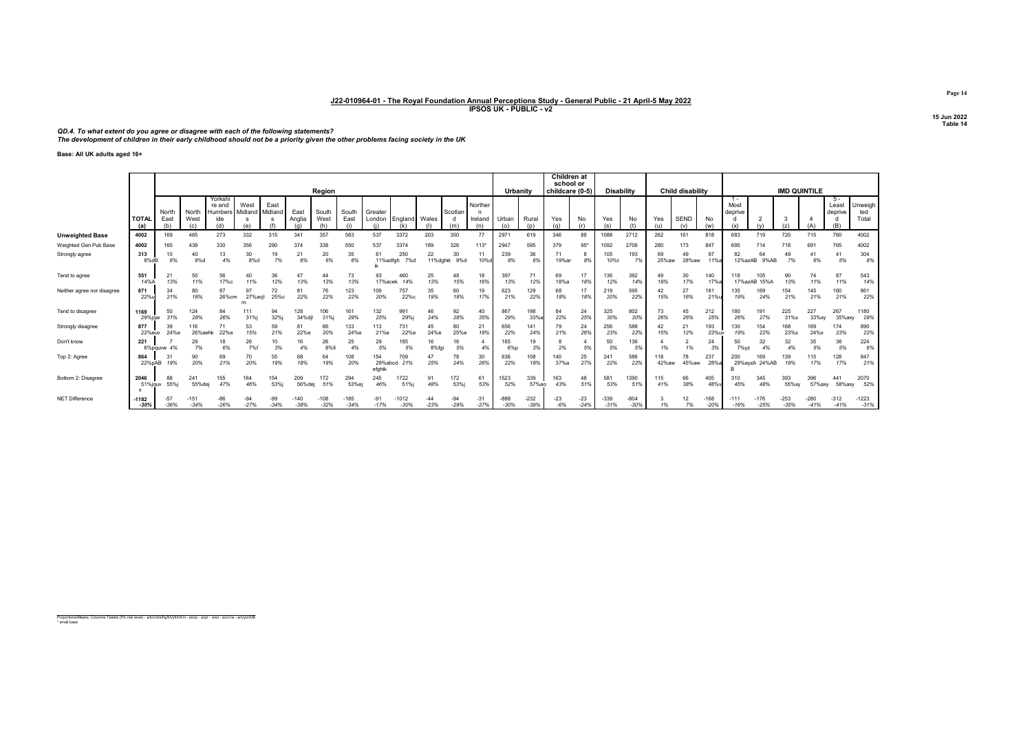QD.4. To what extent do you agree or disagree with each of the following statements?<br>The development of children in their early childhood should not be a priority given the other problems facing society in the UK

Base: All UK adults aged 16+

|                            |                     |                 |                  |                              |                    |                 |                |                  |                  |                          |                   |                 |                 |                 |                  |                  | Children at<br>school or |                 |                   |                  |             |                    |                  |                                             |                      |                  |                     |                        |                   |
|----------------------------|---------------------|-----------------|------------------|------------------------------|--------------------|-----------------|----------------|------------------|------------------|--------------------------|-------------------|-----------------|-----------------|-----------------|------------------|------------------|--------------------------|-----------------|-------------------|------------------|-------------|--------------------|------------------|---------------------------------------------|----------------------|------------------|---------------------|------------------------|-------------------|
|                            |                     |                 |                  |                              |                    |                 |                | Region           |                  |                          |                   |                 |                 |                 | Urbanity         |                  | childcare (0-5)          |                 | <b>Disability</b> |                  |             | Child disability   |                  |                                             |                      |                  | <b>IMD QUINTILE</b> |                        |                   |
|                            |                     | North           | North            | Yorkshi<br>re and<br>Humbers | West<br>Midland    | East<br>Midland | East           | South            | South            | Greater                  |                   |                 | Scotlan         | Norther         |                  |                  |                          |                 |                   |                  |             |                    |                  | $\overline{\phantom{a}}$<br>Most<br>deprive |                      |                  |                     | 5-<br>Least<br>deprive | Unweigh<br>ted    |
|                            | <b>TOTAL</b><br>(a) | East<br>(b)     | West<br>(c)      | ide                          |                    |                 | Anglia         | West             | East             | London                   | England<br>(k)    | Wales           | (m)             | Ireland<br>(n)  | Urban<br>(0)     | Rural<br>(p)     | Yes                      | No              | Yes<br>(s)        | No<br>(ť         | Yes         | <b>SEND</b><br>(v) | No<br>(w)        |                                             |                      | (z)              |                     |                        | Total             |
| <b>Unweighted Base</b>     | 4002                | 169             | 465              | 273                          | 332                | 315             | 341            | 357              | 583              | 537                      | 3372              | 203             | 350             | 77              | 2971             | 619              | 346                      | 88              | 1088              | 2712             | 262         | 161                | 818              | 683                                         | 719                  | 720              | 715                 | 760                    | 4002              |
| Weighted Gen Pub Base      | 4002                | 160             | 439              | 330                          | 356                | 290             | 374            | 338              | 550              | 537                      | 3374              | 189             | 326             | $113*$          | 2947             | 595              | 379                      | $95*$           | 1092              | 2706             | 280         | 173                | 847              | 695                                         |                      | 718              | 69                  | 765                    | 4002              |
| Strongly agree             | 313<br>8%dB         | 10<br>6%        | 40<br>9%d        | 13<br>4%                     | 30<br>8%d          | 19<br>7%        | 21<br>6%       | 20<br>6%         | 35<br>6%         | 61<br>11%adfah           | 250<br>7%d        | 22<br>11%dghik  | 30<br>9%d       | 11<br>10%d      | 239<br>8%        | 36<br>6%         | 7'<br>19%ar              | 8%              | 105<br>10%t       | 193<br>7%        | 69<br>25%aw | 49<br>28%aw        | 97<br>11%a       | 82<br>12%azAB                               | 64<br>9%AB           | 49<br>7%         | 6%                  | 41<br>5%               | 304<br>8%         |
| Tend to agree              | 551<br>14%A         | 21<br>13%       | 50<br>11%        | 56<br>17%c                   | 40<br>11%          | 36<br>12%       | 47<br>13%      | 44<br>13%        | 73<br>13%        | 93<br>17%a               | 460<br>14%        | 25<br>13%       | 48<br>15%       | 18<br>16%       | 397<br>13%       | 71<br>12%        | 69<br>18%a               | 18%             | 136<br>12%        | 392<br>14%       | 49<br>18%   | 30<br>17%          | 140<br>17%       | 118                                         | 105<br>17%azAB 15%A  | 90<br>13%        | 74                  | 87<br>11%              | 543<br>14%        |
| Neither agree nor disagree | 871<br>22%          | 34<br>21%       | 80<br>18%        | 87<br>26%cm                  | 97<br>27%acil<br>m | 72<br>25%c      | 81<br>22%      | 76<br>22%        | 123<br>22%       | 109<br>20%               | 757<br>22%c       | 35<br>19%       | 60<br>18%       | 19<br>17%       | 623<br>21%       | 129<br>22%       | 68<br>18%                | 18%             | 219<br>20%        | 595<br>22%       | 42<br>15%   | 27<br>16%          | 181<br>21%       | 35<br>19%                                   | 169<br>24%           | 154<br>21%       | 145<br>21%          | 160<br>21%             | 861<br>22%        |
| Tend to disagree           | 1169<br>29%ia       | 50<br>31%       | 124<br>28%       | 84<br>26%                    | 111<br>31%j        | 94<br>32%       | 128<br>34%dil  | 106<br>31%i      | 161<br>29%       | 132<br>25%               | 991<br>29%        | 46<br>24%       | 92<br>28%       | 40<br>35%       | 867<br>29%       | 198<br>33%       | 84<br>22%                | 24<br>25%       | 325<br>30%        | 802<br>30%       | 73<br>26%   | 45<br>26%          | 212<br>25%       | 180<br>26%                                  | 191<br>27%           | 225<br>31%x      | 227<br>33%xy        | 267<br>35%axy          | 1180<br>29%       |
| Strongly disagree          | 877<br>22%eu        | 39<br>24%e      | 116<br>26%aehk   | 71<br>22%e                   | 53<br>15%          | 59<br>21%       | 81<br>22%e     | 66<br>20%        | 133<br>24%e      | 113<br>21%e              | 731<br>22%e       | 45<br>24%e      | 80<br>25%e      | 21<br>18%       | 656<br>22%       | 141<br>24%       | 79<br>21%                | 24<br>26%       | 256<br>23%        | 588<br>22%       | 42<br>15%   | 21<br>12%          | 193<br>23%uv     | 130<br>19%                                  | 154<br>22%           | 168<br>23%       | 169<br>24%x         | 174<br>23%             | 890<br>22%        |
| Don't know                 | 221                 | 6%pauww 4%      | 29               | 18<br>6%                     | 26<br>7%f          | 10              | 16<br>4%       | 26<br>8%f        | 25               | 29<br>5%                 | 185<br>5%         | 16<br>8%fai     | 16<br>5%        | 4%              | 165<br>6%p       | 19<br>3%         | 2%                       | 5%              | 50<br>5%          | 36<br>5%         |             | ۷<br>1%            | 24<br>3%         | 50<br>7%vz                                  | 32<br>4%             | 32               | 35<br>5%            | 36<br>5%               | 224<br>6%         |
| Top 2: Agree               | 864<br>22%pAB       | 31<br>19%       | 90<br>20%        | 69<br>21%                    | 70<br>20%          | 55<br>19%       | 68<br>18%      | 64<br>19%        | 108<br>20%       | 154<br>29%abcd<br>efahik | 709<br>21%        | 47<br>25%       | 78<br>24%       | 30<br>26%       | 636<br>22%       | 108<br>18%       | 140<br>37%a              | 25<br>27%       | 241<br>22%        | 586<br>22%       | 18<br>42%aw | 78<br>45%aw        | 237<br>28%a      | 200                                         | 169<br>29%avzA 24%AB | 139<br>19%       | 115<br>17%          | 128<br>17%             | 847<br>21%        |
| Bottom 2: Disagree         | 2046<br>51%jauv     | 88<br>55%j      | 241<br>55%dej    | 155<br>47%                   | 164<br>46%         | 154<br>53%      | 209<br>56%dej  | 172<br>51%       | 294<br>53%ej     | 245<br>46%               | 722<br>51%i       | 91<br>48%       | 172<br>53%      | 61<br>53%       | 1523<br>52%      | 339<br>57%ao     | 163<br>43%               | 48<br>51%       | 581<br>53%        | 1390<br>51%      | 115<br>41%  | 66<br>38%          | 405<br>48%       | 310<br>45%                                  | 345<br>48%           | 393<br>55%xy     | 396<br>57%axy       | 441<br>58%axy          | 2070<br>52%       |
| NET Difference             | $-1182$<br>$-30%$   | $-57$<br>$-36%$ | $-151$<br>$-34%$ | $-86$<br>$-26%$              | $-94$<br>$-27%$    | -99<br>$-34%$   | -140<br>$-38%$ | $-108$<br>$-32%$ | $-185$<br>$-34%$ | $-91$<br>$-17%$          | $-1012$<br>$-30%$ | $-44$<br>$-23%$ | $-94$<br>$-29%$ | $-31$<br>$-27%$ | $-888$<br>$-30%$ | $-232$<br>$-39%$ | $-23$<br>$-6%$           | $-23$<br>$-24%$ | $-339$<br>$-31%$  | $-804$<br>$-30%$ | 1%          | 12<br>7%           | $-168$<br>$-20%$ | $-111$<br>$-16%$                            | $-176$<br>$-25%$     | $-253$<br>$-35%$ | $-280$<br>$-41%$    | $-312$<br>$-41%$       | $-1223$<br>$-31%$ |

Proportions/Means: Columns Tested (5% risk level) - a/b/c/d/e/f/g/h/i/j/k/l/m/n - a/o/p - a/q/r - a/s/t - a/u/v/w - a/x/y/z/A/B \* small base

Page 14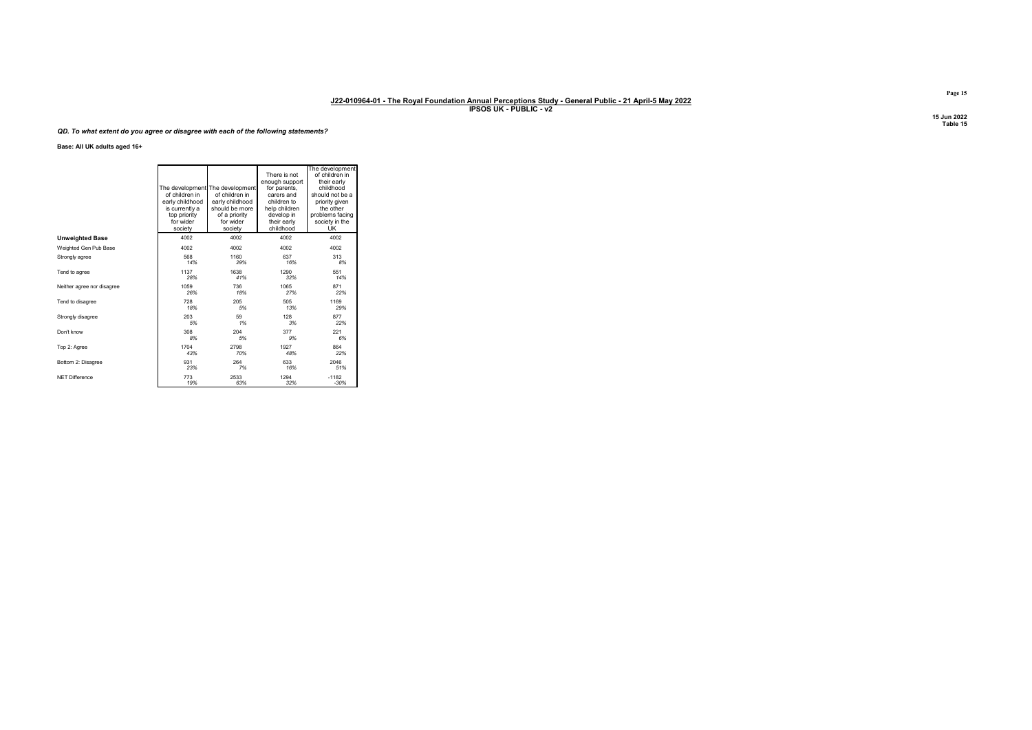## QD. To what extent do you agree or disagree with each of the following statements?

Base: All UK adults aged 16+

|                            | of children in<br>early childhood<br>is currently a<br>top priority<br>for wider<br>society | The development The development<br>of children in<br>early childhood<br>should be more<br>of a priority<br>for wider<br>society | There is not<br>enough support<br>for parents,<br>carers and<br>children to<br>help children<br>develop in<br>their early<br>childhood | The development<br>of children in<br>their early<br>childhood<br>should not be a<br>priority given<br>the other<br>problems facing<br>society in the<br><b>UK</b> |
|----------------------------|---------------------------------------------------------------------------------------------|---------------------------------------------------------------------------------------------------------------------------------|----------------------------------------------------------------------------------------------------------------------------------------|-------------------------------------------------------------------------------------------------------------------------------------------------------------------|
| <b>Unweighted Base</b>     | 4002                                                                                        | 4002                                                                                                                            | 4002                                                                                                                                   | 4002                                                                                                                                                              |
| Weighted Gen Pub Base      | 4002                                                                                        | 4002                                                                                                                            | 4002                                                                                                                                   | 4002                                                                                                                                                              |
| Strongly agree             | 568                                                                                         | 1160                                                                                                                            | 637                                                                                                                                    | 313                                                                                                                                                               |
|                            | 14%                                                                                         | 29%                                                                                                                             | 16%                                                                                                                                    | 8%                                                                                                                                                                |
| Tend to agree              | 1137                                                                                        | 1638                                                                                                                            | 1290                                                                                                                                   | 551                                                                                                                                                               |
|                            | 28%                                                                                         | 41%                                                                                                                             | 32%                                                                                                                                    | 14%                                                                                                                                                               |
| Neither agree nor disagree | 1059                                                                                        | 736                                                                                                                             | 1065                                                                                                                                   | 871                                                                                                                                                               |
|                            | 26%                                                                                         | 18%                                                                                                                             | 27%                                                                                                                                    | 22%                                                                                                                                                               |
| Tend to disagree           | 728                                                                                         | 205                                                                                                                             | 505                                                                                                                                    | 1169                                                                                                                                                              |
|                            | 18%                                                                                         | 5%                                                                                                                              | 13%                                                                                                                                    | 29%                                                                                                                                                               |
| Strongly disagree          | 203                                                                                         | 59                                                                                                                              | 128                                                                                                                                    | 877                                                                                                                                                               |
|                            | 5%                                                                                          | 1%                                                                                                                              | 3%                                                                                                                                     | 22%                                                                                                                                                               |
| Don't know                 | 308                                                                                         | 204                                                                                                                             | 377                                                                                                                                    | 221                                                                                                                                                               |
|                            | 8%                                                                                          | 5%                                                                                                                              | 9%                                                                                                                                     | 6%                                                                                                                                                                |
| Top 2: Agree               | 1704                                                                                        | 2798                                                                                                                            | 1927                                                                                                                                   | 864                                                                                                                                                               |
|                            | 43%                                                                                         | 70%                                                                                                                             | 48%                                                                                                                                    | 22%                                                                                                                                                               |
| Bottom 2: Disagree         | 931                                                                                         | 264                                                                                                                             | 633                                                                                                                                    | 2046                                                                                                                                                              |
|                            | 23%                                                                                         | 7%                                                                                                                              | 16%                                                                                                                                    | 51%                                                                                                                                                               |
| NFT Difference             | 773                                                                                         | 2533                                                                                                                            | 1294                                                                                                                                   | $-1182$                                                                                                                                                           |
|                            | 19%                                                                                         | 63%                                                                                                                             | 32%                                                                                                                                    | $-30%$                                                                                                                                                            |

Page 15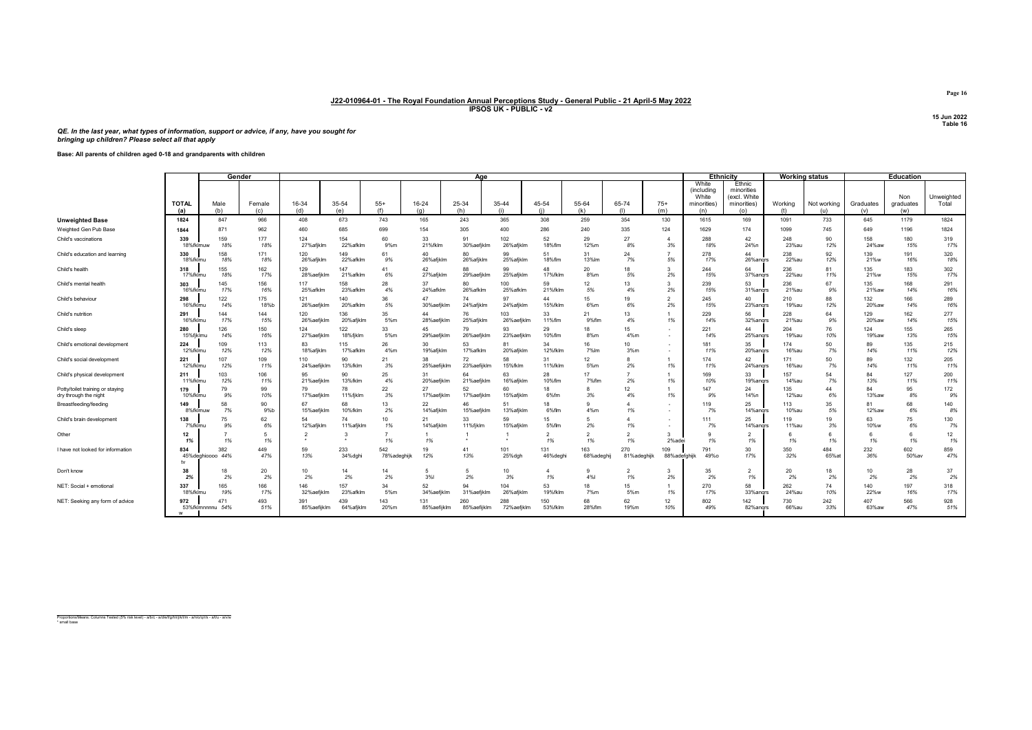# QE. In the last year, what types of information, support or advice, if any, have you sought for bringing up children? Please select all that apply

Base: All parents of children aged 0-18 and grandparents with children

|                                                           |                  |                          | Gender      |                       |                  |                    |                              | Age                |                        |                      |                      |                         |                      |                                             | <b>Ethnicity</b>                                    | <b>Working status</b> |              |              | <b>Education</b> |                     |
|-----------------------------------------------------------|------------------|--------------------------|-------------|-----------------------|------------------|--------------------|------------------------------|--------------------|------------------------|----------------------|----------------------|-------------------------|----------------------|---------------------------------------------|-----------------------------------------------------|-----------------------|--------------|--------------|------------------|---------------------|
|                                                           | <b>TOTAL</b>     | Male                     | Female      | 16-34                 | 35-54            | $55+$              | 16-24                        | 25-34              | 35-44                  | 45-54                | 55-64                | 65-74                   | $75+$                | White<br>(including<br>White<br>minorities) | Ethnic<br>minorities<br>(excl. White<br>minorities) | Working               | Not working  | Graduates    | Non<br>graduates | Unweighted<br>Total |
|                                                           | (a)              | (b)<br>847               | (c)         | (d)                   | (e)              | (f)                | (a)                          | (h)                | (i)                    | (i)                  | (k)                  | (1)                     | (m)                  | (n)<br>1615                                 | (o)                                                 | (t)                   | (u)          | (v)          | (w)<br>1179      | 1824                |
| <b>Unweighted Base</b>                                    | 1824             | 871                      | 966<br>962  | 408<br>460            | 673<br>685       | 743<br>699         | 165<br>154                   | 243<br>305         | 365<br>400             | 308<br>286           | 259<br>240           | 354<br>335              | 130<br>124           | 1629                                        | 169<br>174                                          | 1091                  | 733          | 645<br>649   | 1196             | 1824                |
| Weighted Gen Pub Base<br>Child's vaccinations             | 1844<br>339      | 159                      | 177         | 124                   | 154              | 60                 | 33                           | 91                 | 102                    | 52                   | 29                   | 27                      | $\overline{4}$       | 288                                         | 42                                                  | 1099<br>248           | 745<br>90    | 158          | 180              | 319                 |
|                                                           | 18%fklmuw        | 18%                      | 18%         | 27%afiklm             | 22%afklm         | 9%m                | 21%fklm                      | 30%aefjkln         | 26%afiklm              | 18%flm               | 12%m                 | 8%                      | 3%                   | 18%                                         | 24%n                                                | 23%au                 | 12%          | 24%aw        | 15%              | 17%                 |
| Child's education and learning                            | 330<br>18%fklmu  | 158<br>18%               | 171<br>18%  | 120<br>26%afjklm      | 149<br>22%afklm  | 61<br>9%           | 40<br>26%afjklm              | 80<br>26%afiklm    | 99<br>25% afiklm       | 51<br>18%flm         | 31<br>13%lm          | 24<br>7%                | $\overline{z}$<br>5% | 278<br>17%                                  | 44<br>26%andrs                                      | 238<br>22%au          | 92<br>12%    | 139<br>21%w  | 191<br>16%       | 320<br>18%          |
| Child's health                                            | 318<br>17%fklmu  | 155<br>18%               | 162<br>17%  | 129<br>28%aefiklm     | 147<br>21% afklm | 41<br>6%           | 42<br>27%afiklm              | 88<br>29%aefiklr   | 99<br>25% afiklm       | 48<br>17%fklm        | 20<br>8%m            | 18<br>5%                | 3<br>2%              | 244<br>15%                                  | 64<br>37% angrs                                     | 236<br>22%au          | 81<br>11%    | 135<br>21%w  | 183<br>15%       | 302<br>17%          |
| Child's mental health                                     | 303<br>16%fklmu  | 145<br>17%               | 156<br>16%  | 117<br>25%afklm       | 158<br>23%afklm  | 28<br>4%           | 37<br>24%afklm               | 80<br>26%afklm     | 100<br>25%afklm        | 59<br>21%fklm        | 12<br>5%             | 13<br>4%                | 3<br>2%              | 239<br>15%                                  | 53<br>31% angrs                                     | 236<br>21%au          | 67<br>9%     | 135<br>21%aw | 168<br>14%       | 291<br>16%          |
| Child's behaviour                                         | 298<br>16%fklmu  | 122<br>14%               | 175<br>18%b | 121<br>26%aefiklm     | 140<br>20%afklm  | 36<br>5%           | 47<br>30%aefiklm             | 74<br>24% afikln   | 97<br>24%afiklm        | 44<br>15%fklm        | 15<br>6%m            | 19<br>6%                | $\overline{2}$<br>2% | 245<br>15%                                  | 40<br>23% angrs                                     | 210<br>19%au          | 88<br>12%    | 132<br>20%aw | 166<br>14%       | 289<br>16%          |
| Child's nutrition                                         | 291<br>16%fklmu  | 144<br>17%               | 144<br>15%  | 120<br>26%aefiklm     | 136<br>20%afjklm | 35<br>5%m          | $\Delta\Delta$<br>28%aefjklm | 76<br>25%afjklm    | 103<br>26%aefjklm      | 33<br>11%flm         | 21<br>9%flm          | 13<br>4%                | 1%                   | 229<br>14%                                  | 56<br>32%angrs                                      | 228<br>21%au          | 64<br>9%     | 129<br>20%aw | 162<br>14%       | 277<br>15%          |
| Child's sleep                                             | 280<br>15%fiklmu | 126<br>14%               | 150<br>16%  | 124<br>27%aefikln     | 122<br>18%fiklm  | 33<br>5%m          | 45<br>29%aefiklm             | 79<br>26%aefiklr   | 93<br>23%aefiklm       | 29<br>10%flm         | 18<br>8%m            | 15<br>4%m               | ٠<br>٠               | 221<br>14%                                  | 44<br>25%angrs                                      | 204<br>19%au          | 76<br>10%    | 124<br>19%aw | 155<br>13%       | 265<br>15%          |
| Child's emotional development                             | 224<br>12%fklmu  | 109<br>12%               | 113<br>12%  | 83<br>18%afiklm       | 115<br>17% afklm | 26<br>4%m          | 30<br>19%afiklm              | 53<br>17% afklm    | 81<br>20%afiklm        | 34<br>12%fklm        | 16<br>7%lm           | 10 <sup>10</sup><br>3%m | ٠.                   | 181<br>11%                                  | 35<br>20%angrs                                      | 174<br><b>16%au</b>   | 50<br>7%     | 89<br>14%    | 135<br>11%       | 215<br>12%          |
| Child's social development                                | 221<br>12%fklmu  | 107<br>12%               | 109<br>11%  | 110<br>24%aefiiklm    | 90<br>13%fklm    | 21<br>3%           | 38<br>25%aefijklm            | 72<br>23%aefijklm  | 58<br>15%fklm          | 31<br>11%fklm        | 12<br>5%m            | 2%                      | 1%                   | 174<br>11%                                  | 42<br>24% andrs                                     | 171<br><b>16%au</b>   | 50<br>7%     | 89<br>14%    | 132<br>11%       | 205<br>11%          |
| Child's physical development                              | 211<br>11%fklmu  | 103<br>12%               | 106<br>11%  | 95<br>21%aefiklm      | 90<br>13%fklm    | 25<br>4%           | 31<br>20%aefiklm             | 64<br>21%aefjklm   | 63<br>16%afiklm        | 28<br>10%flm         | 17<br>7%flm          | 2%                      | 1%                   | 169<br>10%                                  | 33<br>19%angrs                                      | 157<br>14%au          | 54<br>7%     | 84<br>13%    | 127<br>11%       | 200<br>11%          |
| Potty/toilet training or staying<br>dry through the night | 179<br>10%fklmu  | 79<br>9%                 | 99<br>10%   | 79<br>17%aefiklm      | 78<br>11%fjklm   | 22<br>3%           | 27<br>17%aefjklm             | 52<br>17%aefjklm   | 60<br>15%afjklm        | 18<br>6%fm           | 8<br>3%              | 12<br>4%                | 1%                   | 147<br>9%                                   | 24<br>14%n                                          | 135<br>12%au          | 44<br>6%     | 84<br>13%aw  | 95<br>8%         | 172<br>9%           |
| Breastfeeding/feeding                                     | 149<br>8%fklmuw  | 58<br>7%                 | 90<br>9%b   | 67<br>15%aefiklm      | 68<br>10%fklm    | 13<br>2%           | 22<br>14%afiklm              | 46<br>15%aefikln   | 51<br>13% afiklm       | 18<br>6%flm          | 9<br>4%m             | 1%                      | ٠<br>۰.              | 119<br>7%                                   | 25<br>14%angrs                                      | 113<br>10%au          | 35<br>5%     | 81<br>12%aw  | 68<br>6%         | 140<br>8%           |
| Child's brain development                                 | 138<br>7%fklmu   | 75<br>9%                 | 62<br>6%    | 54<br>12%afiklm       | 74<br>11%afiklm  | 10<br>1%           | 21<br>14%afiklm              | 33<br>11%fjklm     | 59<br>15% afiklm       | 15<br>5%flm          | 5<br>2%              | $\Lambda$<br>1%         | ٠<br>٠               | 111<br>7%                                   | 25<br>14%angrs                                      | 119<br>11%au          | 19<br>3%     | 63<br>10%w   | 75<br>6%         | 130<br>7%           |
| Other                                                     | 12<br>1%         | 1%                       | 5<br>1%     | 2                     |                  | 1%                 | 1%                           |                    |                        | $\overline{2}$<br>1% | $\overline{2}$<br>1% | 1%                      | 3<br>2%adei          | 9<br>1%                                     | $\overline{2}$<br>1%                                | -6<br>1%              | 6<br>1%      | -6<br>1%     | 6<br>1%          | 12<br>1%            |
| I have not looked for information                         | 834              | 382<br>45% deghioooo 44% | 449<br>47%  | 59<br>13%             | 233<br>34%dghi   | 542<br>78%adeghijk | 19<br>12%                    | 41<br>13%          | 101<br>25%dgh          | 131<br>46%deghi      | 163<br>68%adeghi     | 270<br>81%adeghijk      | 109<br>88%adefghijk  | 791<br>49%o                                 | 30<br>17%                                           | 350<br>32%            | 484<br>65%at | 232<br>36%   | 602<br>50%av     | 859<br>47%          |
| Don't know                                                | 38<br>2%         | 18<br>2%                 | 20<br>2%    | 10 <sub>1</sub><br>2% | 14<br>2%         | 14<br>2%           | 5<br><b>3%l</b>              | 2%                 | 10 <sup>10</sup><br>3% | 1%                   | 9<br>4%              | 1%                      | 3<br>2%              | 35<br>2%                                    | $\overline{2}$<br>1%                                | 20<br>2%              | 18<br>2%     | 10<br>2%     | 28<br>2%         | 37<br>2%            |
| NET: Social + emotional                                   | 337<br>18%fklmu  | 165<br>19%               | 166<br>17%  | 146<br>32%aefjkln     | 157<br>23%afklm  | 34<br>5%m          | 52<br>34%aefiklm             | 94<br>31%aefiklm   | 104<br>26%afiklm       | 53<br>19%fklm        | 18<br>7%m            | 15<br>5%m               | 1%                   | 270<br>17%                                  | 58<br>33%angrs                                      | 262<br>24%au          | 74<br>10%    | 140<br>22%w  | 197<br>16%       | 318<br>17%          |
| NET: Seeking any form of advice                           | 972<br>14        | 471<br>53%fklmnnnnu 54%  | 493<br>51%  | 391<br>85%aefiiklm    | 439<br>64%afiklm | 143<br>20%m        | 131<br>85%aefiiklm           | 260<br>85%aefiiklm | 288<br>72%aefjklm      | 150<br>53%fklm       | 68<br>28%flm         | 62<br>19%m              | 12<br>10%            | 802<br>49%                                  | 142<br>82%andrs                                     | 730<br>66%au          | 242<br>33%   | 407<br>63%aw | 566<br>47%       | 928<br>51%          |

Proportions/Means: Columns Tested (5% risk level) - a/b/c - a/d/e/f/g/h/i/j/k/l/m - a/n/o/q/r/s - a/t/u - a/v/w \* small base

Page 16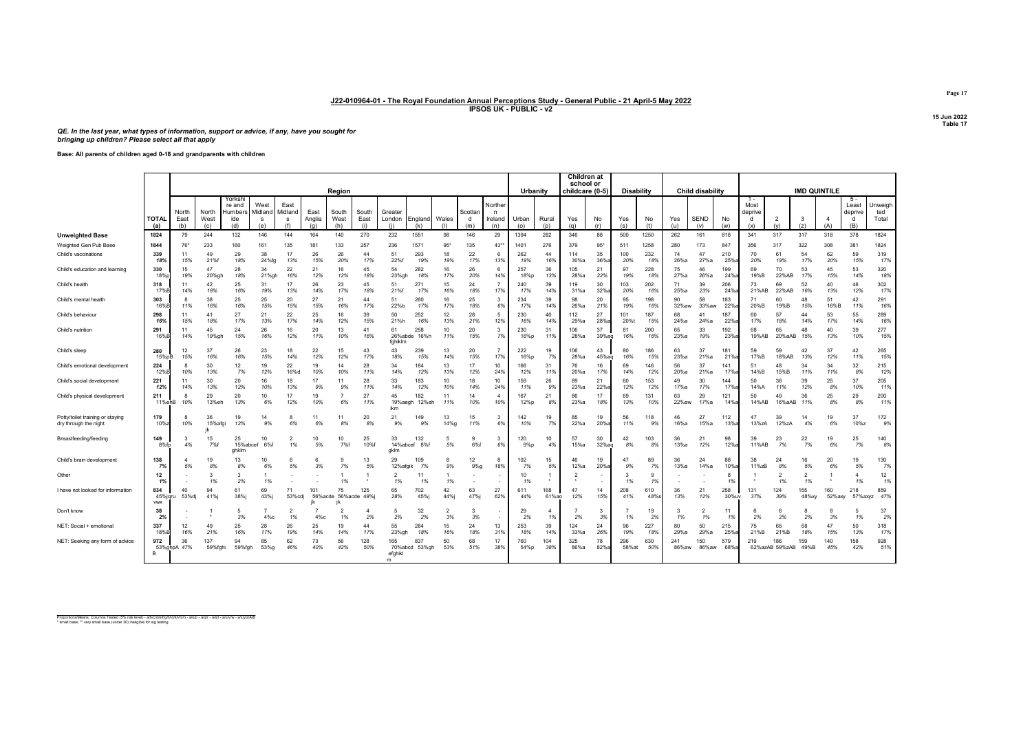QE. In the last year, what types of information, support or advice, if any, have you sought for bringing up children? Please select all that apply

Base: All parents of children aged 0-18 and grandparents with children

|                                                           |                              |                      |                      |                                           |                              |                      |                       | Region               |                      |                                |                      |            |                    |                                | Urbanity     |              | <b>Children</b> at<br>school or<br>childcare (0-5) |             | <b>Disability</b> |            |              | <b>Child disability</b> |              |                                      |                       | <b>IMD QUINTILE</b>  |               |                                       |                         |
|-----------------------------------------------------------|------------------------------|----------------------|----------------------|-------------------------------------------|------------------------------|----------------------|-----------------------|----------------------|----------------------|--------------------------------|----------------------|------------|--------------------|--------------------------------|--------------|--------------|----------------------------------------------------|-------------|-------------------|------------|--------------|-------------------------|--------------|--------------------------------------|-----------------------|----------------------|---------------|---------------------------------------|-------------------------|
|                                                           | <b>TOTAL</b><br>(a)          | North<br>East<br>(b) | North<br>West<br>(c) | Yorksh<br>re and<br>Humbers<br>ide<br>(d) | West<br>Midland<br>-S<br>(e) | East<br>Midland<br>s | East<br>Anglia<br>(a) | South<br>West<br>(h) | South<br>East<br>(i) | Greater<br>London              | England<br>(k)       | Wales      | Scotla<br>d<br>(m) | Norther<br>n<br>Ireland<br>(n) | Urban<br>(0) | Rural<br>(p) | Yes<br>(a)                                         | No<br>(r)   | Yes<br>(s)        | No<br>(ť   | Yes<br>(u)   | <b>SEND</b><br>(v)      | No<br>(w)    | $1 -$<br>Most<br>deprive<br>d<br>(x) | $\overline{2}$<br>(v) | -3<br>(z)            | (A)           | $5 -$<br>Least<br>deprive<br>d<br>(B) | Jnweigh<br>ted<br>Total |
| Unweighted Base                                           | 1824                         | 79                   | 244                  | 132                                       | 146                          | 144                  | 164                   | 140                  | 270                  | 232                            | 1551                 | 98         | 146                | 29                             | 1394         | 282          | 346                                                | 88          | 500               | 1250       | 262          | 161                     | 818          | 341                                  | 317                   | 317                  | 318           | 378                                   | 1824                    |
| Weighted Gen Pub Base                                     | 1844                         | 76*                  | 233                  | 160                                       | 161                          | 135                  | 181                   | 133                  | 257                  | 236                            | 1571                 | 95         | 135                | $43*$                          | 1401         | 276          | 379                                                | 95'         | 511               | 1258       | 280          | 173                     | 847          | 356                                  | 317                   | 322                  | 308           | 381                                   | 1824                    |
| Child's vaccinations                                      | 339<br>18%                   | 11<br>15%            | 49<br>21%f           | 29<br>18%                                 | 38<br>24%fg                  | 17<br>13%            | 26<br>15%             | 26<br>20%            | 44<br>17%            | 51<br>22%                      | 293<br>19%           | 18<br>19%  | 22<br>17%          | 6<br>13%                       | 262<br>19%   | 44<br>16%    | 114<br>30%a                                        | 35<br>36%   | 100<br>20%        | 232<br>189 | 74<br>26%a   | 47<br>27%a              | 210<br>25%   | 70<br>20%                            | 61<br>19%             | 54<br>17%            | 62<br>20%     | 59<br>15%                             | 319<br>17%              |
| Child's education and learning                            | 330<br>18% <sub>D</sub>      | 15<br>19%            | 47<br>20%gl          | 28<br>18%                                 | 34<br>21%gh                  | 22<br>16%            | 21<br>12%             | 16<br>12%            | 45<br>18%            | 54<br>23%gh                    | 282<br>18%           | 16<br>17%  | 26<br>20%          | 6<br>14%                       | 257<br>18%p  | 36<br>13%    | 105<br>28%a                                        | 21<br>22%   | 97<br>19%         | 228<br>18% | 75<br>27%a   | 46<br>26%a              | 199<br>24%   | 69<br>19%B                           | 70<br>22%AB           | 53<br>17%            | 45<br>15%     | 53<br>14%                             | 320<br>18%              |
| Child's health                                            | 318<br>17%B                  | 11<br>14%            | 42<br>18%            | 25<br>16%                                 | 31<br>19%                    | 17<br>13%            | 26<br>14%             | 23<br>17%            | 45<br>18%            | 51<br>21%f                     | 271<br>17%           | 15<br>16%  | 24<br>18%          | $\overline{7}$<br>17%          | 240<br>17%   | 39<br>14%    | 119<br>31%a                                        | 30<br>32%   | 103<br>20%        | 202<br>16% | 71<br>25%a   | 39<br>23%               | 206<br>24%   | 73<br>21%AB                          | 69<br>22%AB           | 52<br>16%            | 40<br>13%     | 46<br>12%                             | 302<br>17%              |
| Child's mental health                                     | 303<br>16%B                  | -8<br>11%            | 38<br>16%            | 25<br>16%                                 | 25<br>15%                    | 20<br>15%            | 27<br>15%             | 21<br>16%            | 44<br>17%            | 51<br>22%b                     | 260<br>17%           | 16<br>17%  | 25<br>18%          | 3<br>6%                        | 234<br>17%   | 39<br>14%    | 98<br>26%a                                         | 20<br>21%   | 95<br>19%         | 198<br>16% | 90<br>32%aw  | 58<br>33%aw             | 183<br>22%   | 71<br>20%B                           | 60<br>19%B            | 48<br>15%            | 51<br>16%B    | 42<br>11%                             | 291<br>16%              |
| Child's behaviour                                         | 298<br>16%                   | 11<br>15%            | 41<br>18%            | 27<br>17%                                 | 21<br>13%                    | 22<br>17%            | 25<br>14%             | 16<br>12%            | 39<br>15%            | 50<br>21%h                     | 252<br>16%           | 12<br>13%  | 28<br>21%          | 5<br>12%                       | 230<br>16%   | 40<br>14%    | 112<br>29%a                                        | 27<br>28%   | 101<br>20%        | 187<br>15% | 68<br>24%a   | $\mathbf{A}^*$<br>24%a  | 187<br>22%   | 60<br>17%                            | 57<br>18%             | 44<br>14%            | 53<br>17%     | 55<br>14%                             | 289<br>16%              |
| Child's nutrition                                         | 291<br>16%B                  | 11<br>14%            | 45<br>19%gh          | 24<br>15%                                 | 26<br>16%                    | 16<br>12%            | 20<br>11%             | 13<br>10%            | 41<br>16%            | 61<br>26%abde<br>fahiklm       | 258<br>16%h          | 10<br>11%  | 20<br>15%          | 3<br>7%                        | 230<br>16%p  | 31<br>11%    | 106<br>28%a                                        | 37<br>39%aq | 81<br>16%         | 200<br>16% | 65<br>23%a   | 33<br>19%               | 192<br>23%   | 68<br>19%AB                          | 65<br>20%aAB          | 48<br>15%            | 40<br>13%     | 39<br>10%                             | 277<br>15%              |
| Child's sleep                                             | 280<br>15%pE                 | 12<br>15%            | 37<br>16%            | 26<br>16%                                 | 23<br>15%                    | 18<br>14%            | 22<br>12%             | 15<br>12%            | 43<br>17%            | 43<br>18%                      | 239<br>15%           | 13<br>14%  | 20<br>15%          | 17%                            | 222<br>16%p  | 19<br>7%     | 106<br>28%a                                        | 43<br>45%ag | 80<br>16%         | 186<br>15% | 63<br>23%a   | 37<br>21%a              | 181<br>21%   | 59<br>17%B                           | 59<br>18%AB           | 42<br>13%            | 37<br>12%     | 42<br>11%                             | 265<br>15%              |
| Child's emotional development                             | 224<br>12%B                  | 8<br>10%             | 30<br>13%            | 12<br>7%                                  | 19<br>12%                    | 22<br>16%d           | 19<br>10%             | 14<br>10%            | 28<br>11%            | 34<br>14%                      | 184<br>12%           | 13<br>13%  | 17<br>12%          | 10<br>24%                      | 166<br>12%   | 31<br>11%    | 76<br>20%a                                         | 16<br>17%   | 69<br>14%         | 146<br>12% | 56<br>20%a   | 37<br>21%a              | 141<br>17%   | 51<br>14%B                           | 48<br>15%B            | 34<br>11%            | 34<br>11%     | 32<br>8%                              | 215<br>12%              |
| Child's social development                                | 221<br>12%                   | 11<br>14%            | 30<br>13%            | 20<br>12%                                 | 16<br>10%                    | 18<br>13%            | 17<br>9%              | 11<br>9%             | 28<br>11%            | 33<br>14%                      | 183<br>12%           | 10<br>10%  | 18<br>14%          | 10<br>24%                      | 159<br>11%   | 26<br>9%     | 89<br>23%a                                         | 21<br>22%   | 60<br>12%         | 153<br>12% | 49<br>17%a   | 30<br>17%               | 144<br>17%   | 50<br>14%A                           | 36<br>11%             | 39<br>12%            | 25<br>8%      | 37<br>10%                             | 205<br>11%              |
| Child's physical development                              | 211<br>11%ehB                | 8<br>10%             | 29<br>13%eh          | 20<br>13%                                 | 10<br>6%                     | 17<br>12%            | 19<br>10%             | -7<br>6%             | 27<br>11%            | 45<br>19%aeg<br>ikm            | 182<br>12%eh         | 11<br>11%  | 14<br>10%          | $\overline{4}$<br>10%          | 167<br>12%p  | 21<br>8%     | 86<br>23%a                                         | 17<br>18%   | 69<br>13%         | 131<br>10% | 63<br>22%aw  | 29<br>17%a              | 121<br>14%   | 50<br>14%AB                          | 49<br>16%aAB          | 36<br>11%            | 25<br>8%      | 29<br>8%                              | 200<br>11%              |
| Potty/toilet training or staying<br>dry through the night | 179<br>10%                   | 10%                  | 36<br>15%afg         | 19<br>12%                                 | 14<br>9%                     | -8<br>6%             | 11<br>6%              | 11<br>8%             | 20<br>8%             | 21<br>9%                       | 149<br>9%            | 13<br>14%  | 15<br>11%          | 3<br>6%                        | 142<br>10%   | 19<br>7%     | 85<br>22%a                                         | 19<br>20%   | 56<br>11%         | 118<br>9%  | 46<br>16%a   | 27<br>15%a              | 112<br>13%   | 13%zA                                | 39<br>12%zA           | 14<br>4%             | 19<br>6%      | 37<br>10%z                            | 172<br>9%               |
| Breastfeeding/feeding                                     | 149<br>8%fp                  | -3<br>4%             | 15<br>7%f            | 25<br>15%abcef<br>ahklm                   | 10<br>6%f                    | 1%                   | 10<br>5%              | 10<br>7%f            | 25<br>10%f           | 33<br>14%abcef<br>aklm         | 132<br>8%f           | 5<br>5%    | 9<br>6%f           | 3<br>6%                        | 120<br>9%p   | 10<br>4%     | 57<br>15%a                                         | 30<br>32%aq | 42<br>8%          | 103<br>8%  | 36<br>13%a   | 21<br>12%               | 98<br>12%    | 39<br>11%AB                          | 23<br>7%              | 22<br>7%             | 19<br>6%      | 25<br>7%                              | 140<br>8%               |
| Child's brain developmen                                  | 138<br>7%                    | 5%                   | 19<br>8%             | 13<br>8%                                  | 10<br>6%                     | 6<br>5%              | 6<br>3%               | 7%                   | 13<br>5%             | 29<br>12%afgil                 | 109<br>7%            | 8<br>9%    | 12<br>9%q          | 8<br>18%                       | 102<br>7%    | 15<br>5%     | 46<br>12%a                                         | 19<br>20%   | 47<br>9%          | 89<br>7%   | 36<br>13%a   | 24<br>14%a              | 88<br>10%    | 38<br>11%zB                          | 24<br>8%              | 16<br>5%             | 20<br>6%      | 19<br>5%                              | 130<br>7%               |
| Other                                                     | 12                           |                      | -3<br>1%             | $\mathbf{3}$<br>2%                        | 1%                           |                      |                       | 1%                   |                      | $\overline{\phantom{a}}$<br>1% | 11<br>1%             | 1%         |                    |                                | 10<br>1%     |              |                                                    | ٠           | 3<br>1%           | 9<br>1%    |              |                         | -8<br>1%     |                                      | 1%                    | $\overline{2}$<br>1% |               | 1%                                    | 12<br>1%                |
| have not looked for information                           | 834<br>45%jqru<br><b>VWX</b> | 40<br>53%dj          | 94<br>41%i           | 61<br>38%i                                | 69<br>43%j                   | 71<br>53%cdj         | 101<br>56%acde        | 75                   | 125<br>56% acde 49%  | 65<br>28%                      | 702<br>45%j          | 42<br>44%j | 63<br>47%j         | 27<br>62%                      | 611<br>44%   | 168<br>61%ao | 47<br>12%                                          | 14<br>15%   | 208<br>41%        | 610<br>48% | 36<br>13%    | 21<br>12%               | 258<br>30%uv | 131<br>37%                           | 124<br>39%            | 155<br>48%xy         | 160<br>52%axy | 218<br>57%axyz                        | 859<br>47%              |
| Don't know                                                | 38<br>2%                     |                      |                      | -5<br>3%                                  | 4%с                          | 2<br>1%              | $4\%c$                | 1%                   | 2%                   | 2%                             | 32<br>2%             | 2<br>3%    | 3<br>3%            |                                | 29<br>2%     | 1%           | 2%                                                 | 3<br>3%     | 1%                | 19<br>2%   | 3<br>1%      | $\overline{2}$<br>1%    | 11<br>1%     | 2%                                   | 2%                    | 8<br>2%              | 8<br>3%       | 5<br>1%                               | 37<br>2%                |
| NET: Social + emotional                                   | 337<br>18%B                  | 12<br>16%            | 49<br>21%            | 25<br>16%                                 | 28<br>17%                    | 26<br>19%            | 25<br>14%             | 19<br>14%            | 44<br>17%            | 55<br>23%gh                    | 284<br>18%           | 15<br>16%  | 24<br>18%          | 13<br>31%                      | 253<br>18%   | 39<br>14%    | 124<br>33%a                                        | 24<br>26%   | 96<br>19%         | 227<br>189 | 80<br>29%a   | 50<br>29%a              | 215<br>25%   | 75<br>21%B                           | 65<br>21%B            | 58<br>18%            | 47<br>15%     | 50<br>13%                             | 318<br>17%              |
| NET: Seeking any form of advice                           | 972<br>B.                    | 36<br>53%ghpA 47%    | 137<br>59%fghi       | 94<br>59%fgh                              | 85<br>53%g                   | 62<br>46%            | 73<br>40%             | 56<br>42%            | 128<br>50%           | 165<br>efghikl<br>m            | 837<br>70%abcd 53%gh | 50<br>53%  | 68<br>51%          | 17<br>38%                      | 760<br>54%p  | 104<br>38%   | 325<br>86%a                                        | 78<br>82%   | 296<br>58% at     | 630<br>50% | 241<br>86%aw | 150<br>86%aw            | 579<br>68%   | 219                                  | 186<br>62%azAB 59%zAB | 159<br>49%B          | 140<br>45%    | 158<br>42%                            | 928<br>51%              |

Proportions/Means: Columns Tested (5% risk level) - a/b/c/d/e/f/g/h/i/j/k/l/m/n - a/o/p - a/q/r - a/s/t - a/u/v/w - a/x/y/z/A/B<br>\* small base; \*\* very small base (under 30) ineligible for sig testing

Page 17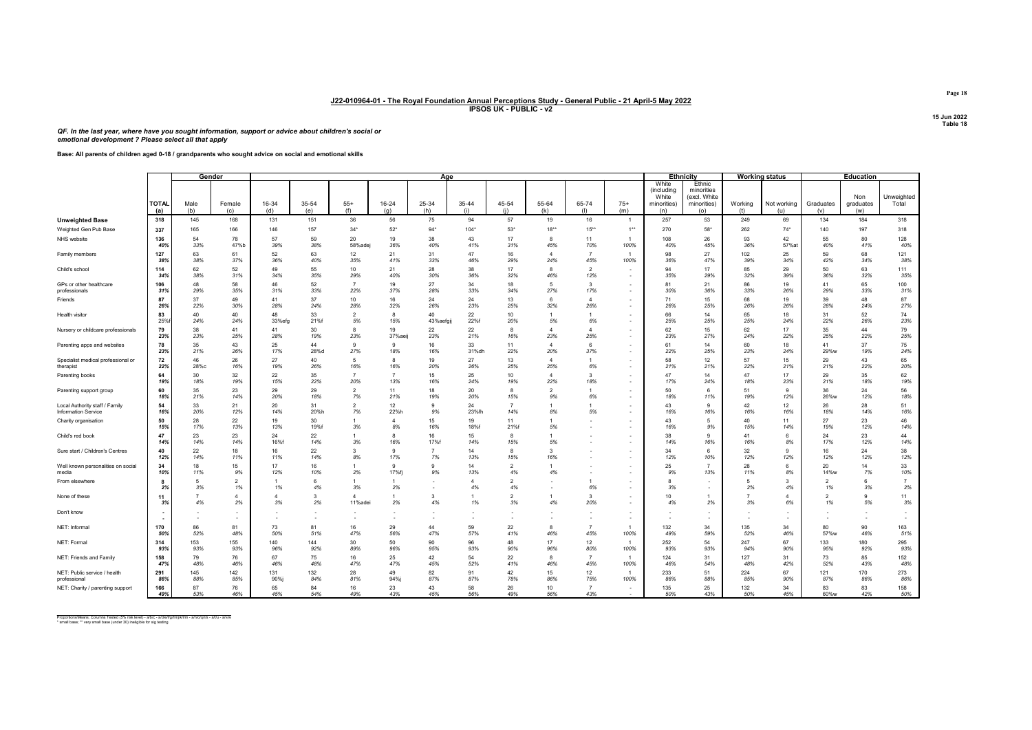QF. In the last year, where have you sought information, support or advice about children's social or emotional development ? Please select all that apply

Base: All parents of children aged 0-18 / grandparents who sought advice on social and emotional skills

|                                                              |                     | Gender               |                                |              |                    |                       |                         | Age             |                |                      |                           |                       |                |                              | Ethnicity                            | <b>Working status</b> |                    |                                | <b>Education</b>   |                      |
|--------------------------------------------------------------|---------------------|----------------------|--------------------------------|--------------|--------------------|-----------------------|-------------------------|-----------------|----------------|----------------------|---------------------------|-----------------------|----------------|------------------------------|--------------------------------------|-----------------------|--------------------|--------------------------------|--------------------|----------------------|
|                                                              |                     |                      |                                |              |                    |                       |                         |                 |                |                      |                           |                       |                | White<br>(including<br>White | Ethnic<br>minorities<br>(excl. White |                       |                    |                                | Non                | Unweighted           |
|                                                              | <b>TOTAL</b><br>(a) | Male<br>(b)          | Female<br>(c)                  | 16-34<br>(d) | 35-54<br>(e)       | $55+$<br>(f)          | 16-24<br>(q)            | 25-34<br>(h)    | 35-44<br>(i)   | 45-54<br>(i)         | 55-64<br>(k)              | 65-74<br>(1)          | $75+$<br>(m)   | minorities)<br>(n)           | minorities)<br>(0)                   | Working<br>(t)        | Not working<br>(u) | Graduates<br>(v)               | graduates<br>(w)   | Total                |
| <b>Unweighted Base</b>                                       | 318                 | 145                  | 168                            | 131          | 151                | 36                    | 56                      | 75              | 94             | 57                   | 19                        | 16                    | $\overline{1}$ | 257                          | 53                                   | 249                   | 69                 | 134                            | 184                | 318                  |
| Weighted Gen Pub Base                                        | 337                 | 165                  | 166                            | 146          | 157                | $34*$                 | $52*$                   | 94'             | $104*$         | $53*$                | $18**$                    | $15**$                | $1***$         | 270                          | $58*$                                | 262                   | $74*$              | 140                            | 197                | 318                  |
| NHS website                                                  | 136<br>40%          | 54<br>33%            | 78<br>47%b                     | 57<br>39%    | 59<br>38%          | 20<br>58%adej         | 19<br>36%               | 38<br>40%       | 43<br>41%      | 17<br>31%            | 8<br>45%                  | 11<br>70%             | 100%           | 108<br>40%                   | 26<br>45%                            | 93<br>36%             | 42<br>57%a         | 55<br>40%                      | 80<br>41%          | 128<br>40%           |
| Family members                                               | 127<br>38%          | 63<br>38%            | 61<br>37%                      | 52<br>36%    | 63<br>40%          | 12<br>35%             | 21<br>41%               | 31<br>33%       | 47<br>46%      | 16<br>29%            | $\mathbf{\Lambda}$<br>24% | $\overline{7}$<br>45% | 100%           | 98<br>36%                    | 27<br>47%                            | 102<br>39%            | 25<br>34%          | 59<br>42%                      | 68<br>34%          | 121<br>38%           |
| Child's school                                               | 114<br>34%          | 62<br>38%            | 52<br>31%                      | 49<br>34%    | 55<br>35%          | 10<br>29%             | 21<br>40%               | 28<br>30%       | 38<br>36%      | 17<br>32%            | R<br>46%                  | $\overline{2}$<br>12% |                | 94<br>35%                    | 17<br>29%                            | 85<br>32%             | 29<br>39%          | 50<br>36%                      | 63<br>32%          | 111<br>35%           |
| GPs or other healthcare<br>professionals                     | 106<br>31%          | 48<br>29%            | 58<br>35%                      | 46<br>31%    | 52<br>33%          | $\overline{7}$<br>22% | 19<br>37%               | 27<br>28%       | 34<br>33%      | 18<br>34%            | 5<br>27%                  | $\mathbf{3}$<br>17%   |                | 81<br>30%                    | 21<br>36%                            | 86<br>33%             | 19<br>26%          | 41<br>29%                      | 65<br>33%          | 100<br>31%           |
| Friends                                                      | 87<br>26%           | 37<br>22%            | 49<br>30%                      | 41<br>28%    | 37<br>24%          | 10<br>28%             | 16<br>32%               | 24<br>26%       | 24<br>23%      | 13<br>25%            | 6<br>32%                  | $\overline{4}$<br>26% |                | 71<br>26%                    | 15<br>25%                            | 68<br>26%             | 19<br>26%          | 39<br>28%                      | 48<br>24%          | 87<br>27%            |
| Health visitor                                               | 83<br>25%           | 40<br>24%            | 40<br>24%                      | 48<br>33%efg | 33<br>21%f         | $\overline{2}$<br>5%  | 15%                     | 40<br>43%aefgij | 22<br>22%f     | 10<br>20%            | 5%                        | $\overline{1}$<br>6%  |                | 66<br>25%                    | 14<br>25%                            | 65<br>25%             | 18<br>24%          | 31<br>22%                      | 52<br>26%          | 74<br>23%            |
| Nursery or childcare professionals                           | 79<br>23%           | 38<br>23%            | 41<br>25%                      | 41<br>28%    | 30<br>19%          | 8<br>23%              | 19<br>37%aeij           | 22<br>23%       | 22<br>21%      | 8<br>16%             | 23%                       | $\overline{4}$<br>25% |                | 62<br>23%                    | 15<br>27%                            | 62<br>24%             | 17<br>22%          | 35<br>25%                      | 44<br>22%          | 79<br>25%            |
| Parenting apps and websites                                  | 78<br>23%           | 35<br>21%            | 43<br>26%                      | 25<br>17%    | 44<br>28%d         | 9<br>27%              | $^{\circ}$<br>18%       | 16<br>16%       | 33<br>31%dh    | 11<br>22%            | $\overline{4}$<br>20%     | 6<br>37%              |                | 61<br>22%                    | 14<br>25%                            | 60<br>23%             | 18<br>24%          | 41<br>29%w                     | 37<br>19%          | 75<br>24%            |
| Specialist medical professional or<br>therapist              | 72<br>22%           | 46<br>28%с           | 26<br>16%                      | 27<br>19%    | 40<br>26%          | 5<br>16%              | 16%                     | 19<br>20%       | 27<br>26%      | 13<br>25%            | 25%                       | $\overline{1}$<br>6%  |                | 58<br>21%                    | 12<br>21%                            | 57<br>22%             | 15<br>21%          | 29<br>21%                      | 43<br>22%          | 65<br>20%            |
| Parenting books                                              | 64<br>19%           | 30<br>18%            | 32<br>19%                      | 22<br>15%    | 35<br>22%          | $\overline{7}$<br>20% | 13%                     | 15<br>16%       | 25<br>24%      | 10<br>19%            | 22%                       | $\mathbf{3}$<br>18%   |                | 47<br>17%                    | 14<br>24%                            | 47<br>18%             | 17<br>23%          | 29<br>21%                      | 35<br>18%          | 62<br>19%            |
| Parenting support group                                      | 60<br>18%           | 35<br>21%            | 23<br>14%                      | 29<br>20%    | 29<br>18%          | $\mathcal{P}$<br>7%   | 11<br>21%               | 18<br>19%       | 20<br>20%      | 8<br>15%             | 9%                        | $\overline{1}$<br>6%  |                | 50<br>18%                    | 6<br>11%                             | 51<br>19%             | 9<br>12%           | 36<br>26%w                     | 24<br>12%          | 56<br>18%            |
| Local Authority staff / Family<br><b>Information Service</b> | 54<br>16%           | 33<br>20%            | 21<br>12%                      | 20<br>14%    | 31<br>20%h         | $\overline{2}$<br>7%  | 12 <sup>2</sup><br>22%h | 9<br>9%         | 24<br>23%fh    | 14%                  | 8%                        | -1<br>5%              |                | 43<br>16%                    | 9<br>16%                             | 42<br>16%             | 12<br>16%          | 26<br>18%                      | 28<br>14%          | 51<br>16%            |
| Charity organisation                                         | 50<br>15%           | 28<br>17%            | 22<br>13%                      | 19<br>13%    | 30<br>19%f         | 1<br>3%               | 8%                      | 15<br>16%       | 19<br>18%f     | 11<br>21%f           | 5%                        |                       |                | 43<br>16%                    | 5<br>9%                              | 40<br>15%             | 11<br>14%          | 27<br>19%                      | 23<br>12%          | 46<br>14%            |
| Child's red book                                             | 47<br>14%           | 23<br>14%            | 23<br>14%                      | 24<br>16%f   | 22<br>14%          | 1<br>3%               | 16%                     | 16<br>17%f      | 15<br>14%      | 8<br>15%             | 5%                        |                       |                | 38<br>14%                    | 9<br>16%                             | 41<br>16%             | 6<br>8%            | 24<br>17%                      | 23<br>12%          | 44<br>14%            |
| Sure start / Children's Centres                              | 40<br>12%           | 22<br>14%            | 18<br>11%                      | 16<br>11%    | 22<br>14%          | 3<br>8%               | 17%                     | 7%              | 14<br>13%      | 8<br>15%             | 16%                       |                       |                | 34<br>12%                    | 6<br>10%                             | 32<br>12%             | 9<br>12%           | 16<br>12%                      | 24<br>12%          | 38<br>12%            |
| Well known personalities on social<br>media                  | 34<br>10%           | 18<br>11%            | 15<br>9%                       | 17<br>12%    | 16<br>10%          | 2%                    | $\alpha$<br>17%fi       | 9<br>9%         | 14<br>13%      | $\overline{2}$<br>4% | 4%                        |                       |                | 25<br>9%                     | $\overline{7}$<br>13%                | 28<br>11%             | 6<br>8%            | 20<br>14%w                     | 14<br>7%           | 33<br>10%            |
| From elsewhere                                               | 2 <sup>o</sup>      | 5<br>3%              | $\overline{\phantom{a}}$<br>1% | 1%           | 4%                 | 1<br>3%               | 2%                      |                 | $\Delta$<br>4% | $\mathcal{P}$<br>4%  |                           | $\overline{1}$<br>6%  |                | 3%                           | $\overline{\phantom{a}}$             | 2%                    | 4%                 | $\overline{2}$<br>1%           | 6<br>3%            | $\overline{7}$<br>2% |
| None of these                                                | 11<br>3%            | $\overline{7}$<br>4% | $\Delta$<br>2%                 | 3%           | $\mathbf{3}$<br>2% | $\Delta$<br>11%adei   | 2%                      | 3<br>4%         | 1%             | $\overline{2}$<br>3% | 4%                        | $\mathbf{3}$<br>20%   |                | 10<br>4%                     | 2%                                   | 3%                    | Δ<br>6%            | $\overline{\phantom{a}}$<br>1% | $\mathbf{q}$<br>5% | 11<br>3%             |
| Don't know                                                   |                     |                      |                                |              |                    |                       |                         |                 |                |                      |                           |                       |                |                              |                                      |                       |                    |                                |                    |                      |
| NET: Informal                                                | 170<br>50%          | 86<br>52%            | 81<br>48%                      | 73<br>50%    | 81<br>51%          | 16<br>47%             | 29<br>56%               | 44<br>47%       | 59<br>57%      | 22<br>41%            | R<br>46%                  | $\overline{7}$<br>45% | 100%           | 132<br>49%                   | 34<br>59%                            | 135<br>52%            | 34<br>46%          | 80<br>57%w                     | 90<br>46%          | 163<br>51%           |
| NET: Formal                                                  | 314<br>93%          | 153<br>93%           | 155<br>93%                     | 140<br>96%   | 144<br>92%         | 30<br>89%             | 50<br>96%               | 90<br>95%       | 96<br>93%      | 48<br>90%            | 17<br>96%                 | 12<br>80%             | 100%           | 252<br>93%                   | 54<br>93%                            | 247<br>94%            | 67<br>90%          | 133<br>95%                     | 180<br>92%         | 295<br>93%           |
| NET: Friends and Family                                      | 158<br>47%          | 79<br>48%            | 76<br>46%                      | 67<br>46%    | 75<br>48%          | 16<br>47%             | 25<br>47%               | 42<br>45%       | 54<br>52%      | 22<br>41%            | 8<br>46%                  | $\overline{7}$<br>45% | 100%           | 124<br>46%                   | 31<br>54%                            | 127<br>48%            | 31<br>42%          | 73<br>52%                      | 85<br>43%          | 152<br>48%           |
| NET: Public service / health<br>professional                 | 291<br>86%          | 145<br>88%           | 142<br>85%                     | 131<br>90%j  | 132<br>84%         | 28<br>81%             | 49<br>94%               | 82<br>87%       | 91<br>87%      | 42<br>78%            | 15<br>86%                 | 12<br>75%             | 100%           | 233<br>86%                   | 51<br>88%                            | 224<br>85%            | 67<br>90%          | 121<br>87%                     | 170<br>86%         | 273<br>86%           |
| NET: Charity / parenting support                             | 166<br>49%          | 87<br>53%            | 76<br>46%                      | 65<br>45%    | 84<br>54%          | 16<br>49%             | 23<br>43%               | 43<br>45%       | 58<br>56%      | 26<br>49%            | 10<br>56%                 | $\overline{7}$<br>43% | $\sim$         | 135<br>50%                   | 25<br>43%                            | 132<br>50%            | 34<br>45%          | 83<br>60%w                     | 83<br>42%          | 158<br>50%           |

Proportions/Means: Columns Tested (5% risk level) - a/b/c - a/d/e/f/g/h/i/j/k/l/m - a/n/o/q/r/s - a/t/u - a/v/w<br>\* small base; \*\* very small base (under 30) ineligible for sig testing

Page 18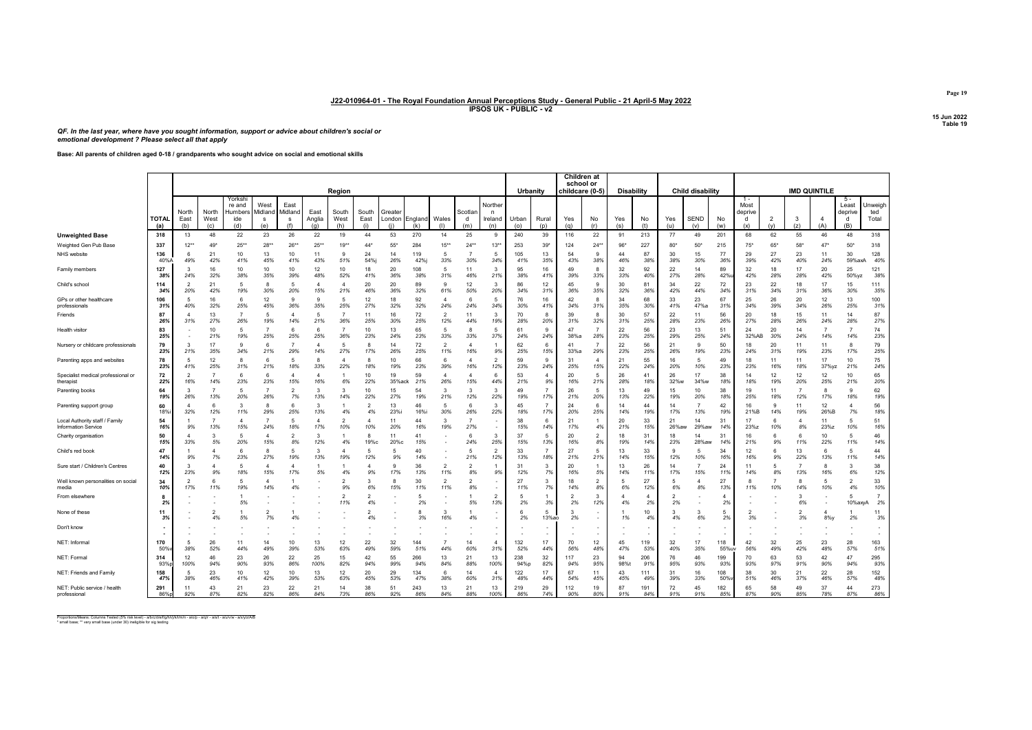QF. In the last year, where have you sought information, support or advice about children's social or emotional development ? Please select all that apply

Base: All parents of children aged 0-18 / grandparents who sought advice on social and emotional skills

|                                                       |                     |                                 |                      |                                           |                             |                             |                       |                       |                      |                     |                 |                                 |                       |                                 |              |                    | Children at<br>school or |                       |                   |            |                     |                         |                |                             |                       |                       |                       |                                       |                         |
|-------------------------------------------------------|---------------------|---------------------------------|----------------------|-------------------------------------------|-----------------------------|-----------------------------|-----------------------|-----------------------|----------------------|---------------------|-----------------|---------------------------------|-----------------------|---------------------------------|--------------|--------------------|--------------------------|-----------------------|-------------------|------------|---------------------|-------------------------|----------------|-----------------------------|-----------------------|-----------------------|-----------------------|---------------------------------------|-------------------------|
|                                                       |                     |                                 |                      |                                           |                             |                             |                       | Region                |                      |                     |                 |                                 |                       |                                 | Urbanity     |                    | childcare (0-5)          |                       | <b>Disability</b> |            |                     | <b>Child disability</b> |                |                             |                       | <b>IMD QUINTILE</b>   |                       |                                       |                         |
|                                                       | <b>TOTAL</b><br>(a) | North<br>East<br>(b)            | North<br>West<br>(c) | Yorksh<br>re and<br>lumbers<br>ide<br>(d) | West<br>Midland<br>s<br>(e) | East<br>Midland<br>s<br>(f) | East<br>Anglia<br>(q) | South<br>West<br>(h)  | South<br>East<br>(i) | Greater<br>London   | England<br>(k)  | Wales<br>(1)                    | Scotlar<br>d<br>(m)   | Norther<br>n<br>Ireland<br>(n)  | Urban<br>(0) | Rural<br>(p)       | Yes<br>(a)               | No<br>(r)             | Yes<br>(s)        | No<br>(t)  | Yes<br>(u)          | <b>SEND</b><br>(v)      | No<br>(w)      | Most<br>deprive<br>d<br>(x) | $\overline{2}$<br>(v) | 3<br>(z)              | 4<br>(A)              | $5 -$<br>Least<br>deprive<br>d<br>(B) | Jnweiah<br>ted<br>Total |
| <b>Unweighted Base</b>                                | 318                 | 13                              | 48                   | 22                                        | 23                          | 26                          | 22                    | 19                    | 44                   | 53                  | 270             | 14                              | 25                    | 9                               | 240          | 39                 | 116                      | 22                    | 91                | 213        | 77                  | 49                      | 201            | 68                          | 62                    | 55                    | 46                    | 48                                    | 318                     |
| Weighted Gen Pub Base                                 | 337                 | $12*$                           | 49                   | $25^{**}$                                 | $28*$                       | $26*$                       | $25**$                | $19*$                 | $44*$                | 55"                 | 284             | $15**$                          | $24**$                | $13*$                           | 253          | $39*$              | 124                      | $24*$                 | 96                | 227        | 80                  | 50'                     | 215            | $75*$                       | 65*                   | 58*                   | 47'                   | $50*$                                 | 318                     |
| NHS website                                           | 136<br>40%          | 6<br>49%                        | 21<br>42%            | 10<br>41%                                 | 13<br>45%                   | 10<br>41%                   | 11<br>43%             | $\mathbf{Q}$<br>51%   | 24<br>54%            | 14<br>26%           | 119<br>42%      | 5<br>33%                        | $\overline{7}$<br>30% | 5<br>34%                        | 105<br>41%   | 13<br>35%          | 54<br>43%                | $\alpha$<br>38%       | 44<br>46%         | 87<br>38%  | 30<br>38%           | 15<br>30%               | 77<br>36%      | 29<br>39%                   | 27<br>42%             | 23<br>40%             | 11<br>24%             | 30<br>59%ax                           | 128<br>40%              |
| Family members                                        | 127<br>38%          | -3<br>24%                       | 16<br>32%            | 10<br>38%                                 | 10<br>35%                   | 10<br>39%                   | 12<br>48%             | 10<br>52%             | 18<br>41%            | 20<br>36%           | 108<br>38%      | 5<br>31%                        | 11<br>46%             | 3<br>21%                        | 95<br>38%    | 16<br>41%          | 49<br>39%                | 8<br>33%              | 32<br>33%         | 92<br>40%  | 22<br>27%           | 14<br>28%               | 89<br>42%      | 32<br>42%                   | 18<br>28%             | 17<br>28%             | 20<br>42%             | 25<br>50%yz                           | 121<br>38%              |
| Child's school                                        | 114<br>34%          | $\overline{\phantom{a}}$<br>20% | 21<br>42%            | -5<br>19%                                 | 8<br>30%                    | 5<br>20%                    | $\overline{4}$<br>15% | $\overline{4}$<br>21% | 20<br>46%            | 20<br>36%           | 89<br>32%       | 9<br>61%                        | 12<br>50%             | 3<br>20%                        | 86<br>34%    | 12<br>31%          | 45<br>36%                | $\alpha$<br>35%       | 30<br>32%         | 81<br>36%  | 34<br>42%           | 22<br>44%               | 72<br>34%      | 23<br>31%                   | 22<br>34%             | 18<br>31%             | 17<br>36%             | 15<br>30%                             | 111<br>35%              |
| GPs or other healthcare<br>professionals              | 106<br>31%          | -5<br>40%                       | 16<br>32%            | $\epsilon$<br>25%                         | 12<br>45%                   | 9<br>36%                    | 9<br>35%              | 5<br>25%              | 12<br>27%            | 18<br>32%           | 92<br>32%       | $\overline{4}$<br>24%           | 6<br>24%              | 5<br>34%                        | 76<br>30%    | 16<br>41%          | 42<br>34%                | 8<br>31%              | 34<br>35%         | 68<br>30%  | 33<br>41%           | 23<br>47%a              | 67<br>31%      | 25<br>34%                   | 26<br>39%             | 20<br>34%             | 12<br>26%             | 13<br>25%                             | 100<br>31%              |
| Friends                                               | 87<br>26%           | 31%                             | 13<br>27%            | 26%                                       | 5<br>19%                    | $\Delta$<br>14%             | 5<br>21%              | $\overline{7}$<br>36% | 11<br>25%            | 16<br>30%           | 72<br>25%       | $\overline{2}$<br>12%           | 11<br>44%             | 3<br>19%                        | 70<br>28%    | 8<br>20%           | 39<br>31%                | 8<br>32%              | 30<br>31%         | 57<br>25%  | 22<br>28%           | 11<br>23%               | 56<br>26%      | 20<br>27%                   | 18<br>28%             | 15<br>26%             | 11<br>24%             | 14<br>28%                             | 87<br>27%               |
| Health visitor                                        | 83<br>25%           |                                 | 10<br>21%            | -5<br>19%                                 | $\overline{7}$<br>25%       | 6<br>25%                    | 6<br>25%              | $\overline{7}$<br>36% | 10<br>23%            | 13<br>24%           | 65<br>23%       | $\overline{5}$<br>33%           | 8<br>33%              | 5<br>37%                        | 61<br>24%    | 9<br>24%           | 47<br>38%a               | $\overline{7}$<br>28% | 22<br>23%         | 56<br>25%  | 23<br>29%           | 13<br>25%               | 51<br>24%      | 24<br>32%AB                 | 20<br>30%             | 14<br>24%             | $\overline{7}$<br>14% | $\overline{7}$<br>14%                 | 74<br>23%               |
| Nursery or childcare professionals                    | 79<br>23%           | -3<br>21%                       | 17<br>35%            | -9<br>34%                                 | 6<br>21%                    | $\overline{7}$<br>29%       | 4<br>14%              | 5<br>27%              | 8<br>17%             | 14<br>26%           | 72<br>25%       | $\overline{\phantom{0}}$<br>11% | $\overline{4}$<br>16% | 9%                              | 62<br>25%    | 6<br>15%           | 41<br>33%a               | $\overline{7}$<br>29% | 22<br>23%         | 56<br>25%  | 21<br>26%           | 9<br>19%                | 50<br>23%      | 18<br>24%                   | 20<br>31%             | 11<br>19%             | 11<br>23%             | 8<br>17%                              | 79<br>25%               |
| Parenting apps and websites                           | 78<br>23%           | 5<br>41%                        | 12<br>25%            | $\mathbf{R}$<br>31%                       | 6<br>21%                    | 5<br>18%                    | 8<br>33%              | $\Delta$<br>22%       | 18%                  | 10<br>19%           | 66<br>23%       | 6<br>39%                        | $\Delta$<br>16%       | $\overline{2}$<br>12%           | 59<br>23%    | $\alpha$<br>24%    | 31<br>25%                | $\Delta$<br>15%       | 21<br>22%         | 55<br>24%  | 16<br>20%           | 5<br>10%                | 49<br>23%      | 18<br>23%                   | 11<br>16%             | 11<br>18%             | 17<br>37%yz           | 10<br>21%                             | 75<br>24%               |
| Specialist medical professional or<br>therapist       | 72<br>22%           | $\overline{\phantom{a}}$<br>16% | 14%                  | 6<br>23%                                  | 6<br>23%                    | $\Delta$<br>15%             | $\Delta$<br>16%       | 6%                    | 10<br>22%            | 19<br>35%ack        | 59<br>21%       | $\Delta$<br>26%                 | $\Delta$<br>15%       | 6<br>44%                        | 53<br>21%    | $\Delta$<br>9%     | 20<br>16%                | -5<br>21%             | 26<br>28%         | 41<br>18%  | 26<br>32%w          | 17<br>34%w              | 38<br>18%      | 14<br>18%                   | 12<br>19%             | 12<br>20%             | 12<br>25%             | 10<br>21%                             | 65<br>20%               |
| Parenting books                                       | 64<br>19%           | $\mathbf{R}$<br>26%             | 13%                  | 5<br>20%                                  | $\overline{7}$<br>26%       | $\mathfrak{p}$<br>7%        | 3<br>13%              | $\mathbf{3}$<br>14%   | 10<br>22%            | 15<br>27%           | 54<br>19%       | $\mathbf{3}$<br>21%             | 3<br>12%              | 3<br>22%                        | 49<br>19%    | 17%                | 26<br>21%                | -5<br>20%             | 13<br>13%         | 49<br>22%  | 15<br>19%           | 10<br>20%               | 38<br>18%      | 19<br>25%                   | 11<br>18%             | $\overline{7}$<br>12% | 8<br>17%              | $\alpha$<br>18%                       | 62<br>19%               |
| Parenting support group                               | 60<br>18%           | 32%                             | 12%                  | $\mathbf{3}$<br>11%                       | 8<br>29%                    | 6<br>25%                    | 3<br>13%              | 4%                    | 4%                   | 13<br>23%i          | 46<br>16%i      | 5<br>30%                        | 26%                   | 3<br>22%                        | 45<br>18%    | 17%                | 24<br>20%                | -6<br>25%             | 14<br>14%         | 44<br>19%  | 14<br>17%           | 13%                     | 42<br>19%      | 16<br>21%B                  | 9<br>14%              | 11<br>19%             | 12<br>26%B            | $\mathbf{A}$<br>7%                    | 56<br>18%               |
| Local Authority staff / Family<br>Information Service | 54<br>16%           | 9%                              | 13%                  | $\overline{4}$<br>15%                     | $\overline{7}$<br>24%       | 5<br>18%                    | $\overline{4}$<br>17% | $\mathcal{P}$<br>10%  | 10%                  | 11<br>20%           | 44<br>16%       | $\mathbf{3}$<br>19%             | $\overline{7}$<br>27% |                                 | 38<br>15%    | 6<br>14%           | 21<br>17%                | 4%                    | 20<br>21%         | 33<br>15%  | 21<br>26%aw         | 14<br>29%aw             | 31<br>14%      | 17<br>23%z                  | 6<br>10%              | $\overline{a}$<br>8%  | 11<br>23%z            | -5<br>10%                             | 51<br>16%               |
| Charity organisation                                  | 50<br>15%           | $\mathbf{A}$<br>33%             | 3<br>5%              | -5<br>20%                                 | $\overline{4}$<br>15%       | $\overline{2}$<br>8%        | 3<br>12%              | $\overline{1}$<br>4%  | 8<br>19%с            | 11<br>20%с          | 41<br>15%<br>40 |                                 | 6<br>24%              | 3<br>25%                        | 37<br>15%    | 5<br>13%           | 20<br>16%                | 2<br>8%               | 18<br>19%         | 31<br>14%  | 18<br>23%           | 14<br>28%aw             | 31<br>14%      | 16<br>21%                   | 6<br>9%               | 6<br>11%              | 10<br>22%             | 5<br>11%                              | 46<br>14%               |
| Child's red book                                      | 47<br>14%           | 9%                              | 7%                   | 23%                                       | 8<br>27%                    | 5<br>19%                    | 3<br>13%              | $\Delta$<br>19%       | 12%                  | 5<br>9%             | 14%             |                                 | 5<br>21%              | $\overline{2}$<br>12%           | 33<br>13%    | 18%                | 27<br>21%                | -5<br>21%             | 13<br>14%         | 33<br>15%  | 12%                 | 5<br>10%                | 34<br>16%      | 16%                         | 9%                    | 13<br>22%             | 13%                   | -5<br>11%                             | 44<br>14%               |
| Sure start / Children's Centres                       | 40<br>12%           | $\mathbf{R}$<br>23%             | 9%                   | -5<br>18%                                 | $\Delta$<br>15%             | $\Delta$<br>17%             | $\overline{1}$<br>5%  | 4%                    | 9%                   | $\alpha$<br>17%     | 36<br>13%       | $\overline{\phantom{0}}$<br>11% | $\overline{2}$<br>8%  | 9%                              | 31<br>12%    | $\mathbf{R}$<br>7% | 20<br>16%                | 5%                    | 13<br>14%         | 26<br>11%  | 14<br>17%           | $\overline{7}$<br>15%   | 24<br>11%      | 11<br>14%                   | 5<br>8%               | $\overline{7}$<br>13% | -8<br>16%             | $\mathbf{3}$<br>6%                    | 38<br>12%               |
| Well known personalities on social<br>media           | 34<br>10%           | $\overline{2}$<br>17%           | 6<br>11%             | -5<br>19%                                 | $\overline{4}$<br>14%       | 4%                          |                       | $\overline{2}$<br>9%  | 6%                   | $\mathbf{a}$<br>15% | 30<br>11%       | $\overline{2}$<br>11%           | $\overline{2}$<br>8%  |                                 | 27<br>11%    | 3<br>7%            | 18<br>14%                | $\overline{2}$<br>8%  | 5<br>6%           | 27<br>12%  | 5<br>6%             | $\Delta$<br>8%          | 27<br>13%      | 8<br>11%                    | $\overline{7}$<br>10% | 8<br>14%              | -5<br>10%             | $\overline{2}$<br>4%                  | 33<br>10%               |
| From elsewhere                                        | 2%                  |                                 |                      | 5%                                        |                             |                             |                       | $\mathcal{P}$<br>11%  | 4%                   |                     | 5<br>2%         |                                 | 5%                    | $\overline{\phantom{a}}$<br>13% | 5<br>2%      | 3%                 | 2%                       | $\mathbf{R}$<br>12%   | 4%                | Δ<br>2%    | $\mathcal{P}$<br>2% |                         | $\Delta$<br>2% |                             |                       | 3<br>6%               |                       | 5<br>10%axyA                          | $\overline{7}$<br>2%    |
| None of these                                         | 11<br>3%            |                                 | $\mathcal{P}$<br>4%  | 5%                                        | 2<br>7%                     | 4%                          |                       |                       | 4%                   |                     | 8<br>3%         | $\mathbf{3}$<br>16%             | 4%                    |                                 | 6<br>2%      | -5<br>13%ao        | 3<br>2%                  |                       | 1%                | 10<br>4%   | 3<br>4%             | 3<br>6%                 | 5<br>2%        | $\mathcal{P}$<br>3%         |                       | $\mathcal{P}$<br>3%   | $\overline{4}$<br>8%y | 2%                                    | 11<br>3%                |
| Don't know                                            |                     |                                 |                      |                                           |                             |                             |                       |                       |                      |                     |                 |                                 |                       |                                 |              |                    |                          |                       |                   |            |                     |                         |                |                             |                       |                       |                       |                                       |                         |
| NET: Informa                                          | 170<br>50%          | 38%                             | 26<br>52%            | 11<br>44%                                 | 14<br>49%                   | 10<br>39%                   | 13<br>53%             | 12<br>63%             | 22<br>49%            | 32<br>59%           | 144<br>51%      | 44%                             | 14<br>60%             | $\Delta$<br>31%                 | 132<br>52%   | 17<br>44%          | 70<br>56%                | 12<br>48%             | 45<br>47%         | 119<br>53% | 32<br>40%           | 17<br>35%               | 118<br>55%uv   | 42<br>56%                   | 32<br>49%             | 25<br>42%             | 23<br>48%             | 28<br>57%                             | 163<br>51%              |
| NET: Formal                                           | 314<br>93%          | 12<br>100%                      | 46<br>94%            | 23<br>90%                                 | 26<br>93%                   | 22<br>86%                   | 25<br>100%            | 15<br>82%             | 42<br>94%            | 55<br>99%           | 266<br>94%      | 13<br>84%                       | 21<br>88%             | 13<br>100%                      | 238<br>94%p  | 32<br>82%          | 117<br>94%               | 23<br>95%             | 94<br>98%t        | 206<br>91% | 76<br>95%           | 46<br>93%               | 199<br>93%     | 70<br>93%                   | 63<br>97%             | 53<br>91%             | 42<br>90%             | 47<br>94%                             | 295<br>93%              |
| <b>NET: Friends and Family</b>                        | 158<br>47%          | 5<br>38%                        | 23<br>46%            | 10<br>41%                                 | 12<br>42%                   | 10<br>39%                   | 13<br>53%             | 12<br>63%             | 20<br>45%            | 29<br>53%           | 134<br>47%      | 6<br>38%                        | 14<br>60%             | $\Delta$<br>31%                 | 122<br>48%   | 17<br>44%          | 67<br>54%                | 11<br>45%             | 43<br>45%         | 111<br>49% | 31<br>39%           | 16<br>33%               | 108<br>50%     | 38<br>51%                   | 30<br>46%             | 21<br>37%             | 22<br>46%             | 28<br>57%                             | 152<br>48%              |
| NET: Public service / health<br>professional          | 291<br>86%p         | 11<br>92%                       | 43<br>87%            | 21<br>82%                                 | 23<br>82%                   | 22<br>86%                   | 21<br>84%             | 14<br>73%             | 38<br>86%            | 51<br>92%           | 243<br>86%      | 13<br>84%                       | 21<br>88%             | 13<br>100%                      | 219<br>86%   | 29<br>74%          | 112<br>90%               | 19<br>80%             | 87<br>91%         | 191<br>84% | 72<br>91%           | 45<br>91%               | 182<br>85%     | 65<br>87%                   | 58<br>90%             | 49<br>85%             | 37<br>78%             | 44<br>87%                             | 273<br>86%              |

Proportions/Means: Columns Tested (5% risk level) - a/b/c/d/e/f/g/h/i/j/k/l/m/n - a/o/p - a/q/r - a/s/t - a/u/v/w - a/x/y/z/A/B<br>\* small base; \*\* very small base (under 30) ineligible for sig testing

Page 19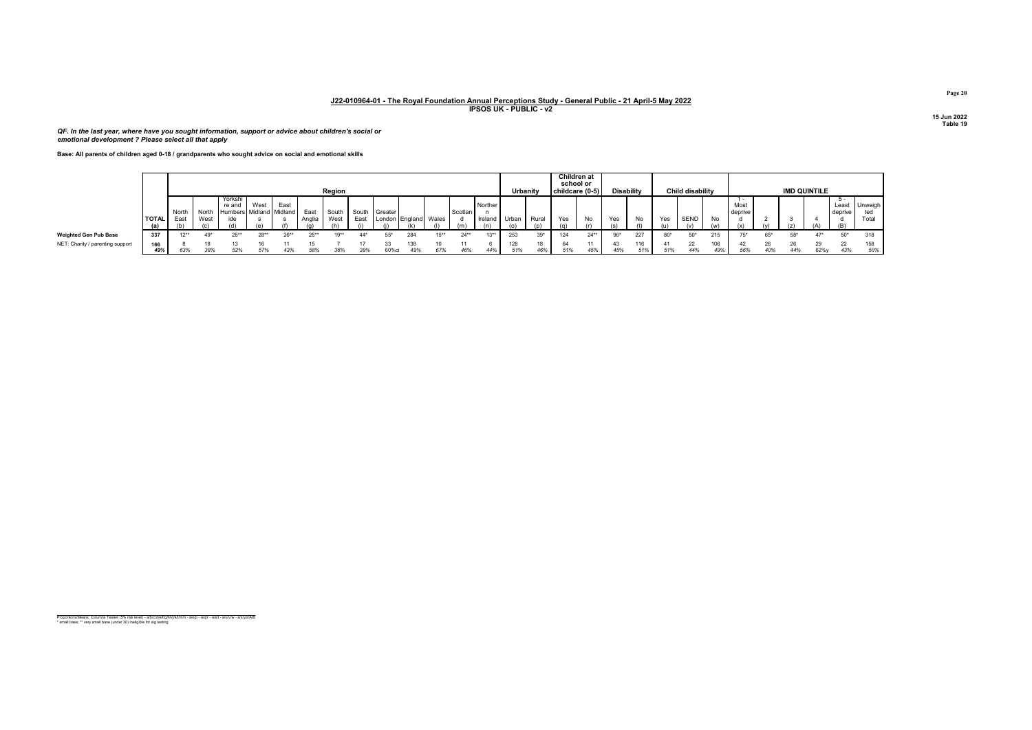QF. In the last year, where have you sought information, support or advice about children's social or emotional development ? Please select all that apply

Base: All parents of children aged 0-18 / grandparents who sought advice on social and emotional skills

|                                  |            |               |                      |                                              |                |        |               | Region        |      |                                       |            |     |         |                          |            | Urbanity  | school or<br>childcare (0-5) | Children at |     | <b>Disability</b> |       | <b>Child disability</b> |            |                 |     |       | <b>IMD QUINTILE</b> |                         |                         |
|----------------------------------|------------|---------------|----------------------|----------------------------------------------|----------------|--------|---------------|---------------|------|---------------------------------------|------------|-----|---------|--------------------------|------------|-----------|------------------------------|-------------|-----|-------------------|-------|-------------------------|------------|-----------------|-----|-------|---------------------|-------------------------|-------------------------|
|                                  | I TOTAL I  | North<br>East | North<br>West<br>(n) | Yorkshi<br>re and<br>Humbers Midland Midland | West<br>$\sim$ | East   | East<br>Anali | South<br>West | East | South Greater<br>London England Wales |            |     | Scotlan | Norther<br>Ireland Urban |            | Rural     | Yes                          | No          | Yes | No                | Yes   | <b>SEND</b>             | No         | Most<br>deprive |     |       |                     | Least<br>deprive<br>(B) | Unweigh<br>ted<br>Total |
| Weighted Gen Pub Base            | 337        |               |                      | 0.588                                        | $28**$         | $26**$ |               | י∗ם ו         | 44*  | 55*                                   | 284        |     | $24**$  | $13**$                   | 253        | $39*$     |                              | $24**$      |     | 227               | $80*$ | 50"                     | 215        |                 | 65* | $58*$ | $47*$               | $50*$                   | 318                     |
| NET: Charity / parenting support | 166<br>49% | 63%           | 38%                  | 52%                                          | 57%            | 43%    | 58%           | 36%           | 39%  | 60%ci                                 | 138<br>49% | 67% | 46%     | 44%                      | 128<br>51% | 18<br>46% | 51%                          | 45%         | 45% | 116<br>51%        | 51%   | 22<br>44%               | 106<br>49% | 56%             | 40% | 44%   | $62\%$              | 22<br>43%               | 158<br>50%              |

Proportions/Means: Columns Tested (5% risk level) - a/b/c/d/e/f/g/h/i/j/k/l/m/n - a/o/p - a/q/r - a/s/t - a/u/v/w - a/x/y/z/A/B<br>\* small base; \*\* very small base (under 30) ineligible for sig testing

Page 20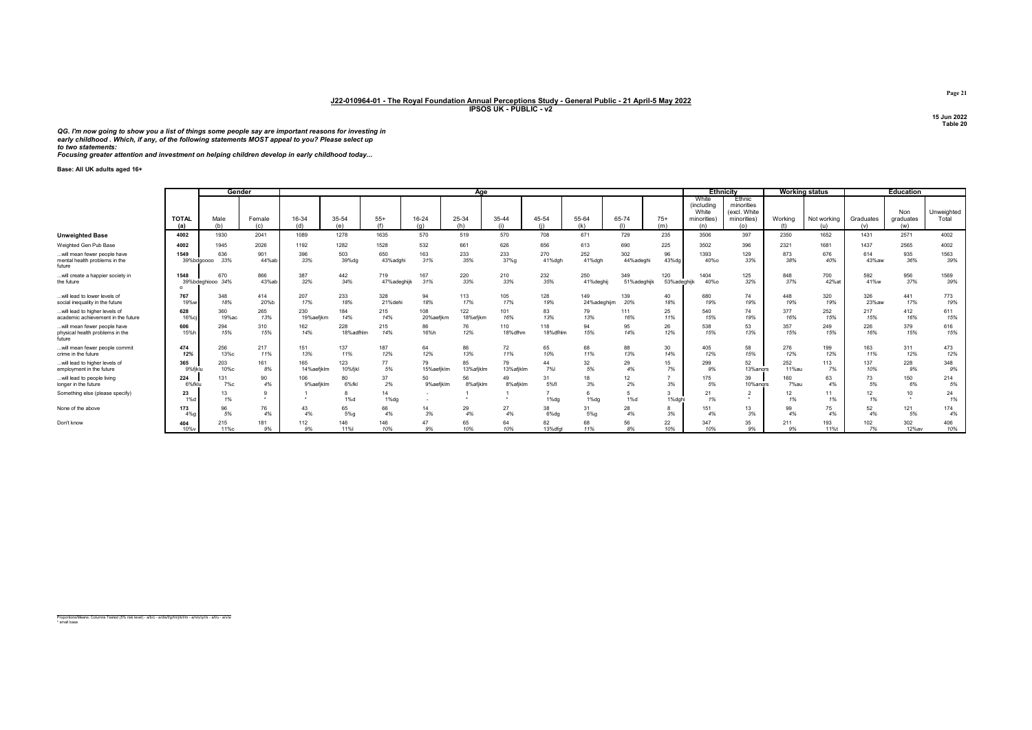QG. I'm now going to show you a list of things some people say are important reasons for investing in<br>early childhood . Which, if any, of the following statements MOST appeal to you? Please select up<br>to two statements:<br>Foc

Base: All UK adults aged 16+

|                                                                          |                     | Gender           |               |              |                  |                 |              | Aae          |                |                 |               |                  |              |                                                           | <b>Ethnicity</b>                                           |            | <b>Working status</b> |                  | <b>Education</b>           |                     |
|--------------------------------------------------------------------------|---------------------|------------------|---------------|--------------|------------------|-----------------|--------------|--------------|----------------|-----------------|---------------|------------------|--------------|-----------------------------------------------------------|------------------------------------------------------------|------------|-----------------------|------------------|----------------------------|---------------------|
|                                                                          | <b>TOTAL</b><br>(a) | Male<br>(h)      | Female<br>(c) | 16-34<br>(d) | 35-54<br>(a)     | $55+$<br>(f)    | 16-24<br>(q) | 25-34<br>(h) | 35-44<br>(i)   | 45-54           | 55-64<br>(k)  | 65-74<br>(1)     | $75+$<br>(m) | White<br><i>(including</i><br>White<br>minorities)<br>(n) | Ethnic<br>minorities<br>(excl. White<br>minorities)<br>(o) | Working    | Not working<br>(u)    | Graduates<br>(v) | Non<br>graduates<br>(w)    | Unweighted<br>Total |
| <b>Unweighted Base</b>                                                   | 4002                | 1930             | 2041          | 1089         | 1278             | 1635            | 570          | 519          | 570            | 708             | 671           | 729              | 235          | 3506                                                      | 397                                                        | 2350       | 1652                  | 1431             | 2571                       | 4002                |
| Weighted Gen Pub Base                                                    | 4002                | 1945             | 2026          | 1192         | 1282             | 1528            | 532          | 661          | 626            | 656             | 613           | 690              | 225          | 3502                                                      | 396                                                        | 2321       | 1681                  | 1437             | 2565                       | 4002                |
| will mean fewer people have<br>mental health problems in the<br>future   | 1549<br>39%bdgoooo  | 636<br>33%       | 901<br>44%ab  | 396<br>33%   | 503<br>39%dg     | 650<br>43%adahi | 163<br>31%   | 233<br>35%   | 233<br>37%g    | 270<br>41%dgh   | 252<br>41%dgh | 302<br>44%adeghi | 96<br>43%dg  | 1393<br>40%o                                              | 129<br>33%                                                 | 873<br>38% | 676<br>40%            | 614<br>43%aw     | 935<br>36%                 | 1563<br>39%         |
| will create a happier society in                                         | 1548                | 670              | 866           | 387          | 442              | 719             | 167          | 220          | 210            | 232             | 250           | 349              | 120          | 1404                                                      | 125                                                        | 848        | 700                   | 592              | 956                        | 1569                |
| the future                                                               |                     | 39%bdeghiooo 34% | 43%ab         | 32%          | 34%              | 47%adeghijk     | 31%          | 33%          | 33%            | 35%             | 41%deghi      | 51%adeghijk      | 53%adeghijk  | 40%o                                                      | 32%                                                        | 37%        | 42%at                 | 41%w             | 37%                        | 39%                 |
| will lead to lower levels of                                             | 767                 | 348              | 414           | 207          | 233              | 328             | 94           | 113          | 105            | 128             | 149           | 139              | 40           | 680                                                       | 74                                                         | 448        | 320                   | 326              | 441                        | 773                 |
| social inequality in the future                                          | 19%w                | 18%              | 20%b          | 17%          | 18%              | 21%dehi         | 18%          | 17%          | 17%            | 19%             | 24%adeghijm   | 20%              | 18%          | 19%                                                       | 19%                                                        | 19%        | 19%                   | 23%aw            | 17%                        | 19%                 |
| will lead to higher levels of                                            | 628                 | 360              | 265           | 230          | 184              | 215             | 108          | 122          | 101            | 83              | 79            | 111              | 25           | 540                                                       | 74                                                         | 377        | 252                   | 217              | 412                        | 611                 |
| academic achievement in the future                                       | 16%c                | 19%ac            | 13%           | 19%aefikm    | 14%              | 14%             | 20%aefjkm    | 18%efjkm     | 16%            | 13%             | 13%           | 16%              | 11%          | 15%                                                       | 19%                                                        | 16%        | 15%                   | 15%              | 16%                        | 15%                 |
| will mean fewer people have<br>physical health problems in the<br>future | 606<br>15%h         | 294<br>15%       | 310<br>15%    | 162<br>14%   | 228<br>18%adfhlm | 215<br>14%      | 86<br>16%h   | 76<br>12%    | 110<br>18%dfhm | 118<br>18%dfhlm | 94<br>15%     | 95<br>14%        | 26<br>12%    | 538<br>15%                                                | 53<br>13%                                                  | 357<br>15% | 249<br>15%            | 226<br>16%       | 379<br>15%                 | 616<br>15%          |
| will mean fewer people commit                                            | 474                 | 256              | 217           | 151          | 137              | 187             | 64           | 86           | 72             | 65              | 68            | 88               | 30           | 405                                                       | 58                                                         | 276        | 199                   | 163              | 311                        | 473                 |
| crime in the future                                                      | 12%                 | 13%с             | 11%           | 13%          | 11%              | 12%             | 12%          | 13%          | 11%            | 10%             | 11%           | 13%              | 14%          | 12%                                                       | 15%                                                        | 12%        | 12%                   | 11%              | 12%                        | 12%                 |
| will lead to higher levels of                                            | 365                 | 203              | 161           | 165          | 123              | 77              | 79           | 85           | 79             | 44              | 32            | 29               | 15           | 299                                                       | 52                                                         | 252        | 113                   | 137              | 228                        | 348                 |
| employment in the future                                                 | 9%fiklu             | 10%с             | 8%            | 14%aefiklm   | 10%fjkl          | 5%              | 15%aefjklm   | 13%afjklm    | 13%afjklm      | <b>7%</b>       | 5%            | 4%               | 7%           | 9%                                                        | 13%angrs                                                   | 11%au      | 7%                    | 10%              | 9%                         | 9%                  |
| will lead to people living                                               | 224                 | 131              | 90            | 106          | 80               | 37              | 50           | 56           | 49             | 31              | 18            | 12               | 3%           | 175                                                       | 39                                                         | 160        | 63                    | 73               | 150                        | 214                 |
| longer in the future                                                     | 6%fklu              | 7%с              | 4%            | 9%aefiklm    | 6%fkl            | 2%              | 9%aefjklm    | 8%afjklm     | 8%afiklm       | 5%fl            | 3%            | 2%               |              | 5%                                                        | 10%andrs                                                   | 7%au       | 4%                    | 5%               | 6%                         | 5%                  |
| Something else (please specify)                                          | 23<br>1%d           | 13<br>1%         |               |              | $1\%$ d          | 14<br>$1%$ dg   |              |              |                | $1%$ dg         | $1%$ dg       | 1%d              | 1%dahi       | 21<br>1%                                                  |                                                            | 12<br>1%   | 11<br>1%              | 12<br>1%         | 10 <sup>1</sup><br>$\star$ | 24<br>1%            |
| None of the above                                                        | 173                 | 96               | 76            | 43           | 65               | 66              | 14           | 29           | 27             | 38              | 31            | 28               | 8            | 151                                                       | 13                                                         | 99         | 75                    | 52               | 121                        | 174                 |
|                                                                          | 4%                  | 5%               | 4%            | 4%           | 5%g              | 4%              | 3%           | 4%           | 4%             | 6%da            | 5%g           | 4%               | 3%           | 4%                                                        | 3%                                                         | 4%         | 4%                    | 4%               | 5%                         | 4%                  |
| Don't know                                                               | 404                 | 215              | 181           | 112          | 146              | 146             | 47           | 65           | 64             | 82              | 68            | 56               | 22           | 347                                                       | 35                                                         | 211        | 193                   | 102              | 302                        | 406                 |
|                                                                          | 10%v                | 11%c             | 9%            | 9%           | 11%              | 10%             | 9%           | 10%          | 10%            | 13%dfal         | 11%           | 8%               | 10%          | 10%                                                       | 9%                                                         | 9%         | 11%t                  | 7%               | 12%av                      | 10%                 |

Proportions/Means: Columns Tested (5% risk level) - a/b/c - a/d/e/f/g/h/i/j/k/l/m - a/n/o/q/r/s - a/t/u - a/v/w \* small base

Page 21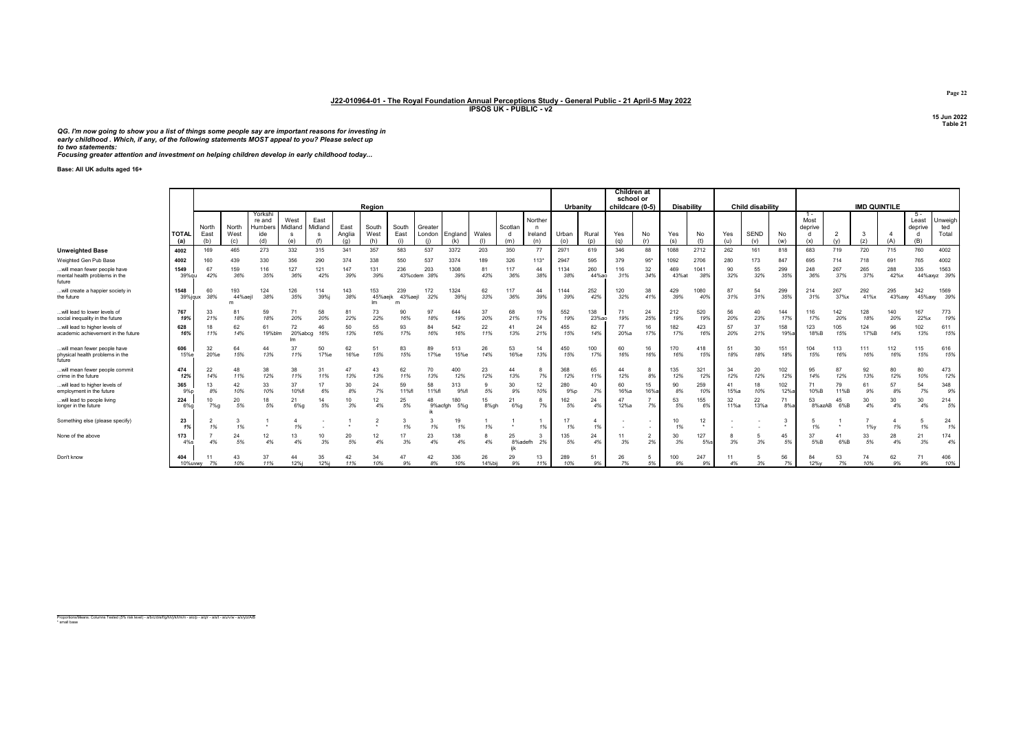QG. I'm now going to show you a list of things some people say are important reasons for investing in early childhood . Which, if any, of the following statements MOST appeal to you? Please select up to two statements: Focusing greater attention and investment on helping children develop in early childhood today...

Base: All UK adults aged 16+

|                                                                          |                       |                      |                      |                                            |                        |                 |                       | Region               |                      |               |                       |              |                     |                                | Urbanity     |              | <b>Children</b> at<br>school or<br>childcare (0-5) |                      | <b>Disability</b> |             |            | <b>Child disability</b> |               |                                      |                      | <b>IMD QUINTILE</b> |               |                                       |                         |
|--------------------------------------------------------------------------|-----------------------|----------------------|----------------------|--------------------------------------------|------------------------|-----------------|-----------------------|----------------------|----------------------|---------------|-----------------------|--------------|---------------------|--------------------------------|--------------|--------------|----------------------------------------------------|----------------------|-------------------|-------------|------------|-------------------------|---------------|--------------------------------------|----------------------|---------------------|---------------|---------------------------------------|-------------------------|
|                                                                          | <b>I</b> TOTAL<br>(a) | North<br>East<br>(b) | North<br>West<br>(c) | Yorkshi<br>re and<br>Humbers<br>ide<br>(d) | West<br>Midland<br>(e) | East<br>Midland | East<br>Anglia<br>(q) | South<br>West<br>(h) | South<br>East<br>(i) | Greater       | London England<br>(k) | Wales<br>(1) | Scotlan<br>d<br>(m) | Norther<br>n<br>Ireland<br>(n) | Urban<br>(o) | Rural<br>(p) | Yes<br>(q)                                         | No<br>(r)            | Yes<br>(s)        | No          | Yes<br>(u) | SEND<br>(v)             | No<br>(w)     | $1 -$<br>Most<br>deprive<br>d<br>(x) | $\overline{2}$<br>(v | -3<br>(z)           |               | 5 -<br>Least<br>deprive<br>- d<br>(B) | Unweigh<br>ted<br>Total |
| <b>Unweighted Base</b>                                                   | 4002                  | 169                  | 465                  | 273                                        | 332                    | 315             | 341                   | 357                  | 583                  | 537           | 3372                  | 203          | 350                 | 77                             | 2971         | 619          | 346                                                | 88                   | 1088              | 2712        | 262        | 161                     | 818           | 683                                  | 719                  | 720                 | 715           | 760                                   | 4002                    |
| Weighted Gen Pub Base                                                    | 4002                  | 160                  | 439                  | 330                                        | 356                    | 290             | 374                   | 338                  | 550                  | 537           | 3374                  | 189          | 326                 | $113*$                         | 2947         | 595          | 379                                                | $95*$                | 1092              | 2706        | 280        | 173                     | 847           | 695                                  | 714                  |                     | 691           | 765                                   | 4002                    |
| will mean fewer people have<br>mental health problems in the<br>future   | 1549<br>39%gu         | 67<br>42%            | 159<br>36%           | 116<br>35%                                 | 127<br>36%             | 121<br>42%      | 147<br>39%            | 131<br>39%           | 236<br>43%cdem       | 203<br>38%    | 1308<br>39%           | 81<br>43%    | 117<br>36%          | 44<br>38%                      | 1134<br>38%  | 260<br>44%ao | 116<br>31%                                         | 32<br>34%            | 469<br>43% at     | 1041<br>38% | 90<br>32%  | 55<br>32%               | 299<br>35%    | 248<br>36%                           | 267<br>37%           | 265<br>37%          | 288<br>42%x   | 335                                   | 1563<br>44%axyz 39%     |
| will create a happier society in<br>the future                           | 1548<br>39%jqux       | 60<br>38%            | 193<br>44%aeil<br>m  | 124<br>38%                                 | 126<br>35%             | 114<br>39%j     | 143<br>38%            | 153<br>45%aeik       | 239<br>43%aeil<br>m  | 172<br>32%    | 1324<br>39%i          | 62<br>33%    | 117<br>36%          | 44<br>39%                      | 1144<br>39%  | 252<br>42%   | 120<br>32%                                         | 38<br>41%            | 429<br>39%        | 1080<br>40% | 87<br>31%  | 54<br>31%               | 299<br>35%    | 214<br>31%                           | 267<br>37%x          | 292<br>41%x         | 295<br>43%axv | 342<br>45%axv                         | 1569<br>39%             |
| will lead to lower levels of<br>social inequality in the future          | 767<br>19%            | 33<br>21%            | 81<br>18%            | 59<br>18%                                  | 71<br>20%              | 58<br>20%       | 81<br>22%             | 73<br>22%            | 90<br>16%            | 97<br>18%     | 644<br>19%            | 37<br>20%    | 68<br>21%           | 19<br>17%                      | 552<br>19%   | 138<br>23%ao | 71<br>19%                                          | 24<br>25%            | 212<br>19%        | 520<br>19%  | 56<br>20%  | 40<br>23%               | 144<br>17%    | 116<br>17%                           | 142<br>20%           | 128<br>18%          | 140<br>20%    | 167<br>22%x                           | 773<br>19%              |
| will lead to higher levels o<br>academic achievement in the future       | 628<br>16%            | 11%                  | 62<br>14%            | 61<br>19%blm                               | 72<br>20%abcg          | 46<br>16%       | 50<br>13%             | 55<br>16%            | 93<br>17%            | 84<br>16%     | 542<br>16%            | 22<br>11%    | 41<br>13%           | 24<br>21%                      | 455<br>15%   | 82<br>14%    | 77<br>20%a                                         | 16<br>17%            | 182<br>17%        | 423<br>16%  | 57<br>20%  | 37<br>21%               | 158<br>19%a   | 123<br>18%B                          | 105<br>15%           | 124<br>17%B         | 96<br>14%     | 102<br>13%                            | 611<br>15%              |
| will mean fewer people have<br>physical health problems in the<br>future | 606<br>15%e           | 32<br>20%e           | 64<br>15%            | 44<br>13%                                  | 37<br>11%              | 50<br>17%e      | 62<br>16%e            | 51<br>15%            | 83<br>15%            | 89<br>17%e    | 513<br>15%e           | 26<br>14%    | 53<br>16%e          | 14<br>13%                      | 450<br>15%   | 100<br>17%   | 60<br>16%                                          | 16<br>16%            | 170<br>16%        | 418<br>15%  | 18%        | 30<br>18%               | 151<br>18%    | 104<br>15%                           | 113<br>16%           | 111<br>16%          | 112<br>16%    | 115<br>15%                            | 616<br>15%              |
| will mean fewer people commit<br>crime in the future                     | 474<br>12%            | 22<br>14%            | 48<br>11%            | 38<br>12%                                  | 38<br>11%              | 31<br>11%       | 47<br>13%             | 43<br>13%            | 62<br>11%            | 70<br>13%     | 400<br>12%            | 23<br>12%    | 44<br>13%           | 7%                             | 368<br>12%   | 65<br>11%    | 12%                                                | 8%                   | 135<br>12%        | 321<br>12%  | 34<br>12%  | 20<br>12%               | 102<br>12%    | 95<br>14%                            | 87<br>12%            | 92<br>13%           | 80<br>12%     | 80<br>10%                             | 473<br>12%              |
| will lead to higher levels of<br>employment in the future                | 365<br>9%p            | 8%                   | 42<br>10%            | 33<br>10%                                  | 37<br>10%fl            | 6%              | 30<br>8%              | 24<br>7%             | 59<br>11%fl          | 58<br>11%fl   | 313<br>9%fl           | 5%           | 30<br>9%            | 12<br>10%                      | 280<br>9%p   | 40<br>7%     | 60<br>16%a                                         | 15<br>16%a           | 90<br>8%          | 259<br>10%  | 41<br>15%a | 18<br>10%               | 102<br>12%    | 10%B                                 | 79<br>11%B           | 61<br>9%            | 57<br>8%      | 54<br>7%                              | 348<br>9%               |
| will lead to people living<br>longer in the future                       | 224<br>$6%$ a         | 7%q                  | 20<br>5%             | 18<br>5%                                   | 21<br>6%q              | 14<br>5%        | 10<br>3%              | 12<br>4%             | 25<br>5%             | 48<br>9%acfah | 180<br>$5\%$ g        | 15<br>8%gh   | 21<br>6%q           | 7%                             | 162<br>5%    | 24<br>4%     | 12%a                                               | 7%                   | 53<br>5%          | 155<br>6%   | 32<br>11%a | 22<br>13%a              | 71<br>$8\%$ a | 53<br>8%azAB                         | 45<br>6%B            | 30<br>4%            | 30<br>4%      | 30<br>4%                              | 214<br>5%               |
| Something else (please specify)                                          | 23<br>1%              | 1%                   | 1%                   | $\cdot$                                    | 1%                     |                 |                       |                      |                      |               | 19<br>1%              | 1%           |                     | 1%                             | 17<br>1%     | -4<br>1%     |                                                    |                      | 10<br>1%          | 12          |            |                         |               | 1%                                   |                      | $1\%y$              | 1%            | 1%                                    | 24<br>1%                |
| None of the above                                                        | 173<br>$4\%s$         | 4%                   | 24<br>5%             | 12<br>4%                                   | 13<br>4%               | 10<br>3%        | 20<br>5%              | 12<br>4%             | 3%                   | 23<br>4%      | 138<br>4%             | 4%           | 25<br>8%adefh       | 2%                             | 135<br>5%    | 24<br>4%     | 11<br>3%                                           | $\overline{2}$<br>2% | 30<br>3%          | 127<br>5%s  | 3%         | 3%                      | 45<br>5%      | 37<br>5%B                            | 41<br>6%B            | 33<br>5%            | 28<br>4%      | 21<br>3%                              | 174<br>4%               |
| Don't know                                                               | 404<br>10%uvw         | 7%                   | 43<br>10%            | 37<br>11%                                  | 44<br>12%i             | 35<br>12%i      | 42<br>11%             | 34<br>10%            | 47<br>9%             | 42<br>8%      | 336<br>10%            | 26<br>14%bij | 29<br>9%            | 13<br>11%                      | 289<br>10%   | 51<br>9%     | 26<br>7%                                           | 5%                   | 100<br>9%         | 247<br>9%   | 11<br>4%   | 3%                      | 56<br>7%      | 84<br>12%v                           | 53<br>7%             | 74<br>10%           | 62<br>9%      | 71<br>9%                              | 406<br>10%              |

Proportions/Means: Columns Tested (5% risk level) - a/b/c/d/e/f/g/h/i/j/k/l/m/n - a/o/p - a/q/r - a/s/t - a/u/v/w - a/x/y/z/A/B \* small base

Page 22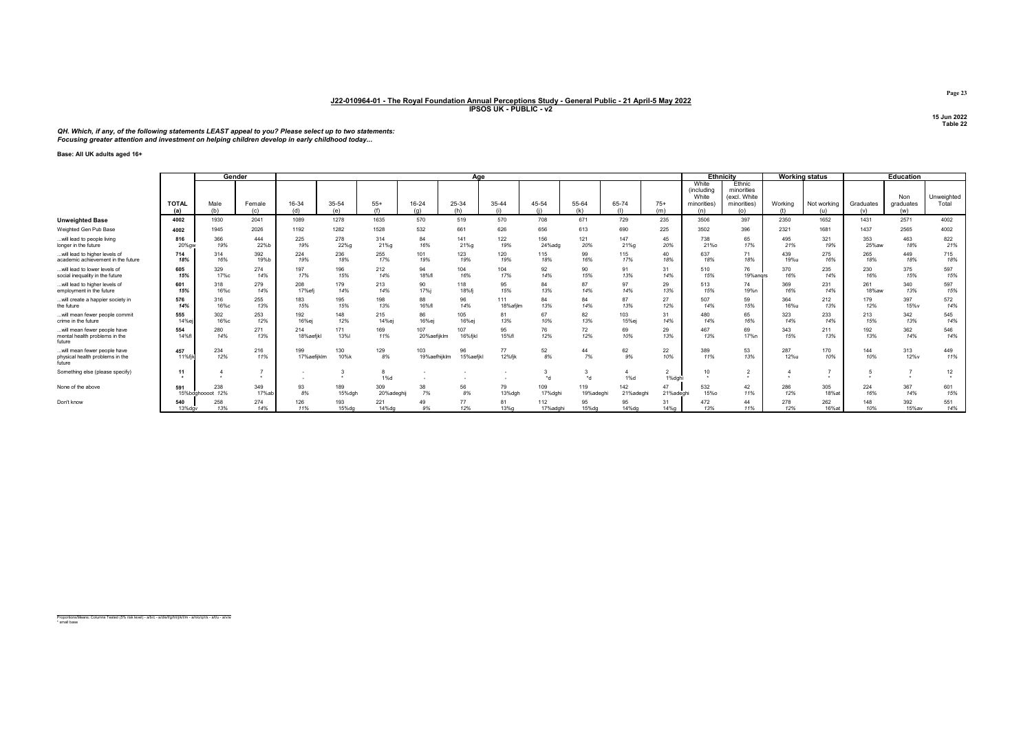QH. Which, if any, of the following statements LEAST appeal to you? Please select up to two statements:<br>Focusing greater attention and investment on helping children develop in early childhood today...

## Base: All UK adults aged 16+

|                                                                           |                            | Gender                  |                      |                    |                   |                 |                     | Age             |                 |                 |                  |                  |                         | <b>Ethnicity</b>                                  |                                                     |             | <b>Working status</b> |              | Education        |                     |
|---------------------------------------------------------------------------|----------------------------|-------------------------|----------------------|--------------------|-------------------|-----------------|---------------------|-----------------|-----------------|-----------------|------------------|------------------|-------------------------|---------------------------------------------------|-----------------------------------------------------|-------------|-----------------------|--------------|------------------|---------------------|
|                                                                           | <b>TOTAL</b>               | Male                    | Female               | 16-34              | 35-54             | $55+$           | 16-24               | 25-34           | 35-44           | 45-54           | 55-64            | 65-74            | $75+$                   | White<br><i>(including</i><br>White<br>minorities | Ethnic<br>minorities<br>(excl. White<br>minorities) | Working     | Not working           | Graduates    | Non<br>graduates | Unweighted<br>Total |
|                                                                           | (a)                        | (h)                     | (c)                  | (d)                | $(\rho)$          | (f)             | (n)                 | (h)             | (i)             |                 | (k)              | (1)              | (m)                     | (n)                                               | (o)                                                 |             | (u)                   | (v)          | (w)              |                     |
| <b>Unweighted Base</b>                                                    | 4002                       | 1930                    | 2041                 | 1089               | 1278              | 1635            | 570                 | 519             | 570             | 708             | 671              | 729              | 235                     | 3506                                              | 397                                                 | 2350        | 1652                  | 1431         | 2571             | 4002                |
| Weighted Gen Pub Base                                                     | 4002                       | 1945                    | 2026                 | 1192               | 1282              | 1528            | 532                 | 661             | 626             | 656             | 613              | 690              | 225                     | 3502                                              | 396                                                 | 2321        | 1681                  | 1437         | 2565             | 4002                |
| .will lead to people living<br>longer in the future                       | 816<br>20% aw              | 366<br>19%              | 444<br>22%b          | 225<br>19%         | 278<br>22%g       | 314<br>21%g     | 84<br>16%           | 141<br>21%g     | 122<br>19%      | 156<br>24%adg   | 121<br>20%       | 147<br>21%g      | 45<br>20%               | 738<br>21%o                                       | 65<br>17%                                           | 495<br>21%  | 321<br>19%            | 353<br>25%aw | 463<br>18%       | 822<br>21%          |
| .will lead to higher levels of<br>academic achievement in the future      | 714<br>18%                 | 314<br>16%              | 392<br>19%b          | 224<br>19%         | 236<br>18%        | 255<br>17%      | 101<br>19%          | 123<br>19%      | 120<br>19%      | 115<br>18%      | 99<br>16%        | 115<br>17%       | 40<br>18%               | 637<br>18%                                        | 71<br>18%                                           | 439<br>19%u | 275<br>16%            | 265<br>18%   | 449<br>18%       | 715<br>18%          |
| .will lead to lower levels of<br>social inequality in the future          | 605<br>15%                 | 329<br>17%с             | 274<br>14%           | 197<br>17%         | 196<br>15%        | 212<br>14%      | 94<br>18%fl         | 104<br>16%      | 104<br>17%      | 92<br>14%       | 90<br>15%        | 91<br>13%        | 31<br>14%               | 510<br>15%                                        | 76<br>19%angrs                                      | 370<br>16%  | 235<br>14%            | 230<br>16%   | 375<br>15%       | 597<br>15%          |
| will lead to higher levels of<br>employment in the future                 | 601<br>15%                 | 318<br>16%с             | 279<br>14%           | 208<br>17% efi     | 179<br>14%        | 213<br>14%      | 90<br>17%i          | 118<br>18%fi    | 95<br>15%       | 84<br>13%       | 87<br>14%        | 97<br>14%        | 29<br>13%               | 513<br>15%                                        | 74<br>19%n                                          | 369<br>16%  | 231<br>14%            | 261<br>18%aw | 340<br>13%       | 597<br>15%          |
| will create a happier society in<br>the future                            | 576<br>14%                 | 316<br>16%с             | 255<br>13%           | 183<br>15%         | 195<br>15%        | 198<br>13%      | 88<br>16%fl         | 96<br>14%       | 111<br>18%afilm | 84<br>13%       | 84<br>14%        | 87<br>13%        | 27<br>12%               | 507<br>14%                                        | 59<br>15%                                           | 364<br>16%u | 212<br>13%            | 179<br>12%   | 397<br>15%v      | 572<br>14%          |
| will mean fewer people commit<br>crime in the future                      | 555<br>14%                 | 302<br>16%с             | 253<br>12%           | 192<br>16%ej       | 148<br>12%        | 215<br>14%ej    | 86<br>16%ej         | 105<br>16%ej    | 81<br>13%       | 67<br>10%       | 82<br>13%        | 103<br>15%ei     | 31<br>14%               | 480<br>14%                                        | 65<br>16%                                           | 323<br>14%  | 233<br>14%            | 213<br>15%   | 342<br>13%       | 545<br>14%          |
| .will mean fewer people have<br>mental health problems in the<br>future   | 554<br>14%f                | 280<br>14%              | 271<br>13%           | 214<br>18%aefikl   | 171<br><b>13%</b> | 169<br>11%      | 107<br>20%aefijklm  | 107<br>16%fikl  | 95<br>15%fl     | 76<br>12%       | 72<br>12%        | 69<br>10%        | 29<br>13%               | 467<br>13%                                        | 69<br>17%n                                          | 343<br>15%  | 211<br>13%            | 192<br>13%   | 362<br>14%       | 546<br>14%          |
| .will mean fewer people have<br>physical health problems in the<br>future | 457<br>11%fil-             | 234<br>12%              | 216<br>11%           | 199<br>17%aefijklm | 130<br>10%k       | 129<br>8%       | 103<br>19%aefhijklm | 96<br>15%aefikl | 77<br>12%fik    | 52<br>8%        | 44<br>7%         | 62<br>9%         | 22<br>10%               | 389<br>11%                                        | 53<br>13%                                           | 287<br>12%u | 170<br>10%            | 144<br>10%   | 313<br>12%v      | 449<br>11%          |
| Something else (please specify)                                           | 11<br>$\ddot{\phantom{1}}$ |                         | $\ddot{\phantom{1}}$ |                    |                   | 1%d             |                     |                 |                 | 3<br>$*_{d}$    | -84              | 1%d              | $\overline{2}$<br>1%dah | 10                                                |                                                     |             |                       |              |                  | 12                  |
| None of the above                                                         | 591                        | 238<br>15%bdghoooot 12% | 349<br>17%ab         | 93<br>8%           | 189<br>15%dah     | 309<br>20%adegh | 38<br>7%            | 56<br>8%        | 79<br>13%dah    | 109<br>17%dahi  | 119<br>19%adeghi | 142<br>21%adeghi | 47<br>21%adegh          | 532<br><b>15%o</b>                                | 42<br>11%                                           | 286<br>12%  | 305<br>18%at          | 224<br>16%   | 367<br>14%       | 601<br>15%          |
| Don't know                                                                | 540<br>13%day              | 258<br>13%              | 274<br>14%           | 126<br>11%         | 193<br>15%da      | 221<br>14%da    | 49<br>9%            | 77<br>12%       | 81<br>13%a      | 112<br>17%adahi | 95<br>15%da      | 95<br>14%da      | 31<br>14%g              | 472<br>13%                                        | 44<br>11%                                           | 278<br>12%  | 262<br>16% at         | 148<br>10%   | 392<br>15%av     | 551<br>14%          |

Proportions/Means: Columns Tested (5% risk level) - a/b/c - a/d/e/f/g/h/i/j/k/l/m - a/n/o/q/r/s - a/t/u - a/v/w \* small base

Page 23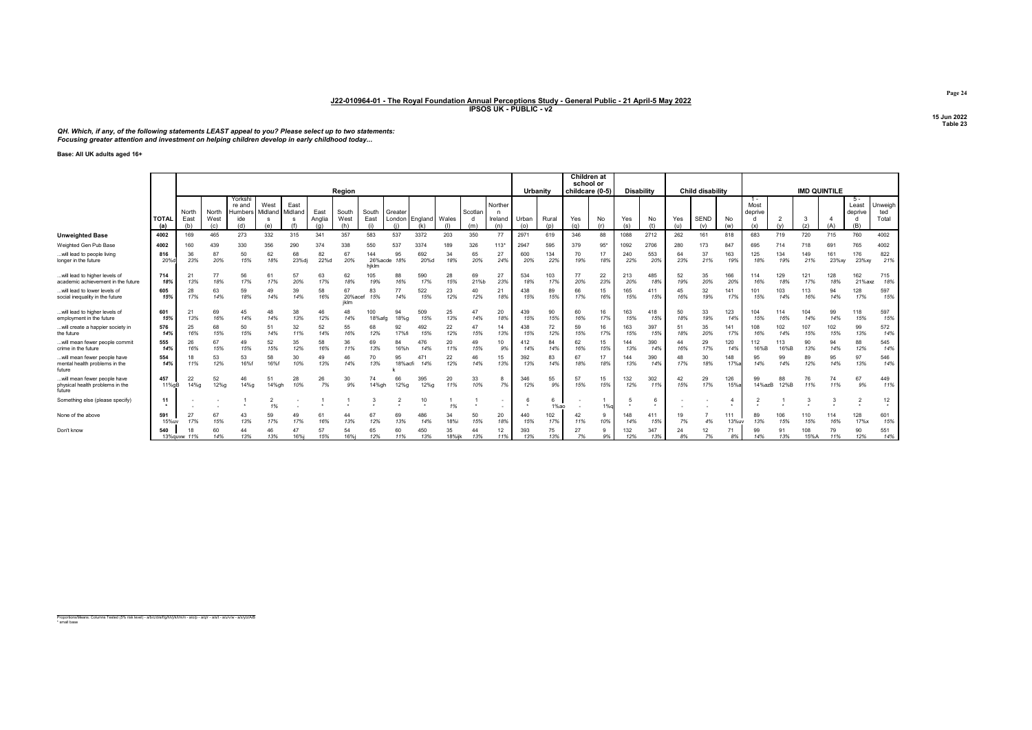QH. Which, if any, of the following statements LEAST appeal to you? Please select up to two statements:<br>Focusing greater attention and investment on helping children develop in early childhood today...

Base: All UK adults aged 16+

|                                                                          |                     |                      |                      |                                            |                                    |                      |                       |                      |                       |                           |             |              |                |                           |                             |              | <b>Children at</b><br>school or |           |                   |            |            |                         |              |                                 |                       |                     |              |                                |                            |
|--------------------------------------------------------------------------|---------------------|----------------------|----------------------|--------------------------------------------|------------------------------------|----------------------|-----------------------|----------------------|-----------------------|---------------------------|-------------|--------------|----------------|---------------------------|-----------------------------|--------------|---------------------------------|-----------|-------------------|------------|------------|-------------------------|--------------|---------------------------------|-----------------------|---------------------|--------------|--------------------------------|----------------------------|
|                                                                          |                     |                      |                      |                                            |                                    |                      |                       | Region               |                       |                           |             |              |                |                           | Urbanity                    |              | childcare (0-5)                 |           | <b>Disability</b> |            |            | <b>Child disability</b> |              |                                 |                       | <b>IMD QUINTILE</b> |              |                                |                            |
|                                                                          | <b>TOTAL</b><br>(a) | North<br>East<br>(b) | North<br>West<br>(c) | Yorkshi<br>re and<br>Humbers<br>ide<br>(d) | West<br>Midland<br><b>s</b><br>(e) | East<br>Midland<br>s | East<br>Anglia<br>(a) | South<br>West<br>(h) | South<br>East         | Greater<br>London England |             | Wales        | Scotlan<br>(m) | Norther<br>Ireland<br>(n) | Urban<br>(o)                | Rural<br>(p) | Yes<br>(q)                      | No<br>(r) | Yes<br>(s)        | No.        | Yes<br>(u) | <b>SEND</b><br>(v)      | No.<br>(w)   | $1 -$<br>Most<br>deprive<br>(x) | $\overline{2}$<br>(v) | (z)                 |              | - 5<br>Least<br>deprive<br>(B) | Unweigh<br>ted<br>Total    |
| <b>Unweighted Base</b>                                                   | 4002                | 169                  | 465                  | 273                                        | 332                                | 315                  | 341                   | 357                  | 583                   | 537                       | 3372        | 203          | 350            | 77                        | 2971                        | 619          | 346                             | 88        | 1088              | 2712       | 262        | 161                     | 818          | 683                             | 719                   | 720                 | 715          | 760                            | 4002                       |
| Weighted Gen Pub Base                                                    | 4002                | 160                  | 439                  | 330                                        | 356                                | 290                  | 374                   | 338                  | 550                   | 537                       | 3374        | 189          | 326            | $113*$                    | 2947                        | 595          | 379                             | $95*$     | 1092              | 2706       | 280        | 173                     | 847          | 695                             | 714                   | 718                 | 69'          | 765                            | 4002                       |
| will lead to people living<br>longer in the future                       | 816<br>20%          | 36<br>23%            | 87<br>20%            | 50<br>15%                                  | 62<br>18%                          | 68<br>23%dj          | 82<br>22%d            | 67<br>20%            | 144<br>26%ac<br>hiklm | 95<br>18%                 | 692<br>20%d | 34<br>18%    | 65<br>20%      | 27<br>24%                 | 600<br>20%                  | 134<br>22%   | 70<br>19%                       | 17<br>18% | 240<br>22%        | 553<br>20% | 64<br>23%  | 37<br>21%               | 163<br>19%   | 125<br>18%                      | 134<br>19%            | 149<br>21%          | 161<br>23%xy | 176<br>23%xy                   | 822<br>21%                 |
| will lead to higher levels of<br>academic achievement in the future      | 714<br>18%          | 21<br>13%            | 77<br>18%            | 56<br>17%                                  | 61<br>17%                          | 57<br>20%            | 63<br>17%             | 62<br>18%            | 105<br>19%            | 88<br>16%                 | 590<br>17%  | 28<br>15%    | 69<br>21%b     | 27<br>23%                 | 534<br>18%                  | 103<br>17%   | 77<br>20%                       | 22<br>23% | 213<br>20%        | 485<br>18% | 52<br>19%  | 35<br>20%               | 166<br>20%   | 114<br>16%                      | 129<br>18%            | 121<br>17%          | 128<br>18%   | 162<br>21%axz                  | 715<br>18%                 |
| will lead to lower levels of<br>social inequality in the future          | 605<br>15%          | 28<br>17%            | 63<br>14%            | 59<br>18%                                  | 49<br>14%                          | 39<br>14%            | 58<br>16%             | 67<br>20%ace<br>iklm | 83<br>15%             | 77<br>14%                 | 522<br>15%  | 23<br>12%    | 40<br>12%      | 21<br>18%                 | 438<br>15%                  | 89<br>15%    | 66<br>17%                       | 15<br>16% | 165<br>15%        | 411<br>15% | 45<br>16%  | 32<br>19%               | 141<br>17%   | 101<br>15%                      | 103<br>14%            | 113<br>16%          | 94<br>14%    | 128<br>17%                     | 597<br>15%                 |
| will lead to higher levels of<br>employment in the future                | 601<br>15%          | 21<br>13%            | 69<br>16%            | 45<br>14%                                  | 48<br>14%                          | 38<br>13%            | 46<br>12%             | 14%                  | 100<br>18%afg         | 94<br>18%a                | 509<br>15%  | 25<br>13%    | 47<br>14%      | 20<br>18%                 | 439<br>15%                  | 90<br>15%    | 60<br>16%                       | 16<br>17% | 163<br>15%        | 418<br>15% | 50<br>18%  | 33<br>19%               | 123<br>14%   | 104<br>15%                      | 114<br>16%            | 104<br>14%          | 99<br>14%    | 118<br>15%                     | 597<br>15%                 |
| will create a happier society in<br>the future                           | 576<br>14%          | 25<br>16%            | 68<br>15%            | 50<br>15%                                  | 51<br>14%                          | 32<br>11%            | 52<br>14%             | 55<br>16%            | 68<br>12%             | 92<br>17%fi               | 492<br>15%  | 22<br>12%    | 47<br>15%      | 14<br>13%                 | 438<br>15%                  | 72<br>12%    | 59<br>15%                       | 16<br>17% | 163<br>15%        | 397<br>15% | 51<br>18%  | 35<br>20%               | 141<br>17%   | 108<br>16%                      | 102<br>14%            | 107<br>15%          | 102<br>15%   | 99<br>13%                      | 572<br>14%                 |
| will mean fewer people commit<br>crime in the future                     | 555<br>14%          | 26<br>16%            | 67<br>15%            | 49<br>15%                                  | 52<br>15%                          | 35<br>12%            | 58<br>16%             | 36<br>11%            | 69<br>13%             | 84<br>16%h                | 476<br>14%  | 20<br>11%    | 49<br>15%      | 10<br>9%                  | $\overline{4}$<br>12<br>14% | 84<br>14%    | 62<br>16%                       | 15<br>15% | 13%               | 390<br>14% | 44<br>16%  | 29<br>17%               | 120<br>149   | 112<br>16%B                     | 113<br>16%B           | 90<br>13%           | 94<br>14%    | 88<br>12%                      | 545<br>14%                 |
| will mean fewer people have<br>mental health problems in the<br>future   | 554<br>14%          | 18<br>11%            | 53<br>12%            | 53<br>16%                                  | 58<br>16%f                         | 30<br>10%            | 49<br>13%             | 46<br>14%            | 70<br>13%             | 95<br>18%acfi             | 471<br>14%  | 22<br>12%    | 46<br>14%      | 15<br>13%                 | 392<br>13%                  | 83<br>14%    | 67<br>18%                       | 17<br>18% | 13%               | 390<br>14% | 48<br>17%  | 30<br>18%               | 148          | 95<br>14%                       | 99<br>14%             | 89<br>12%           | 95<br>14%    | 97<br>13%                      | 546<br>14%                 |
| will mean fewer people have<br>physical health problems in the<br>future | 457<br>11% aB       | 22<br>14%g           | 52<br>12%g           | 46<br>14%g                                 | 51<br>14%gh                        | 28<br>10%            | 26<br>7%              | 30<br>9%             | 74<br>14%gh           | 66<br>12%g                | 395<br>12%g | 20<br>11%    | 33<br>10%      | 8<br>7%                   | 346<br>12%                  | 55<br>9%     | 57<br>15%                       | 15<br>15% | 132<br>12%        | 302<br>11% | 42<br>15%  | 29<br>17%               | 126<br>15%   | 99<br>14%azB                    | 88<br>12%B            | 76<br>11%           | 74<br>11%    | 67<br>9%                       | 449<br>11%                 |
| Something else (please specify)                                          | 11                  |                      |                      |                                            | 2<br>1%                            |                      |                       |                      |                       |                           | 10          | 1%           |                |                           |                             | 6<br>1%ao    |                                 | 1%        |                   |            |            |                         |              |                                 |                       |                     |              |                                | 12<br>$\ddot{\phantom{1}}$ |
| None of the above                                                        | 591<br>15%uv        | 27<br>17%            | 67<br>15%            | 43<br>13%                                  | 59<br>17%                          | 49<br>17%            | 61<br>16%             | 13%                  | 67<br>12%             | 69<br>13%                 | 486<br>14%  | 34<br>18%i   | 50<br>15%      | 20<br>18%                 | 440<br>15%                  | 102<br>17%   | 11%                             | 9<br>10%  | 14%               | 411<br>15% | 19<br>7%   | 4%                      | 111<br>13%uv | 89<br>13%                       | 106<br>15%            | 110<br>15%          | 114<br>16%   | 128<br>17%x                    | 601<br>15%                 |
| Don't know                                                               | 540                 | 13% auvw 11%         | 60<br>14%            | 44<br>13%                                  | 46<br>13%                          | 47<br>16%            | 15%                   | 16%i                 | 65<br>12%             | 60<br>11%                 | 450<br>13%  | 35<br>18%iik | 44<br>13%      | 12<br>11%                 | 393<br>13%                  | 75<br>13%    | 27<br>7%                        | 9%        | 132<br>12%        | 347<br>13% | 24<br>8°   | 12<br>7%                | 71<br>8%     | 99<br>14%                       | 91<br>13%             | 108<br>15%A         | 79<br>11%    | 90<br>12%                      | 551<br>14%                 |

Proportions/Means: Columns Tested (5% risk level) - a/b/c/d/e/f/g/h/i/j/k/l/m/n - a/o/p - a/q/r - a/s/t - a/u/v/w - a/x/y/z/A/B \* small base

Page 24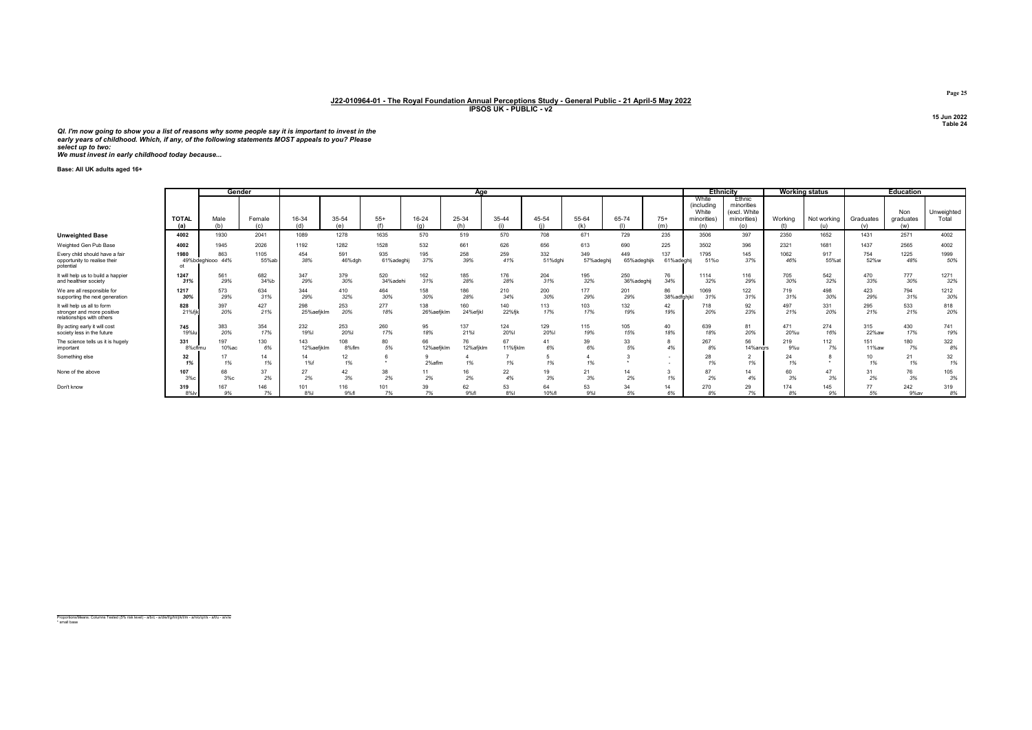Ql. I'm now going to show you a list of reasons why some people say it is important to invest in the<br>early years of childhood. Which, if any, of the following statements MOST appeals to you? Please<br>select up to two:<br>We mus

Base: All UK adults aged 16+

|                                                                                        |                     |                         | Gender        |                   |               |                   |                   | Aae             |                |                |                   |                    |                   |                                                    | <b>Ethnicity</b>                                           |             | <b>Working status</b> |                  | <b>Education</b>        |                     |
|----------------------------------------------------------------------------------------|---------------------|-------------------------|---------------|-------------------|---------------|-------------------|-------------------|-----------------|----------------|----------------|-------------------|--------------------|-------------------|----------------------------------------------------|------------------------------------------------------------|-------------|-----------------------|------------------|-------------------------|---------------------|
|                                                                                        | <b>TOTAL</b><br>(a) | Male<br>(b)             | Female<br>(c) | 16-34<br>(d)      | 35-54<br>(e)  | $55+$<br>(f)      | 16-24<br>(n)      | 25-34<br>(h)    | 35-44<br>(i)   | 45-54          | 55-64<br>(k)      | 65-74<br>(1)       | $75+$<br>(m)      | White<br>(including<br>White<br>minorities)<br>(n) | Ethnic<br>minorities<br>(excl. White<br>minorities)<br>(o) | Working     | Not working<br>(u)    | Graduates<br>(v) | Non<br>graduates<br>(w) | Unweighted<br>Total |
| <b>Unweighted Base</b>                                                                 | 4002                | 1930                    | 2041          | 1089              | 1278          | 1635              | 570               | 519             | 570            | 708            | 671               | 729                | 235               | 3506                                               | 397                                                        | 2350        | 1652                  | 1431             | 2571                    | 4002                |
| Weighted Gen Pub Base                                                                  | 4002                | 1945                    | 2026          | 1192              | 1282          | 1528              | 532               | 661             | 626            | 656            | 613               | 690                | 225               | 3502                                               | 396                                                        | 2321        | 1681                  | 1437             | 2565                    | 4002                |
| Every child should have a fair<br>opportunity to realise their<br>potential            | 1980                | 863<br>49%bdeghiooo 44% | 1105<br>55%ab | 454<br>38%        | 591<br>46%dgh | 935<br>61%adeghij | 195<br>37%        | 258<br>39%      | 259<br>41%     | 332<br>51%dghi | 349<br>57%adeghij | 449<br>65%adeghijk | 137<br>61%adeghij | 1795<br>51%o                                       | 145<br>37%                                                 | 1062<br>46% | 917<br>55% at         | 754<br>52%w      | 1225<br>48%             | 1999<br>50%         |
| It will help us to build a happier<br>and healthier society                            | 1247<br>31%         | 561<br>29%              | 682<br>34%b   | 347<br>29%        | 379<br>30%    | 520<br>34%adehi   | 162<br>31%        | 185<br>28%      | 176<br>28%     | 204<br>31%     | 195<br>32%        | 250<br>36%adeghij  | 76<br>34%         | 1114<br>32%                                        | 116<br>29%                                                 | 705<br>30%  | 542<br>32%            | 470<br>33%       | 777<br>30%              | 1271<br>32%         |
| We are all responsible for<br>supporting the next generation                           | 1217<br>30%         | 573<br>29%              | 634<br>31%    | 344<br>29%        | 410<br>32%    | 464<br>30%        | 158<br>30%        | 186<br>28%      | 210<br>34%     | 200<br>30%     | 177<br>29%        | 201<br>29%         | 86<br>38%adfghjkl | 1069<br>31%                                        | 122<br>31%                                                 | 719<br>31%  | 498<br>30%            | 423<br>29%       | 794<br>31%              | 1212<br>30%         |
| It will help us all to form<br>stronger and more positive<br>relationships with others | 828<br>21%f         | 397<br>20%              | 427<br>21%    | 298<br>25%aefiklm | 253<br>20%    | 277<br>18%        | 138<br>26%aefjklm | 160<br>24%efjkl | 140<br>22%fik  | 113<br>17%     | 103<br>17%        | 132<br>19%         | 42<br>19%         | 718<br>20%                                         | 92<br>23%                                                  | 497<br>21%  | 331<br>20%            | 295<br>21%       | 533<br>21%              | 818<br>20%          |
| By acting early it will cost<br>society less in the future                             | 745<br><b>19%</b>   | 383<br>20%              | 354<br>17%    | 232<br>19%        | 253<br>20%l   | 260<br>17%        | 95<br>18%         | 137<br>21%      | 124<br>20%l    | 129<br>20%     | 115<br>19%        | 105<br>15%         | 40<br>18%         | 639<br>18%                                         | 81<br>20%                                                  | 471<br>20%u | 274<br>16%            | 315<br>22%aw     | 430<br>17%              | 741<br>19%          |
| The science tells us it is hugely<br>important                                         | 331<br>8%cflmu      | 197<br>10%ac            | 130<br>6%     | 143<br>12%aefjklm | 108<br>8%flm  | 80<br>5%          | 66<br>12%aefjklm  | 76<br>12%afjklm | 67<br>11%fjklm | 41<br>6%       | 39<br>6%          | 33<br>5%           | 4%                | 267                                                | 56<br>14%angrs                                             | 219<br>9%u  | 112<br>7%             | 151<br>11%aw     | 180<br>7%               | 322<br>8%           |
| Something else                                                                         | 32<br>1%            | 1%                      | 14<br>1%      | 14<br>1%f         | 12<br>1%      |                   | 2% aflm           |                 | 1%             | 1%             | 1%                |                    | ٠.                | 28                                                 | 1%                                                         | 24<br>1%    |                       | 10<br>1%         | 21<br>1%                | 32<br>1%            |
| None of the above                                                                      | 107<br>3%c          | 68<br>3%c               | 37<br>2%      | 27<br>2%          | 42<br>3%      | 38<br>2%          | 11<br>2%          | 16<br>2%        | 22<br>4%       | 19<br>3%       | 21<br>3%          | 2%                 | 1%                | 87<br>2%                                           | 4%                                                         | 60<br>3%    | 47<br>3%              | 2%               | 76<br>3%                | 105<br>3%           |
| Don't know                                                                             | 319<br>8%lv         | 167<br>9%               | 146<br>7%     | 101<br>8%         | 116<br>9%fl   | 101<br>7%         | 39<br>7%          | 62<br>9%fl      | 53<br>8%       | 64<br>10%fl    | 53<br>9%          | 34<br>5%           | 14<br>6%          | 270<br>8%                                          | 29<br>7%                                                   | 174<br>8%   | 145<br>9%             | 77<br>5%         | 242<br>9%av             | 319<br>8%           |

Proportions/Means: Columns Tested (5% risk level) - a/b/c - a/d/e/f/g/h/i/j/k/l/m - a/n/o/q/r/s - a/t/u - a/v/w \* small base

Page 25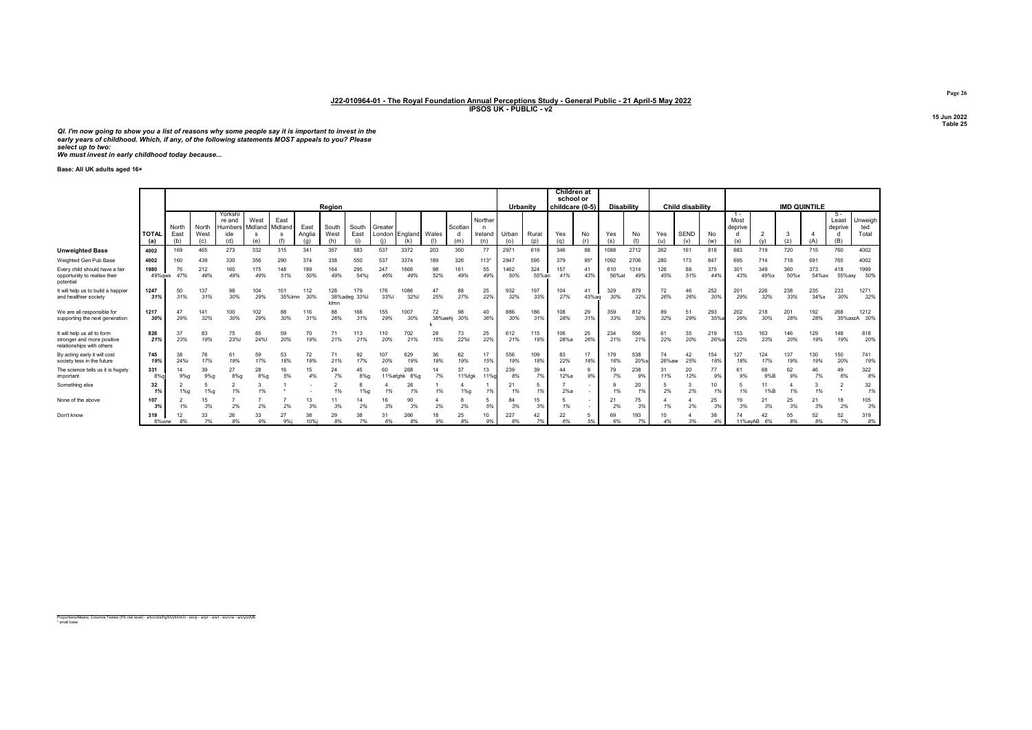Ql. I'm now going to show you a list of reasons why some people say it is important to invest in the<br>early years of childhood. Which, if any, of the following statements MOST appeals to you? Please<br>select up to two:<br>We mus

Base: All UK adults aged 16+

|                                                                                        |                    |               | Region               |                                     |                 |                 |                |               |                     |                |                | Urbanity     |                | Children at<br>school or<br>childcare (0-5) |              | <b>Disability</b> |             |             | <b>Child disability</b> |             |             |                    | <b>IMD QUINTILE</b> |                          |             |             |              |                         |                         |
|----------------------------------------------------------------------------------------|--------------------|---------------|----------------------|-------------------------------------|-----------------|-----------------|----------------|---------------|---------------------|----------------|----------------|--------------|----------------|---------------------------------------------|--------------|-------------------|-------------|-------------|-------------------------|-------------|-------------|--------------------|---------------------|--------------------------|-------------|-------------|--------------|-------------------------|-------------------------|
|                                                                                        | <b>TOTA</b><br>(a) | North<br>East | North<br>West<br>(c) | Yorkshi<br>re and<br>Humbers<br>ide | West<br>Midland | East<br>Midland | East<br>Anglia | South<br>West | South<br>East       | Greater        | London England | Wales        | Scotlan<br>(m) | Norther<br>Ireland<br>(n)                   | Urban<br>(0) | Rural<br>(p)      | Yes         | No          | Yes<br>(s)              | No          | Yes<br>(11) | <b>SEND</b><br>(v) | No<br>(w)           | $1 -$<br>Most<br>deprive |             | (z)         | íA           | 5 -<br>Least<br>deprive | Unweigh<br>ted<br>Total |
| <b>Unweighted Base</b>                                                                 | 4002               | 169           | 465                  | 273                                 | 332             | 315             | 341            | 357           | 583                 | 537            | 3372           | 203          | 350            | 77                                          | 2971         | 619               | 346         | 88          | 1088                    | 2712        | 262         | 161                | 818                 | 683                      | 719         | 720         | 715          | 760                     | 4002                    |
| Weighted Gen Pub Base                                                                  | 4002               | 160           | 439                  | 330                                 | 356             | 290             | 374            | 338           | 550                 | 537            | 3374           | 189          | 326            | $113*$                                      | 2947         | 595               | 379         | $95*$       | 1092                    | 2706        | 280         | 173                | 847                 | 695                      | 714         | 718         | 691          | 765                     | 4002                    |
| Every child should have a fair<br>opportunity to realise their<br>potential            | 1980<br>49% awx    | 76<br>47%     | 212<br>48%           | 160<br>49%                          | 175<br>49%      | 148<br>51%      | 189<br>50%     | 164<br>49%    | 295<br>54%i         | 247<br>46%     | 1666<br>49%    | 98<br>52%    | 161<br>49%     | 55<br>49%                                   | 1462<br>50%  | 324<br>55%ao      | 157<br>41%  | 41<br>43%   | 610<br>56%at            | 1314<br>49% | 126<br>45%  | 88<br>51%          | 375<br>44%          | 301<br>43%               | 349<br>49%x | 360<br>50%x | 373<br>54%ax | 418<br>55%axy           | 1999<br>50%             |
| It will help us to build a happier<br>and healthier society                            | 1247<br>31%        | 50<br>31%     | 137<br>31%           | 98<br>30%                           | 104<br>29%      | 101<br>35%lmn   | 112<br>30%     | 128<br>klmn   | 179<br>38%adeg 33%l | 176<br>33%     | 1086<br>32%    | 47<br>25%    | 88<br>27%      | 25<br>22%                                   | 932<br>32%   | 197<br>33%        | 104<br>27%  | 41<br>43%ag | 329<br>30%              | 879<br>32%  | 72<br>26%   | 46<br>26%          | 252<br>30%          | 201<br>29%               | 226<br>32%  | 238<br>33%  | 235<br>34%x  | 233<br>30%              | 1271<br>32%             |
| We are all responsible for<br>supporting the next generation                           | 1217<br>30%        | 47<br>29%     | 141<br>32%           | 100<br>30%                          | 102<br>29%      | 88<br>30%       | 116<br>31%     | 88<br>26%     | 168<br>31%          | 155<br>29%     | 1007<br>30%    | 72<br>38%aeh | 98<br>30%      | 40<br>36%                                   | 886<br>30%   | 186<br>31%        | 108<br>28%  | 29<br>31%   | 359<br>33%              | 812<br>30%  | 89<br>32%   | 51<br>29%          | 293<br>35%          | 202<br>29%               | 218<br>30%  | 201<br>28%  | 192<br>28%   | 268                     | 1212<br>35%axzA 30%     |
| It will help us all to form<br>stronger and more positive<br>relationships with others | 828<br>21%         | 37<br>23%     | 83<br>19%            | 75<br>23%                           | 85<br>24%       | 59<br>20%       | 70<br>19%      | 71<br>21%     | 113<br>21%          | 110<br>20%     | 702<br>21%     | 28<br>15%    | 73<br>22%      | 25<br>22%                                   | 612<br>21%   | 115<br>19%        | 106<br>28%a | 25<br>26%   | 234<br>21%              | 556<br>21%  | 61<br>22%   | 35<br>20%          | 219<br>26%          | 153<br>22%               | 163<br>23%  | 146<br>20%  | 129<br>19%   | 148<br>19%              | 818<br>20%              |
| By acting early it will cost<br>society less in the future                             | 745<br>19%         | 38<br>24%i    | 76<br>17%            | 61<br>19%                           | 59<br>17%       | 53<br>18%       | 72<br>19%      | 71<br>21%     | 92<br>17%           | 107<br>20%     | 629<br>19%     | 36<br>19%    | 62<br>19%      | 17<br>15%                                   | 556<br>19%   | 109<br>18%        | 83<br>22%   | 17<br>18%   | 179<br>16%              | 538<br>20%s | 74<br>26%aw | 42<br>25%          | 154<br>18%          | 127<br>18%               | 124<br>17%  | 137<br>19%  | 130<br>19%   | 150<br>20%              | 741<br>19%              |
| The science tells us it is hugely<br>important                                         | 331<br>8%          | 14<br>9%q     | 39<br>9%q            | 27<br>$8%$ g                        | 28<br>$8%$ a    | 16<br>5%        | 15<br>4%       | 24<br>7%      | 45<br>$8%$ a        | 60<br>11%afahk | 268<br>8%a     | 7%           | 37<br>11%fak   | 13<br>11%g                                  | 239<br>8%    | 39<br>7%          | 12%a        | 9<br>9%     | 79<br>7%                | 238<br>9%   | 31<br>11%   | 20<br>12%          | 77<br>9%            | 9%                       | 68<br>9%B   | 62<br>9%    | 46<br>7%     | 49<br>6%                | 322<br>8%               |
| Something else                                                                         | 32                 | $1\%q$        | $1\%q$               | 1%                                  |                 |                 |                | 1%            | $1%$ a              |                | 26<br>1%       | 1%           | 1%g            | 1%                                          | 21<br>1%     | 1%                | 2%a         |             | 1%                      | 20<br>1%    | 2%          | 2%                 | 10<br>1%            | 1%                       | 11<br>1%B   | 1%          | 1%           |                         | 32<br>1%                |
| None of the above                                                                      | 107<br>3%          | 1%            | 15<br>3%             | 2%                                  | 2%              | 2%              | 13<br>3%       | 11<br>3%      | 14<br>2%            | 3%             | 90<br>3%       | 2%           | 2%             | 5%                                          | 84<br>3%     | 15<br>3%          | 1%          |             | 21<br>2%                | 75<br>3%    | 1%          | 2%                 | 25<br>3%            | 19<br>3%                 | 21<br>3%    | 25<br>3%    | 21<br>3%     | 18<br>2%                | 105<br>3%               |
| Don't know                                                                             | 319<br>8%uww       | 12<br>8%      | 7%                   | 26<br>8%                            | 33<br>9%        | 27<br>9%i       | 38<br>10%      | 29<br>8%      | 38<br>7%            | 31<br>6%       | 266<br>8%      | 9%           | 25<br>8%       | 10<br>9%                                    | 227<br>8%    | 42<br>7%          | 22<br>6%    | 5%          | 69<br>6%                | 193<br>7%   | 10          | 3%                 | 38                  | 11%avAB                  | 42<br>6%    | 55<br>8%    | 52<br>8%     | 52<br>7%                | 319<br>8%               |

Proportions/Means: Columns Tested (5% risk level) - a/b/c/d/e/f/g/h/i/j/k/l/m/n - a/o/p - a/q/r - a/s/t - a/u/v/w - a/x/y/z/A/B \* small base

Page 26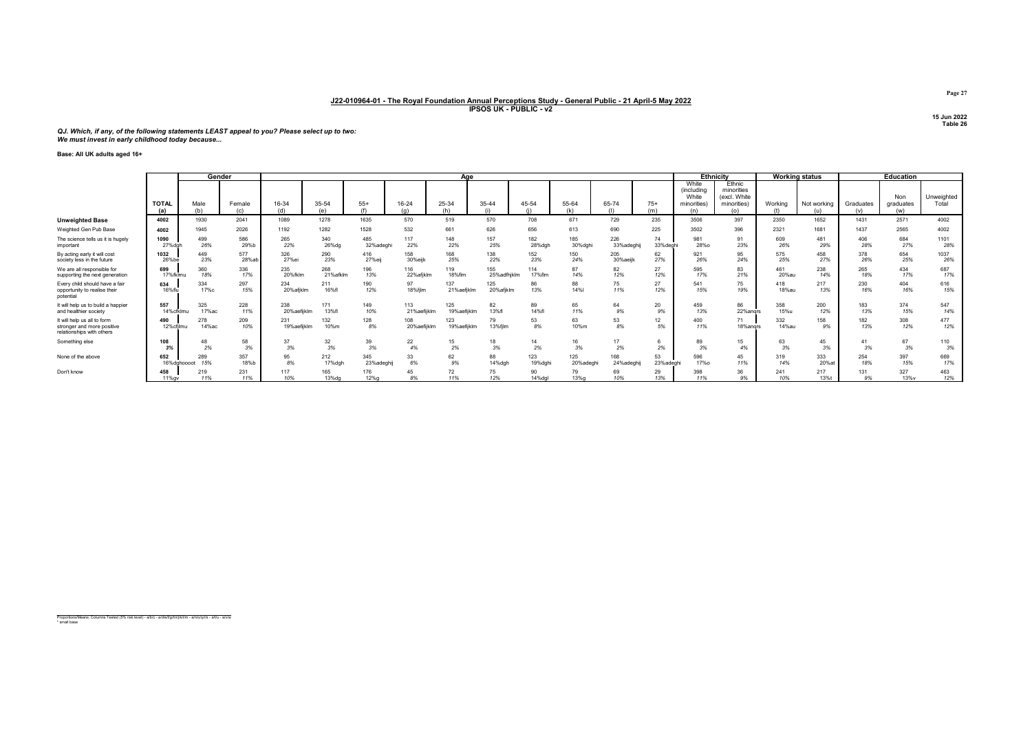# QJ. Which, if any, of the following statements LEAST appeal to you? Please select up to two: We must invest in early childhood today because...

## Base: All UK adults aged 16+

|                                                                                        | Gender              |               | Aae           |                    |                  |                   |                    |                    |                    |                |                 | <b>Ethnicity</b>  |                 | <b>Working status</b>                              |                                                            | Education      |             |                  |                         |                     |
|----------------------------------------------------------------------------------------|---------------------|---------------|---------------|--------------------|------------------|-------------------|--------------------|--------------------|--------------------|----------------|-----------------|-------------------|-----------------|----------------------------------------------------|------------------------------------------------------------|----------------|-------------|------------------|-------------------------|---------------------|
|                                                                                        | <b>TOTAL</b><br>(a) | Male<br>(b)   | Female<br>(c) | 16-34<br>(d)       | 35-54<br>(e)     | $55+$             | 16-24<br>(a)       | 25-34<br>(h)       | 35-44              | 45-54          | 55-64<br>(k)    | 65-74             | $75+$<br>(m)    | White<br>(including<br>White<br>minorities)<br>(n) | Ethnic<br>minorities<br>(excl. White<br>minorities)<br>(o) | Working<br>(f) | Not working | Graduates<br>(v) | Non<br>graduates<br>(w) | Unweighted<br>Total |
| <b>Unweighted Base</b>                                                                 | 4002                | 1930          | 2041          | 1089               | 1278             | 1635              | 570                | 519                | 570                | 708            | 671             | 729               | 235             | 3506                                               | 397                                                        | 2350           | 1652        | 1431             | 2571                    | 4002                |
| Weighted Gen Pub Base                                                                  | 4002                | 1945          | 2026          | 1192               | 1282             | 1528              | 532                | 661                | 626                | 656            | 613             | 690               | 225             | 3502                                               | 396                                                        | 2321           | 1681        | 1437             | 2565                    | 4002                |
| The science tells us it is hugely<br>important                                         | 1090<br>27%dah      | 499<br>26%    | 586<br>29%b   | 265<br>22%         | 340<br>26%dg     | 485<br>32%adeghi  | 117<br>22%         | 148<br>22%         | 157<br>25%         | 182<br>28%dgh  | 185<br>30%dghi  | 226<br>33%adeghij | 74<br>33%deahi  | 981<br>28%o                                        | 91<br>23%                                                  | 609<br>26%     | 481<br>29%  | 406<br>28%       | 684<br>27%              | 1101<br>28%         |
| By acting early it will cost<br>society less in the future                             | 1032<br>26%be       | 449<br>23%    | 577<br>28%at  | 326<br>27%ei       | 290<br>23%       | 416<br>27%eii     | 158<br>30%eiik     | 168<br>25%         | 138<br>22%         | 152<br>23%     | 150<br>24%      | 205<br>30%aeijk   | 62<br>27%       | 921<br>26%                                         | 95<br>24%                                                  | 575<br>25%     | 458<br>27%  | 378<br>26%       | 654<br>25%              | 1037<br>26%         |
| We are all responsible for<br>supporting the next generation                           | 699<br>17%fklmu     | 360<br>18%    | 336<br>17%    | 235<br>20%fklm     | 268<br>21% afklm | 196<br>13%        | 116<br>22%afjklm   | 119<br>18%flm      | 155<br>25%adfhjklm | 114<br>17%flm  | 87<br>14%       | 82<br>12%         | 27<br>12%       | 595<br>17%                                         | 83<br>21%                                                  | 461<br>20%au   | 238<br>14%  | 265<br>18%       | 434<br>17%              | 687<br>17%          |
| Every child should have a fair<br>opportunity to realise their<br>potential            | 634<br>16%flu       | 334<br>17%с   | 297<br>15%    | 234<br>20%afjklm   | 211<br>16%f      | 190<br>12%        | 97<br>18%film      | 137<br>21%aefjklm  | 125<br>20%afjklm   | 86<br>13%      | 88<br>14%       | 75<br>11%         | 27<br>12%       | 541<br>15%                                         | 75<br>19%                                                  | 418<br>18%au   | 217<br>13%  | 230<br>16%       | 404<br>16%              | 616<br>15%          |
| It will help us to build a happier<br>and healthier society                            | 557<br>14%cfklmu    | 325<br>17% ac | 228<br>11%    | 238<br>20%aefijklm | 171<br>13%f      | 149<br>10%        | 113<br>21%aefiiklm | 125<br>19%aefiiklm | 82<br>13%fl        | 89<br>14%fl    | 65<br>11%       | 64<br>9%          | 20<br>9%        | 459<br>13%                                         | 86<br>22%angrs                                             | 358<br>15%u    | 200<br>12%  | 183<br>13%       | 374<br>15%              | 547<br>14%          |
| It will help us all to form<br>stronger and more positive<br>relationships with others | 490<br>12%cfilmu    | 278<br>14%ac  | 209<br>10%    | 231<br>19%aefiiklm | 132<br>10%m      | 128<br>8%         | 108<br>20%aefijklm | 123<br>19%aefijklm | 79<br>13%film      | 53<br>8%       | 63<br>10%m      | 53<br>8%          | 12<br>5%        | 400<br>11%                                         | 71<br>18%angrs                                             | 332<br>14%au   | 158<br>9%   | 182<br>13%       | 308<br>12%              | 477<br>12%          |
| Something else                                                                         | 108<br>3%           | 48<br>2%      | 58<br>3%      | 37<br>3%           | 32<br>3%         | 39<br>3%          | 22<br>4%           | 15<br>2%           | 18<br>3%           | 14<br>2%       | 16<br>3%        | 17<br>2%          | 2%              | 89<br>3%                                           | 15<br>4%                                                   | 63<br>3%       | 45<br>3%    | 41<br>3%         | 67<br>3%                | 110<br>3%           |
| None of the above                                                                      | 652<br>16%dahoooot  | 289<br>15%    | 357<br>18%b   | 95<br>8%           | 212<br>17%dgh    | 345<br>23%adeghij | 33<br>6%           | 62<br>9%           | 88<br>14%dgh       | 123<br>19%dghi | 125<br>20%adegh | 168<br>24%adeghij | 53<br>23%adeghi | 596<br><b>17%o</b>                                 | 45<br>11%                                                  | 319<br>14%     | 333<br>20%a | 254<br>18%       | 397<br>15%              | 669<br>17%          |
| Don't know                                                                             | 458<br>11% av       | 219<br>11%    | 231<br>11%    | 117<br>10%         | 165<br>13%da     | 176<br>12%a       | 45                 | 72<br>11%          | 75<br>12%          | 90<br>14%dal   | 79<br>13%a      | 69<br>10%         | 29<br>13%       | 398<br>11%                                         | 36<br>9%                                                   | 241<br>10%     | 217<br>13%t | 131<br>9%        | 327<br>13%v             | 463<br>12%          |

Proportions/Means: Columns Tested (5% risk level) - a/b/c - a/d/e/f/g/h/i/j/k/l/m - a/n/o/q/r/s - a/t/u - a/v/w \* small base

Page 27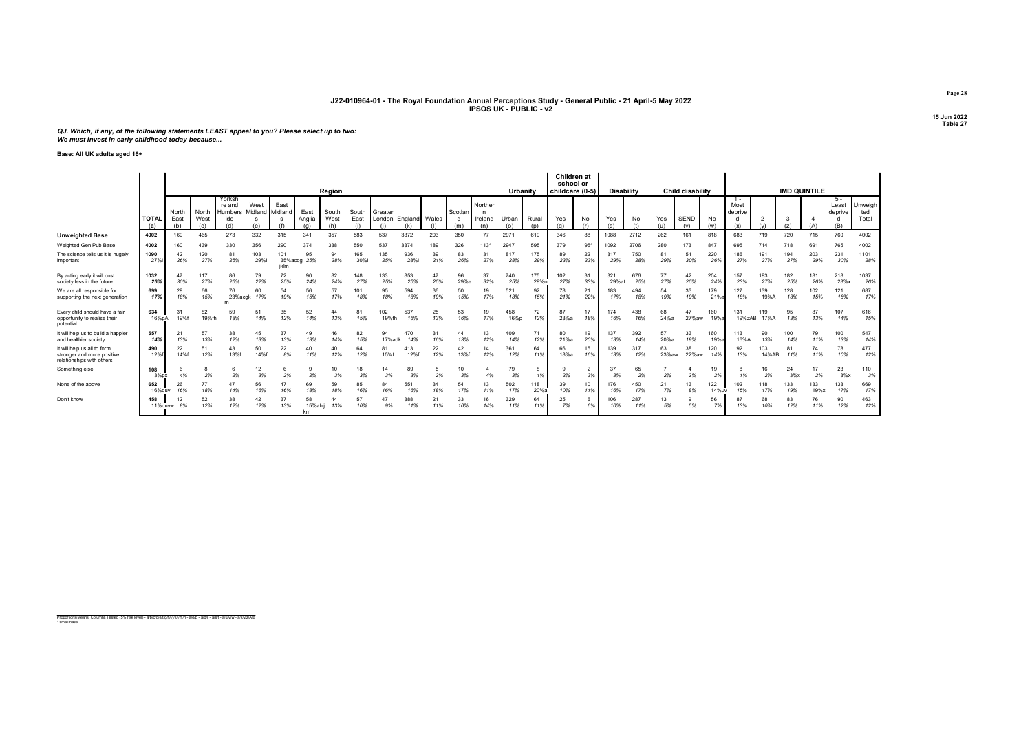QJ. Which, if any, of the following statements LEAST appeal to you? Please select up to two: We must invest in early childhood today because...

Base: All UK adults aged 16+

|                                                                                        |                    |                      |                      |                                     |                                        |                        |                |                      |                      |                     |                             |           |                | <b>Children at</b><br>school or |              | <b>Child disability</b> |                 |                      |                   |            |             |                    |              |                                 |              |            |                     |                                |                         |
|----------------------------------------------------------------------------------------|--------------------|----------------------|----------------------|-------------------------------------|----------------------------------------|------------------------|----------------|----------------------|----------------------|---------------------|-----------------------------|-----------|----------------|---------------------------------|--------------|-------------------------|-----------------|----------------------|-------------------|------------|-------------|--------------------|--------------|---------------------------------|--------------|------------|---------------------|--------------------------------|-------------------------|
|                                                                                        |                    |                      |                      |                                     |                                        |                        |                | Region               |                      |                     |                             |           |                |                                 | Urbanity     |                         | childcare (0-5) |                      | <b>Disability</b> |            |             |                    |              |                                 |              |            | <b>IMD QUINTILE</b> |                                |                         |
|                                                                                        | <b>TOTA</b><br>(a) | North<br>East<br>(h) | North<br>West<br>(c) | Yorkshi<br>re and<br>Humbers<br>ide | West<br>Midland<br>$\mathbf{S}$<br>(e) | East<br>Midland        | East<br>Anglia | South<br>West<br>(h) | South<br>East<br>(i) | Greater             | London England Wales<br>(k) | (1)       | Scotlan<br>(m) | Norther<br>n<br>Ireland<br>(n)  | Urban<br>(o) | Rural<br>(p)            | Yes<br>(q)      | No<br>(r)            | Yes<br>(s)        | No         | Yes<br>(u)  | <b>SEND</b><br>(v) | No<br>(w)    | $1 -$<br>Most<br>deprive<br>(x) |              | (z)        | (A)                 | 5 -<br>Least<br>deprive<br>(B) | Unweigh<br>ted<br>Total |
| <b>Unweighted Base</b>                                                                 | 4002               | 169                  | 465                  | 273                                 | 332                                    | 315                    | 341            | 357                  | 583                  | 537                 | 3372                        | 203       | 350            | 77                              | 2971         | 619                     | 346             | 88                   | 1088              | 2712       | 262         | 161                | 818          | 683                             | 719          | 720        | 715                 | 760                            | 4002                    |
| Weighted Gen Pub Base                                                                  | 4002               | 160                  | 439                  | 330                                 | 356                                    | 290                    | 374            | 338                  | 550                  | 537                 | 3374                        | 189       | 326            | $113*$                          | 2947         | 595                     | 379             | $95*$                | 1092              | 2706       | 280         | 173                | 847          | 695                             | 714          | 718        | 691                 | 765                            | 4002                    |
| The science tells us it is hugely<br>important                                         | 1090<br>27%        | 42<br>26%            | 120<br>27%           | 81<br>25%                           | 103<br>29%                             | 101<br>35%acdg<br>iklm | 95<br>25%      | 94<br>28%            | 165<br>30%           | 135<br>25%          | 936<br><b>28%</b>           | 39<br>21% | 83<br>26%      | 27%                             | 817<br>28%   | 175<br>29%              | 89<br>23%       | 22<br>23%            | 317<br>29%        | 750<br>28% | 81<br>29%   | 51<br>30%          | 220<br>26%   | 186<br>27%                      | 191<br>27%   | 194<br>27% | 203<br>29%          | 231<br>30%                     | 1101<br>28%             |
| By acting early it will cost<br>society less in the future                             | 1032<br>26%        | 47<br>30%            | 117<br>27%           | 86<br>26%                           | 79<br>22%                              | 72<br>25%              | 90<br>24%      | 82<br>24%            | 148<br>27%           | 133<br>25%          | 853<br>25%                  | 47<br>25% | 96<br>29%e     | 37<br>32%                       | 740<br>25%   | 175<br>29%              | 102<br>27%      | 31<br>33%            | 321<br>29%at      | 676<br>25% | 77<br>27%   | 42<br>25%          | 204<br>24%   | 157<br>23%                      | 193<br>27%   | 182<br>25% | 181<br>26%          | 218<br>28%x                    | 1037<br>26%             |
| We are all responsible for<br>supporting the next generation                           | 699<br>17%         | 29<br>18%            | 66<br>15%            | 76<br>23%acgk                       | 60<br>17%                              | 54<br>19%              | 56<br>15%      | 57<br>17%            | 101<br>18%           | 95<br>18%           | 594<br>18%                  | 36<br>19% | 50<br>15%      | 19<br>17%                       | 521<br>18%   | 92<br>15%               | 78<br>21%       | 21<br>22%            | 183<br>17%        | 494<br>18% | 54<br>19%   | 33<br>19%          | 179<br>21%   | 127<br>18%                      | 139<br>19%A  | 128<br>18% | 102<br>15%          | 121<br>16%                     | 687<br>17%              |
| Every child should have a fair<br>opportunity to realise their<br>potential            | 634<br>16%pA       | 31<br>19%f           | 82<br>19%fh          | 59<br>18%                           | 51<br>14%                              | 35<br>12%              | 52<br>14%      | 44<br>13%            | 81<br>15%            | 102<br>19%fh        | 537<br>16%                  | 25<br>13% | 53<br>16%      | 19<br>17%                       | 458<br>16%p  | 72<br>12%               | 87<br>23%a      | 17<br>18%            | 174<br>16%        | 438<br>16% | 68<br>24%a  | 47<br>27% aw       | 160<br>19%;  | 131<br>19%zAB                   | 119<br>17%A  | 95<br>13%  | 87<br>13%           | 107<br>14%                     | 616<br>15%              |
| It will help us to build a happier<br>and healthier society                            | 557<br>14%         | 21<br>13%            | 57<br>13%            | 38<br>12%                           | 45<br>13%                              | 37<br>13%              | 49<br>13%      | 46<br>14%            | 82<br>15%            | 94<br>17%adk        | 470<br>14%                  | 16%       | 44<br>13%      | 13<br>12%                       | 409<br>14%   | 71<br>12%               | 80<br>21%a      | 19<br>20%            | 137<br>13%        | 392<br>14% | 57<br>20%a  | 33<br>19%          | 160<br>19%   | 113<br>16%A                     | 90<br>13%    | 100<br>14% | 79<br>11%           | 100<br>13%                     | 547<br>14%              |
| It will help us all to form<br>stronger and more positive<br>relationships with others | 490<br>12%         | 22<br>14%f           | 51<br>12%            | 43<br>13%f                          | 50<br>14%f                             | 22<br>8%               | 40<br>11%      | 40<br>12%            | 64<br>12%            | $8^{\circ}$<br>15%f | 413<br>12%f                 | 22<br>12% | 42<br>13%f     | 14<br>12%                       | 361<br>12%   | 64<br>11%               | 66<br>18%a      | 15<br>16%            | 139<br>13%        | 12%        | 63<br>23%aw | 38<br>22%aw        | 120<br>14%   | 92<br>13%                       | 103<br>14%AB | 81<br>11%  | 11%                 | 78<br>10%                      | 477<br>12%              |
| Something else                                                                         | 108<br>3%px        | 4%                   | 2%                   | 2%                                  | 12<br>3%                               | 2%                     | 9<br>2%        | 10<br>3%             | 18<br>3%             | 3%                  | 89<br>3%                    | 2%        | 10<br>3%       | 4%                              | 79<br>3%     | 8<br>1%                 | 2%              | $\overline{2}$<br>3% | 37<br>3%          | 65<br>2%   | 2%          | 2%                 | 19<br>2%     |                                 | 2%           | 24<br>3%x  | 17<br>2%            | 23<br>3%x                      | 110<br>3%               |
| None of the above                                                                      | 652<br>16%guv      | 26<br>16%            | 77<br>18%            | 47<br>14%                           | 56<br>16%                              | 47<br>16%              | 69<br>18%      | 59<br>18%            | 85<br>16%            | 84<br>16%           | 551<br>16%                  | 34<br>18% | 54<br>17%      | 13<br>11%                       | 502<br>17%   | 118<br>20%              | 39<br>10%       | 10<br>11%            | 176<br>16%        | 450<br>17% | 21<br>7%    | 13<br>8%           | 122<br>14%IN | 102<br>15%                      | 118<br>17%   | 133<br>19% | 133<br>19%x         | 133<br>17%                     | 669<br>17%              |
| Don't know                                                                             | 458<br>11%guvw     | 12<br>8%             | 52<br>12%            | 38<br>12%                           | 42<br>12%                              | 37<br>13%              | 58<br>15%abij  | 44<br>13%            | 57<br>10%            | 9%                  | 388<br>11%                  | 21<br>11% | 33<br>10%      | 16<br>14%                       | 329<br>11%   | 64<br>11%               | 25<br>7%        | 6<br>6%              | 106<br>10%        | 287<br>11% | 13<br>5%    | 5%                 | 56<br>7%     | 13%                             | 68<br>10%    | 83<br>12%  | 76<br>11%           | 90<br>12%                      | 463<br>12%              |

Proportions/Means: Columns Tested (5% risk level) - a/b/c/d/e/f/g/h/i/j/k/l/m/n - a/o/p - a/q/r - a/s/t - a/u/v/w - a/x/y/z/A/B \* small base

Page 28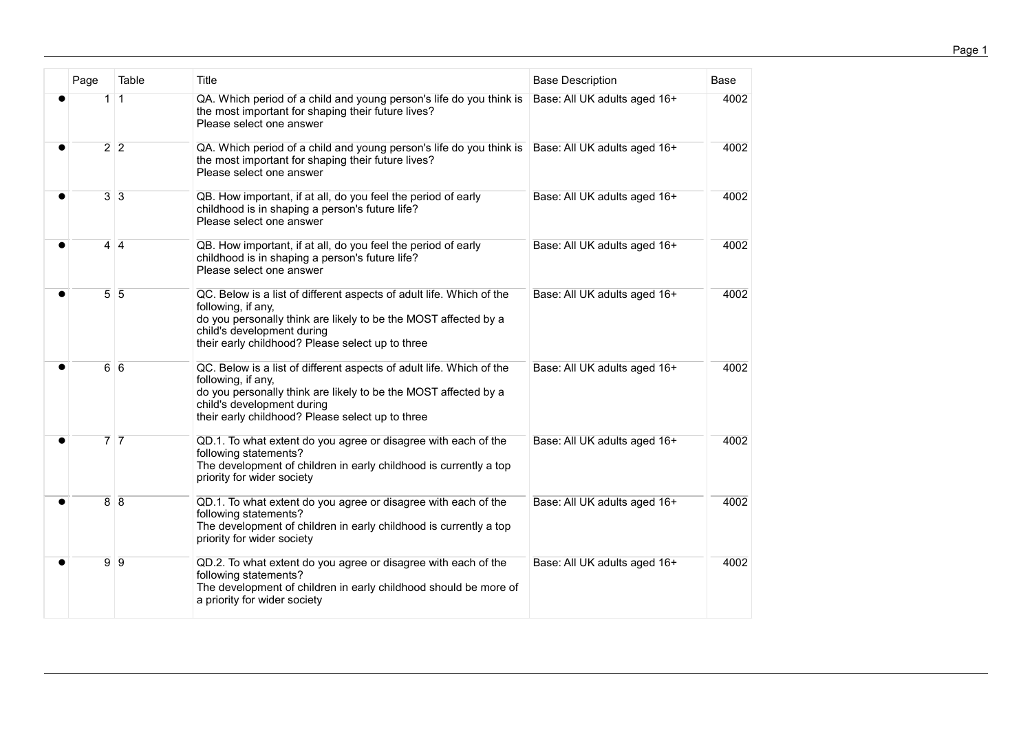| Page                          | Table        | Title                                                                                                                                                                                                                                           | <b>Base Description</b>      | <b>Base</b> |
|-------------------------------|--------------|-------------------------------------------------------------------------------------------------------------------------------------------------------------------------------------------------------------------------------------------------|------------------------------|-------------|
| 1 <sup>1</sup>                | $\mathbf{1}$ | QA. Which period of a child and young person's life do you think is<br>the most important for shaping their future lives?<br>Please select one answer                                                                                           | Base: All UK adults aged 16+ | 4002        |
| $\overline{2}$ $\overline{2}$ |              | QA. Which period of a child and young person's life do you think is<br>the most important for shaping their future lives?<br>Please select one answer                                                                                           | Base: All UK adults aged 16+ | 4002        |
| $\overline{3}$ $\overline{3}$ |              | QB. How important, if at all, do you feel the period of early<br>childhood is in shaping a person's future life?<br>Please select one answer                                                                                                    | Base: All UK adults aged 16+ | 4002        |
| $4 \overline{4}$              |              | QB. How important, if at all, do you feel the period of early<br>childhood is in shaping a person's future life?<br>Please select one answer                                                                                                    | Base: All UK adults aged 16+ | 4002        |
| $\overline{5}$ 5              |              | QC. Below is a list of different aspects of adult life. Which of the<br>following, if any,<br>do you personally think are likely to be the MOST affected by a<br>child's development during<br>their early childhood? Please select up to three | Base: All UK adults aged 16+ | 4002        |
| $\overline{6}$ $\overline{6}$ |              | QC. Below is a list of different aspects of adult life. Which of the<br>following, if any,<br>do you personally think are likely to be the MOST affected by a<br>child's development during<br>their early childhood? Please select up to three | Base: All UK adults aged 16+ | 4002        |
| $\overline{7}$ $\overline{7}$ |              | QD.1. To what extent do you agree or disagree with each of the<br>following statements?<br>The development of children in early childhood is currently a top<br>priority for wider society                                                      | Base: All UK adults aged 16+ | 4002        |
| $\overline{8}$ 8              |              | QD.1. To what extent do you agree or disagree with each of the<br>following statements?<br>The development of children in early childhood is currently a top<br>priority for wider society                                                      | Base: All UK adults aged 16+ | 4002        |
| $\overline{9}$ $\overline{9}$ |              | QD.2. To what extent do you agree or disagree with each of the<br>following statements?<br>The development of children in early childhood should be more of<br>a priority for wider society                                                     | Base: All UK adults aged 16+ | 4002        |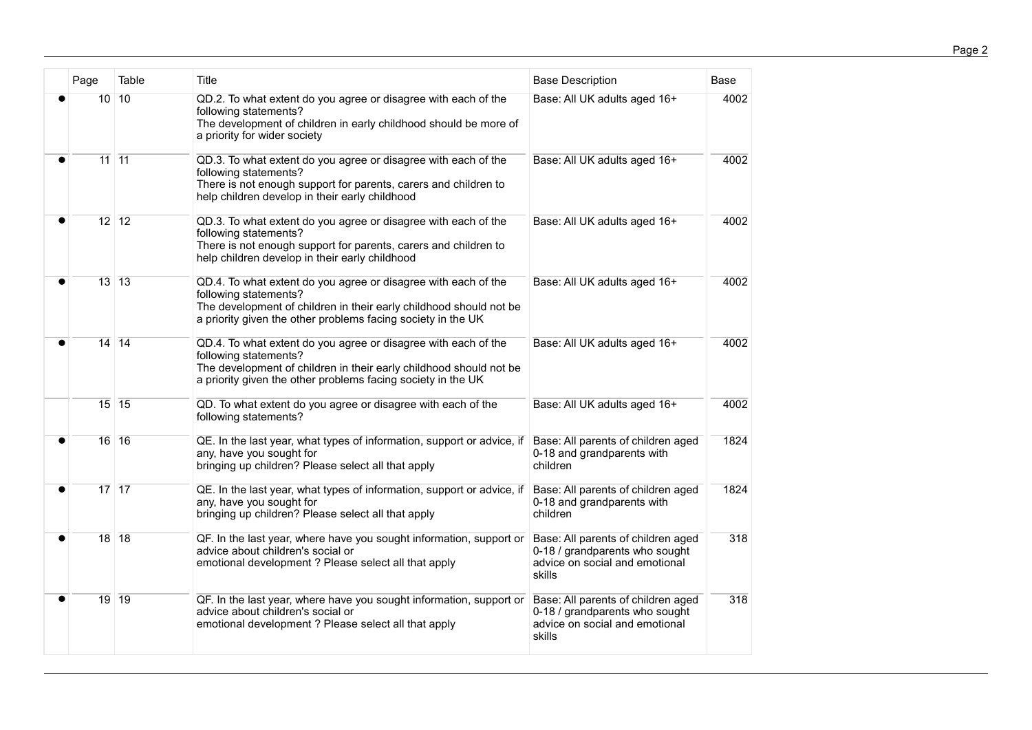| Page                            | Table | <b>Title</b>                                                                                                                                                                                                                  | <b>Base Description</b>                                                                                          | Base |
|---------------------------------|-------|-------------------------------------------------------------------------------------------------------------------------------------------------------------------------------------------------------------------------------|------------------------------------------------------------------------------------------------------------------|------|
| 10 10                           |       | QD.2. To what extent do you agree or disagree with each of the<br>following statements?<br>The development of children in early childhood should be more of<br>a priority for wider society                                   | Base: All UK adults aged 16+                                                                                     | 4002 |
| $11$ 11                         |       | QD.3. To what extent do you agree or disagree with each of the<br>following statements?<br>There is not enough support for parents, carers and children to<br>help children develop in their early childhood                  | Base: All UK adults aged 16+                                                                                     | 4002 |
| $12$ 12                         |       | QD.3. To what extent do you agree or disagree with each of the<br>following statements?<br>There is not enough support for parents, carers and children to<br>help children develop in their early childhood                  | Base: All UK adults aged 16+                                                                                     | 4002 |
| $\overline{13}$ $\overline{13}$ |       | QD.4. To what extent do you agree or disagree with each of the<br>following statements?<br>The development of children in their early childhood should not be<br>a priority given the other problems facing society in the UK | Base: All UK adults aged 16+                                                                                     | 4002 |
| $14$ 14                         |       | QD.4. To what extent do you agree or disagree with each of the<br>following statements?<br>The development of children in their early childhood should not be<br>a priority given the other problems facing society in the UK | Base: All UK adults aged 16+                                                                                     | 4002 |
| $15$ 15                         |       | QD. To what extent do you agree or disagree with each of the<br>following statements?                                                                                                                                         | Base: All UK adults aged 16+                                                                                     | 4002 |
| $16$ 16                         |       | QE. In the last year, what types of information, support or advice, if<br>any, have you sought for<br>bringing up children? Please select all that apply                                                                      | Base: All parents of children aged<br>0-18 and grandparents with<br>children                                     | 1824 |
| $\overline{17}$ $\overline{17}$ |       | QE. In the last year, what types of information, support or advice, if<br>any, have you sought for<br>bringing up children? Please select all that apply                                                                      | Base: All parents of children aged<br>0-18 and grandparents with<br>children                                     | 1824 |
| $\overline{18}$ 18              |       | QF. In the last year, where have you sought information, support or<br>advice about children's social or<br>emotional development ? Please select all that apply                                                              | Base: All parents of children aged<br>0-18 / grandparents who sought<br>advice on social and emotional<br>skills | 318  |
| 19 19                           |       | QF. In the last year, where have you sought information, support or<br>advice about children's social or<br>emotional development ? Please select all that apply                                                              | Base: All parents of children aged<br>0-18 / grandparents who sought<br>advice on social and emotional<br>skills | 318  |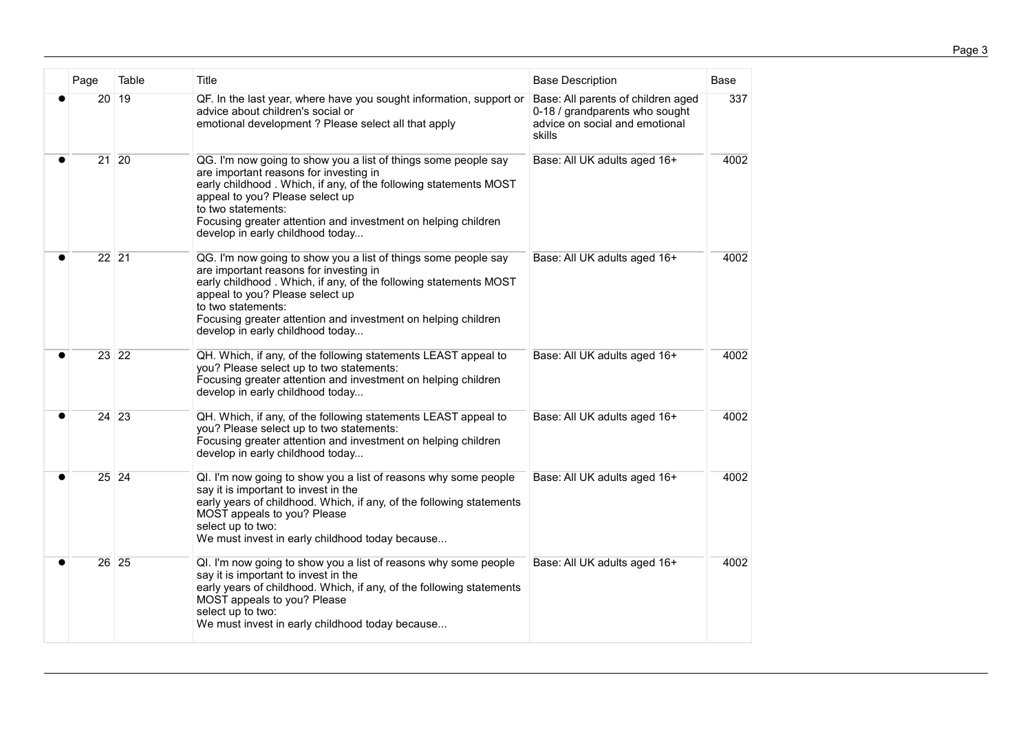| Page               | Table | Title                                                                                                                                                                                                                                                                                                                                      | <b>Base Description</b>                                                                                          | Base |
|--------------------|-------|--------------------------------------------------------------------------------------------------------------------------------------------------------------------------------------------------------------------------------------------------------------------------------------------------------------------------------------------|------------------------------------------------------------------------------------------------------------------|------|
| 20 19              |       | QF. In the last year, where have you sought information, support or<br>advice about children's social or<br>emotional development ? Please select all that apply                                                                                                                                                                           | Base: All parents of children aged<br>0-18 / grandparents who sought<br>advice on social and emotional<br>skills | 337  |
| $21$ 20            |       | QG. I'm now going to show you a list of things some people say<br>are important reasons for investing in<br>early childhood. Which, if any, of the following statements MOST<br>appeal to you? Please select up<br>to two statements:<br>Focusing greater attention and investment on helping children<br>develop in early childhood today | Base: All UK adults aged 16+                                                                                     | 4002 |
| $\overline{22}$ 21 |       | QG. I'm now going to show you a list of things some people say<br>are important reasons for investing in<br>early childhood. Which, if any, of the following statements MOST<br>appeal to you? Please select up<br>to two statements:<br>Focusing greater attention and investment on helping children<br>develop in early childhood today | Base: All UK adults aged 16+                                                                                     | 4002 |
| $23$ 22            |       | QH. Which, if any, of the following statements LEAST appeal to<br>you? Please select up to two statements:<br>Focusing greater attention and investment on helping children<br>develop in early childhood today                                                                                                                            | Base: All UK adults aged 16+                                                                                     | 4002 |
| $24$ 23            |       | QH. Which, if any, of the following statements LEAST appeal to<br>you? Please select up to two statements:<br>Focusing greater attention and investment on helping children<br>develop in early childhood today                                                                                                                            | Base: All UK adults aged 16+                                                                                     | 4002 |
| $25$ 24            |       | QI. I'm now going to show you a list of reasons why some people<br>say it is important to invest in the<br>early years of childhood. Which, if any, of the following statements<br>MOST appeals to you? Please<br>select up to two:<br>We must invest in early childhood today because                                                     | Base: All UK adults aged 16+                                                                                     | 4002 |
| $\overline{26}$ 25 |       | QI. I'm now going to show you a list of reasons why some people<br>say it is important to invest in the<br>early years of childhood. Which, if any, of the following statements<br>MOST appeals to you? Please<br>select up to two:<br>We must invest in early childhood today because                                                     | Base: All UK adults aged 16+                                                                                     | 4002 |